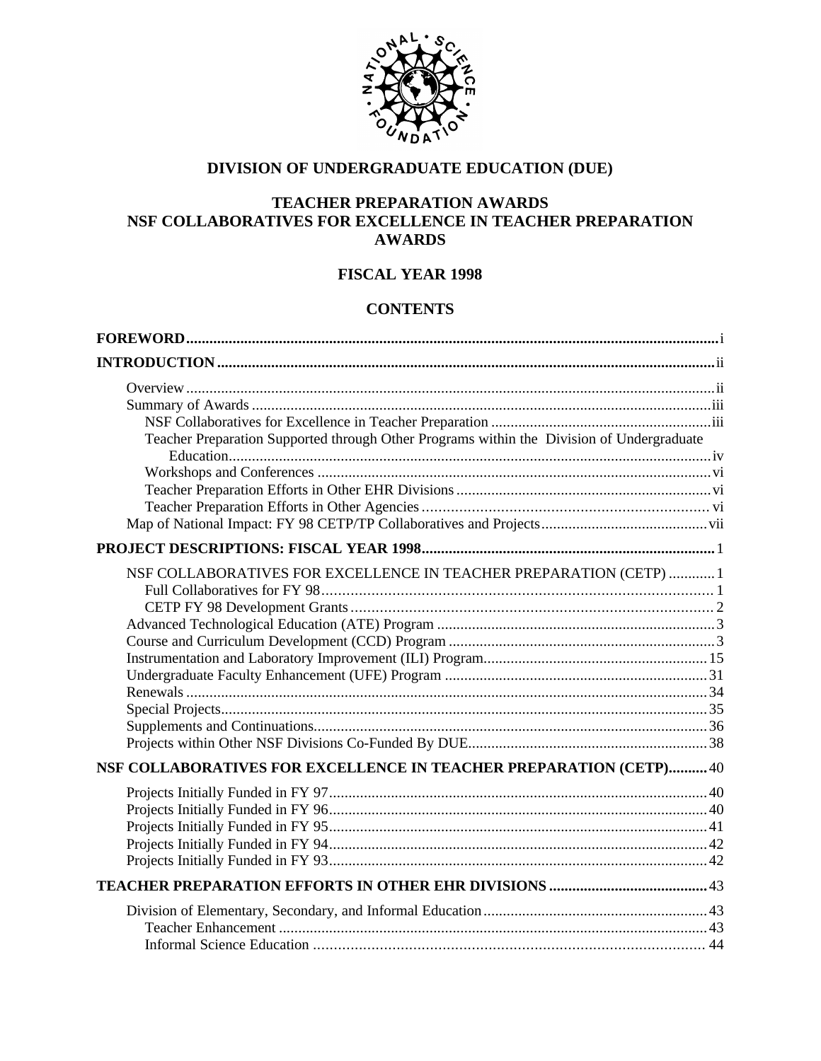

### **DIVISION OF UNDERGRADUATE EDUCATION (DUE)**

### **TEACHER PREPARATION AWARDS NSF COLLABORATIVES FOR EXCELLENCE IN TEACHER PREPARATION AWARDS**

### **FISCAL YEAR 1998**

### **CONTENTS**

| Teacher Preparation Supported through Other Programs within the Division of Undergraduate |  |
|-------------------------------------------------------------------------------------------|--|
|                                                                                           |  |
|                                                                                           |  |
|                                                                                           |  |
|                                                                                           |  |
|                                                                                           |  |
|                                                                                           |  |
| NSF COLLABORATIVES FOR EXCELLENCE IN TEACHER PREPARATION (CETP)  1                        |  |
|                                                                                           |  |
|                                                                                           |  |
|                                                                                           |  |
|                                                                                           |  |
|                                                                                           |  |
|                                                                                           |  |
|                                                                                           |  |
|                                                                                           |  |
|                                                                                           |  |
|                                                                                           |  |
| NSF COLLABORATIVES FOR EXCELLENCE IN TEACHER PREPARATION (CETP) 40                        |  |
|                                                                                           |  |
|                                                                                           |  |
|                                                                                           |  |
|                                                                                           |  |
|                                                                                           |  |
|                                                                                           |  |
|                                                                                           |  |
|                                                                                           |  |
|                                                                                           |  |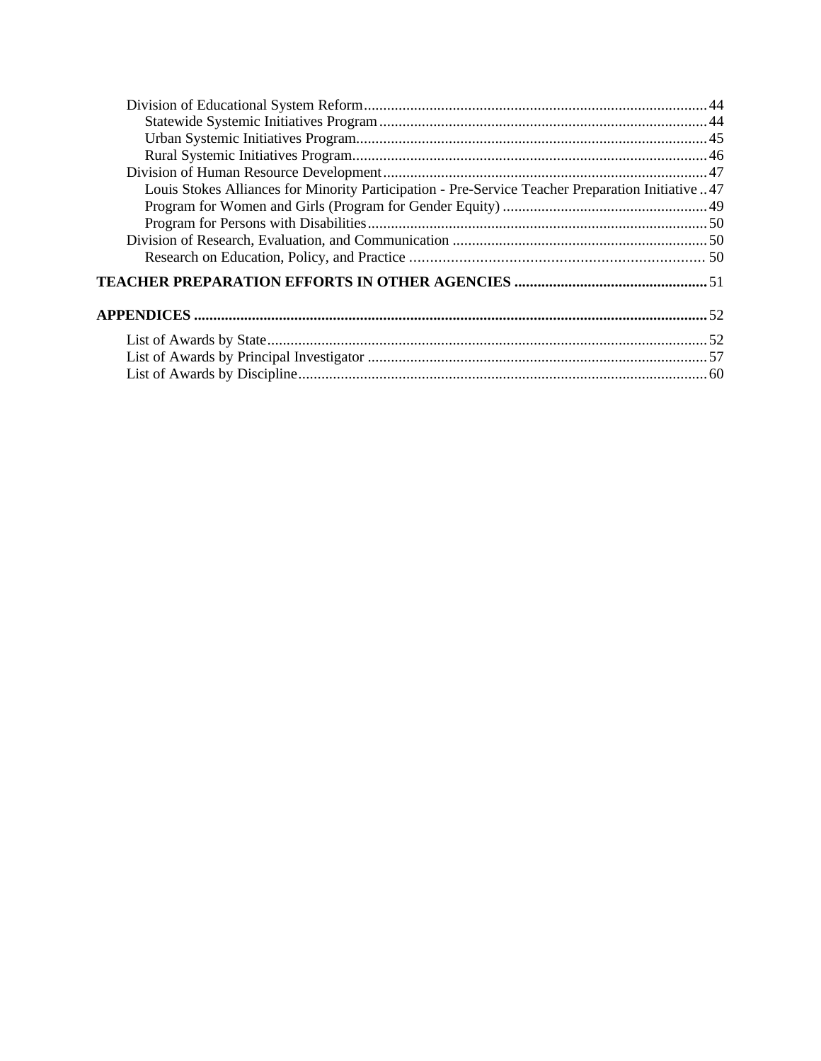| Louis Stokes Alliances for Minority Participation - Pre-Service Teacher Preparation Initiative 47 |  |
|---------------------------------------------------------------------------------------------------|--|
|                                                                                                   |  |
|                                                                                                   |  |
|                                                                                                   |  |
|                                                                                                   |  |
|                                                                                                   |  |
|                                                                                                   |  |
|                                                                                                   |  |
|                                                                                                   |  |
|                                                                                                   |  |
|                                                                                                   |  |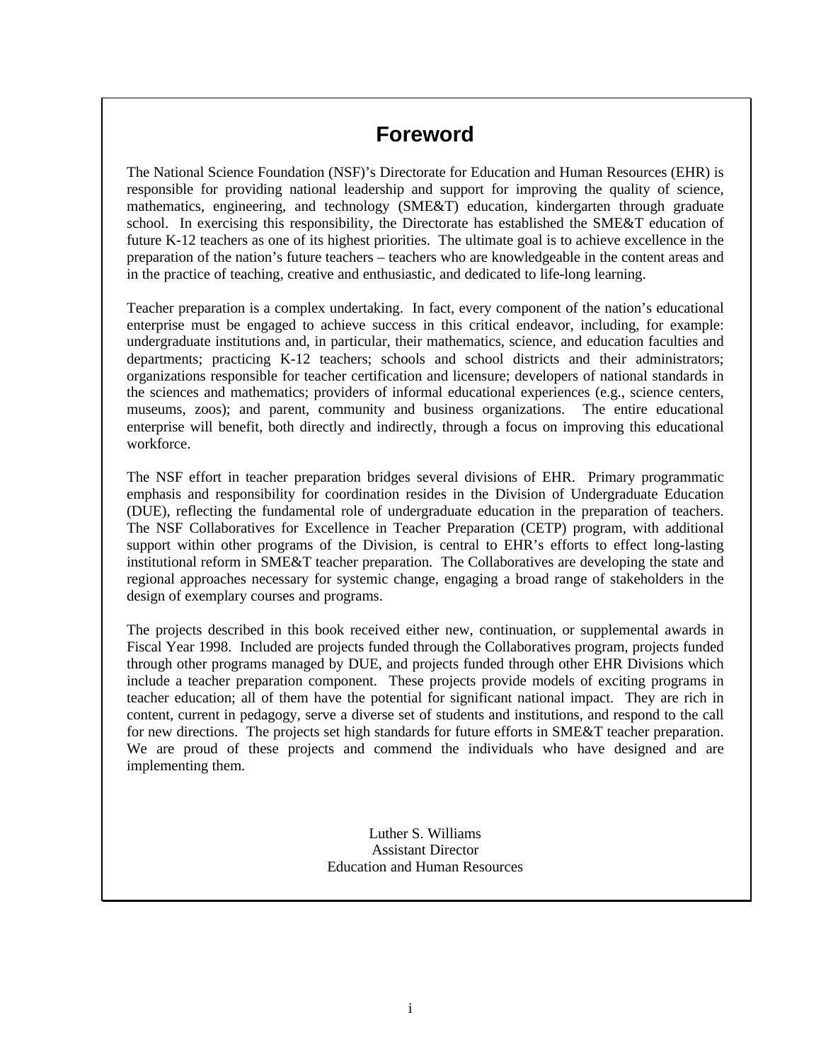# **Foreword**

The National Science Foundation (NSF)'s Directorate for Education and Human Resources (EHR) is responsible for providing national leadership and support for improving the quality of science, mathematics, engineering, and technology (SME&T) education, kindergarten through graduate school. In exercising this responsibility, the Directorate has established the SME&T education of future K-12 teachers as one of its highest priorities. The ultimate goal is to achieve excellence in the preparation of the nation's future teachers – teachers who are knowledgeable in the content areas and in the practice of teaching, creative and enthusiastic, and dedicated to life-long learning.

Teacher preparation is a complex undertaking. In fact, every component of the nation's educational enterprise must be engaged to achieve success in this critical endeavor, including, for example: undergraduate institutions and, in particular, their mathematics, science, and education faculties and departments; practicing K-12 teachers; schools and school districts and their administrators; organizations responsible for teacher certification and licensure; developers of national standards in the sciences and mathematics; providers of informal educational experiences (e.g., science centers, museums, zoos); and parent, community and business organizations. The entire educational enterprise will benefit, both directly and indirectly, through a focus on improving this educational workforce.

The NSF effort in teacher preparation bridges several divisions of EHR. Primary programmatic emphasis and responsibility for coordination resides in the Division of Undergraduate Education (DUE), reflecting the fundamental role of undergraduate education in the preparation of teachers. The NSF Collaboratives for Excellence in Teacher Preparation (CETP) program, with additional support within other programs of the Division, is central to EHR's efforts to effect long-lasting institutional reform in SME&T teacher preparation. The Collaboratives are developing the state and regional approaches necessary for systemic change, engaging a broad range of stakeholders in the design of exemplary courses and programs.

The projects described in this book received either new, continuation, or supplemental awards in Fiscal Year 1998. Included are projects funded through the Collaboratives program, projects funded through other programs managed by DUE, and projects funded through other EHR Divisions which include a teacher preparation component. These projects provide models of exciting programs in teacher education; all of them have the potential for significant national impact. They are rich in content, current in pedagogy, serve a diverse set of students and institutions, and respond to the call for new directions. The projects set high standards for future efforts in SME&T teacher preparation. We are proud of these projects and commend the individuals who have designed and are implementing them.

> Luther S. Williams Assistant Director Education and Human Resources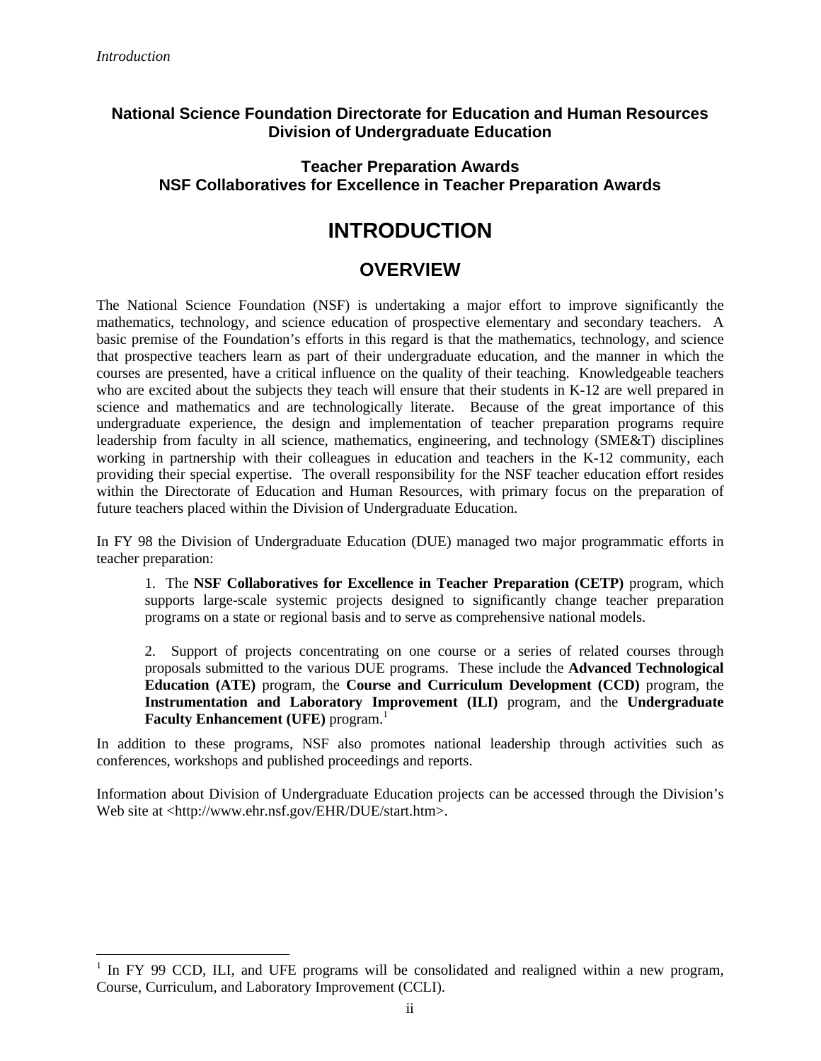<u>.</u>

### **National Science Foundation Directorate for Education and Human Resources Division of Undergraduate Education**

### **Teacher Preparation Awards NSF Collaboratives for Excellence in Teacher Preparation Awards**

# **INTRODUCTION**

# **OVERVIEW**

The National Science Foundation (NSF) is undertaking a major effort to improve significantly the mathematics, technology, and science education of prospective elementary and secondary teachers. A basic premise of the Foundation's efforts in this regard is that the mathematics, technology, and science that prospective teachers learn as part of their undergraduate education, and the manner in which the courses are presented, have a critical influence on the quality of their teaching. Knowledgeable teachers who are excited about the subjects they teach will ensure that their students in K-12 are well prepared in science and mathematics and are technologically literate. Because of the great importance of this undergraduate experience, the design and implementation of teacher preparation programs require leadership from faculty in all science, mathematics, engineering, and technology (SME&T) disciplines working in partnership with their colleagues in education and teachers in the K-12 community, each providing their special expertise. The overall responsibility for the NSF teacher education effort resides within the Directorate of Education and Human Resources, with primary focus on the preparation of future teachers placed within the Division of Undergraduate Education.

In FY 98 the Division of Undergraduate Education (DUE) managed two major programmatic efforts in teacher preparation:

1. The **NSF Collaboratives for Excellence in Teacher Preparation (CETP)** program, which supports large-scale systemic projects designed to significantly change teacher preparation programs on a state or regional basis and to serve as comprehensive national models.

2. Support of projects concentrating on one course or a series of related courses through proposals submitted to the various DUE programs. These include the **Advanced Technological Education (ATE)** program, the **Course and Curriculum Development (CCD)** program, the **Instrumentation and Laboratory Improvement (ILI)** program, and the **Undergraduate Faculty Enhancement (UFE)** program.<sup>1</sup>

In addition to these programs, NSF also promotes national leadership through activities such as conferences, workshops and published proceedings and reports.

Information about Division of Undergraduate Education projects can be accessed through the Division's Web site at <http://www.ehr.nsf.gov/EHR/DUE/start.htm>.

<sup>&</sup>lt;sup>1</sup> In FY 99 CCD, ILI, and UFE programs will be consolidated and realigned within a new program, Course, Curriculum, and Laboratory Improvement (CCLI).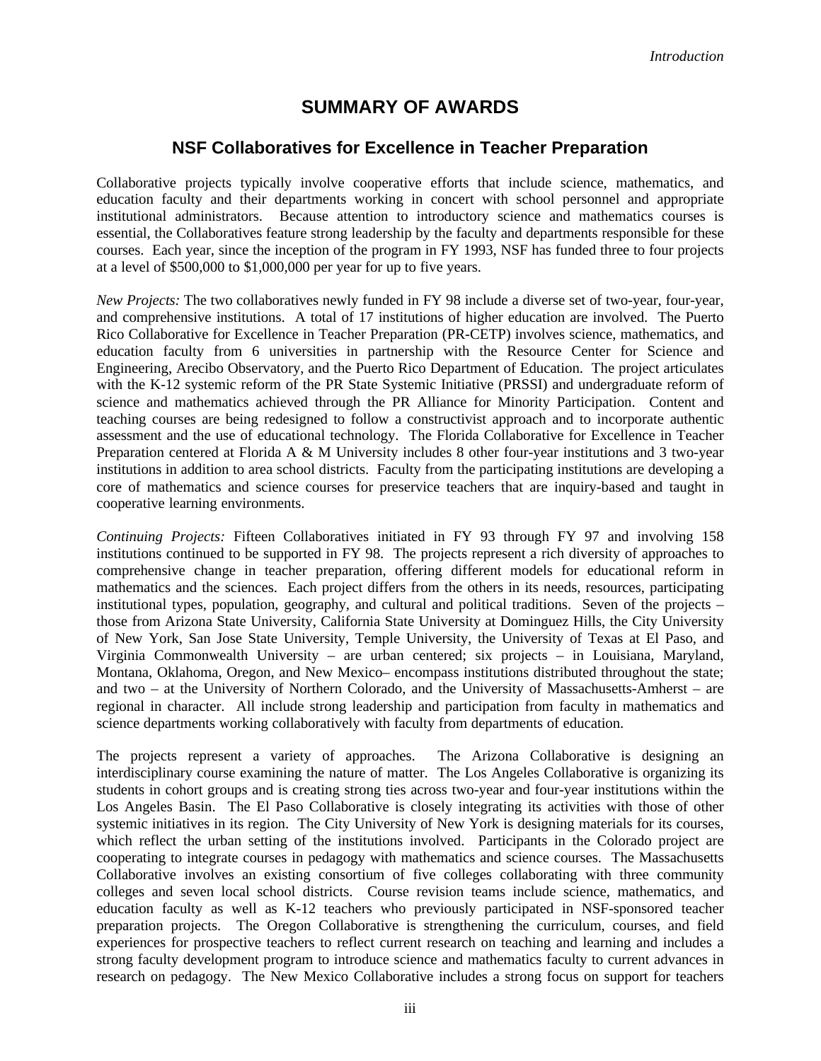# **SUMMARY OF AWARDS**

### **NSF Collaboratives for Excellence in Teacher Preparation**

Collaborative projects typically involve cooperative efforts that include science, mathematics, and education faculty and their departments working in concert with school personnel and appropriate institutional administrators. Because attention to introductory science and mathematics courses is essential, the Collaboratives feature strong leadership by the faculty and departments responsible for these courses. Each year, since the inception of the program in FY 1993, NSF has funded three to four projects at a level of \$500,000 to \$1,000,000 per year for up to five years.

*New Projects:* The two collaboratives newly funded in FY 98 include a diverse set of two-year, four-year, and comprehensive institutions. A total of 17 institutions of higher education are involved. The Puerto Rico Collaborative for Excellence in Teacher Preparation (PR-CETP) involves science, mathematics, and education faculty from 6 universities in partnership with the Resource Center for Science and Engineering, Arecibo Observatory, and the Puerto Rico Department of Education. The project articulates with the K-12 systemic reform of the PR State Systemic Initiative (PRSSI) and undergraduate reform of science and mathematics achieved through the PR Alliance for Minority Participation. Content and teaching courses are being redesigned to follow a constructivist approach and to incorporate authentic assessment and the use of educational technology. The Florida Collaborative for Excellence in Teacher Preparation centered at Florida A & M University includes 8 other four-year institutions and 3 two-year institutions in addition to area school districts. Faculty from the participating institutions are developing a core of mathematics and science courses for preservice teachers that are inquiry-based and taught in cooperative learning environments.

*Continuing Projects:* Fifteen Collaboratives initiated in FY 93 through FY 97 and involving 158 institutions continued to be supported in FY 98. The projects represent a rich diversity of approaches to comprehensive change in teacher preparation, offering different models for educational reform in mathematics and the sciences. Each project differs from the others in its needs, resources, participating institutional types, population, geography, and cultural and political traditions. Seven of the projects – those from Arizona State University, California State University at Dominguez Hills, the City University of New York, San Jose State University, Temple University, the University of Texas at El Paso, and Virginia Commonwealth University – are urban centered; six projects – in Louisiana, Maryland, Montana, Oklahoma, Oregon, and New Mexico– encompass institutions distributed throughout the state; and two – at the University of Northern Colorado, and the University of Massachusetts-Amherst – are regional in character. All include strong leadership and participation from faculty in mathematics and science departments working collaboratively with faculty from departments of education.

The projects represent a variety of approaches. The Arizona Collaborative is designing an interdisciplinary course examining the nature of matter. The Los Angeles Collaborative is organizing its students in cohort groups and is creating strong ties across two-year and four-year institutions within the Los Angeles Basin. The El Paso Collaborative is closely integrating its activities with those of other systemic initiatives in its region. The City University of New York is designing materials for its courses, which reflect the urban setting of the institutions involved. Participants in the Colorado project are cooperating to integrate courses in pedagogy with mathematics and science courses. The Massachusetts Collaborative involves an existing consortium of five colleges collaborating with three community colleges and seven local school districts. Course revision teams include science, mathematics, and education faculty as well as K-12 teachers who previously participated in NSF-sponsored teacher preparation projects. The Oregon Collaborative is strengthening the curriculum, courses, and field experiences for prospective teachers to reflect current research on teaching and learning and includes a strong faculty development program to introduce science and mathematics faculty to current advances in research on pedagogy. The New Mexico Collaborative includes a strong focus on support for teachers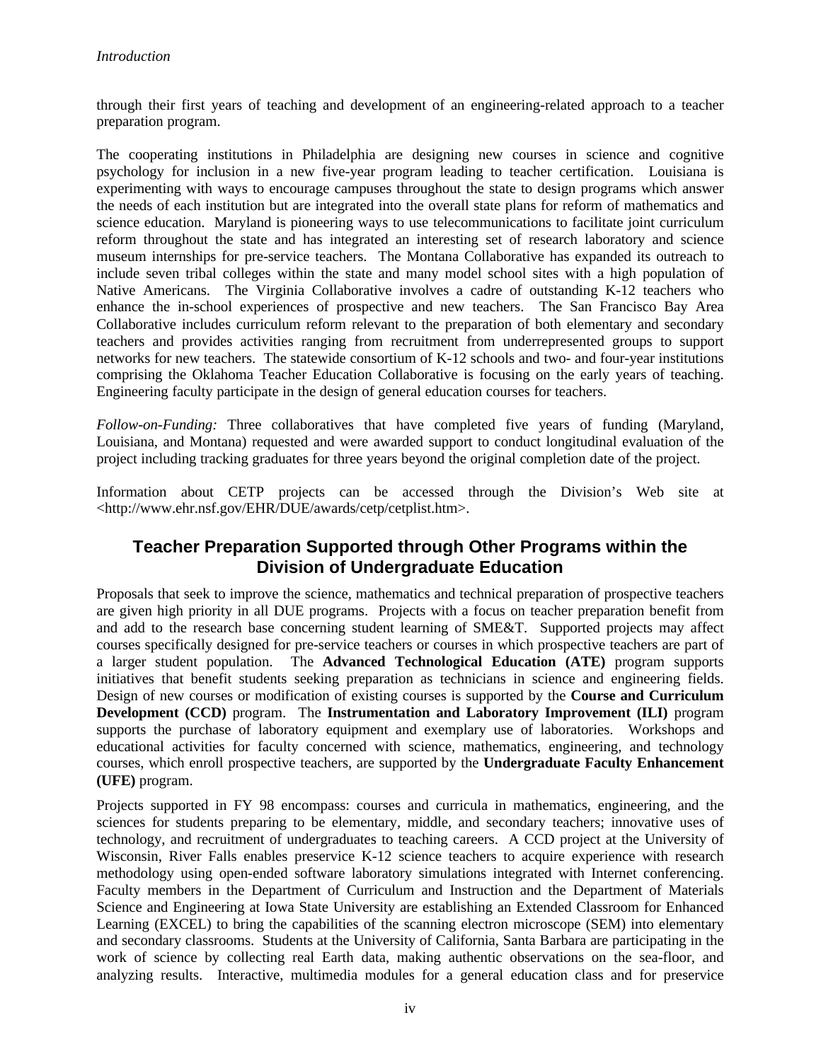through their first years of teaching and development of an engineering-related approach to a teacher preparation program.

The cooperating institutions in Philadelphia are designing new courses in science and cognitive psychology for inclusion in a new five-year program leading to teacher certification. Louisiana is experimenting with ways to encourage campuses throughout the state to design programs which answer the needs of each institution but are integrated into the overall state plans for reform of mathematics and science education. Maryland is pioneering ways to use telecommunications to facilitate joint curriculum reform throughout the state and has integrated an interesting set of research laboratory and science museum internships for pre-service teachers. The Montana Collaborative has expanded its outreach to include seven tribal colleges within the state and many model school sites with a high population of Native Americans. The Virginia Collaborative involves a cadre of outstanding K-12 teachers who enhance the in-school experiences of prospective and new teachers. The San Francisco Bay Area Collaborative includes curriculum reform relevant to the preparation of both elementary and secondary teachers and provides activities ranging from recruitment from underrepresented groups to support networks for new teachers. The statewide consortium of K-12 schools and two- and four-year institutions comprising the Oklahoma Teacher Education Collaborative is focusing on the early years of teaching. Engineering faculty participate in the design of general education courses for teachers.

*Follow-on-Funding:* Three collaboratives that have completed five years of funding (Maryland, Louisiana, and Montana) requested and were awarded support to conduct longitudinal evaluation of the project including tracking graduates for three years beyond the original completion date of the project.

Information about CETP projects can be accessed through the Division's Web site at <http://www.ehr.nsf.gov/EHR/DUE/awards/cetp/cetplist.htm>.

# **Teacher Preparation Supported through Other Programs within the Division of Undergraduate Education**

Proposals that seek to improve the science, mathematics and technical preparation of prospective teachers are given high priority in all DUE programs. Projects with a focus on teacher preparation benefit from and add to the research base concerning student learning of SME&T. Supported projects may affect courses specifically designed for pre-service teachers or courses in which prospective teachers are part of a larger student population. The **Advanced Technological Education (ATE)** program supports initiatives that benefit students seeking preparation as technicians in science and engineering fields. Design of new courses or modification of existing courses is supported by the **Course and Curriculum Development (CCD)** program. The **Instrumentation and Laboratory Improvement (ILI)** program supports the purchase of laboratory equipment and exemplary use of laboratories. Workshops and educational activities for faculty concerned with science, mathematics, engineering, and technology courses, which enroll prospective teachers, are supported by the **Undergraduate Faculty Enhancement (UFE)** program.

Projects supported in FY 98 encompass: courses and curricula in mathematics, engineering, and the sciences for students preparing to be elementary, middle, and secondary teachers; innovative uses of technology, and recruitment of undergraduates to teaching careers. A CCD project at the University of Wisconsin, River Falls enables preservice K-12 science teachers to acquire experience with research methodology using open-ended software laboratory simulations integrated with Internet conferencing. Faculty members in the Department of Curriculum and Instruction and the Department of Materials Science and Engineering at Iowa State University are establishing an Extended Classroom for Enhanced Learning (EXCEL) to bring the capabilities of the scanning electron microscope (SEM) into elementary and secondary classrooms. Students at the University of California, Santa Barbara are participating in the work of science by collecting real Earth data, making authentic observations on the sea-floor, and analyzing results. Interactive, multimedia modules for a general education class and for preservice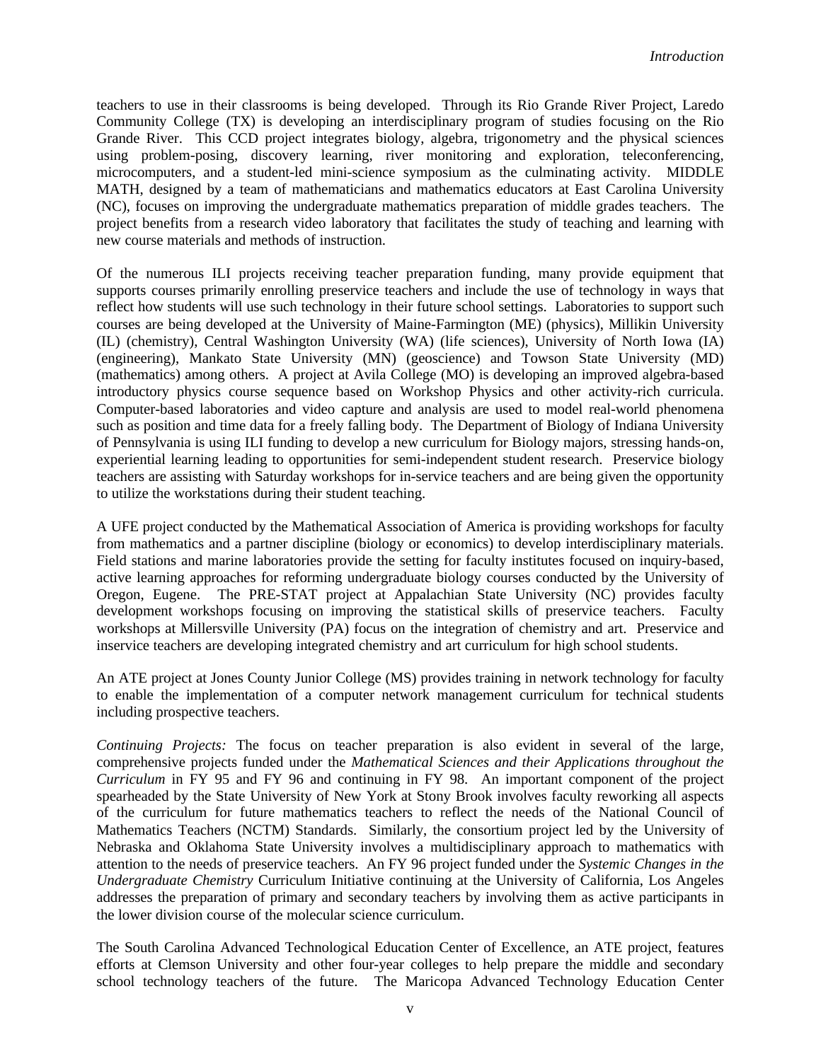teachers to use in their classrooms is being developed. Through its Rio Grande River Project, Laredo Community College (TX) is developing an interdisciplinary program of studies focusing on the Rio Grande River. This CCD project integrates biology, algebra, trigonometry and the physical sciences using problem-posing, discovery learning, river monitoring and exploration, teleconferencing, microcomputers, and a student-led mini-science symposium as the culminating activity. MIDDLE MATH, designed by a team of mathematicians and mathematics educators at East Carolina University (NC), focuses on improving the undergraduate mathematics preparation of middle grades teachers. The project benefits from a research video laboratory that facilitates the study of teaching and learning with new course materials and methods of instruction.

Of the numerous ILI projects receiving teacher preparation funding, many provide equipment that supports courses primarily enrolling preservice teachers and include the use of technology in ways that reflect how students will use such technology in their future school settings. Laboratories to support such courses are being developed at the University of Maine-Farmington (ME) (physics), Millikin University (IL) (chemistry), Central Washington University (WA) (life sciences), University of North Iowa (IA) (engineering), Mankato State University (MN) (geoscience) and Towson State University (MD) (mathematics) among others. A project at Avila College (MO) is developing an improved algebra-based introductory physics course sequence based on Workshop Physics and other activity-rich curricula. Computer-based laboratories and video capture and analysis are used to model real-world phenomena such as position and time data for a freely falling body. The Department of Biology of Indiana University of Pennsylvania is using ILI funding to develop a new curriculum for Biology majors, stressing hands-on, experiential learning leading to opportunities for semi-independent student research. Preservice biology teachers are assisting with Saturday workshops for in-service teachers and are being given the opportunity to utilize the workstations during their student teaching.

A UFE project conducted by the Mathematical Association of America is providing workshops for faculty from mathematics and a partner discipline (biology or economics) to develop interdisciplinary materials. Field stations and marine laboratories provide the setting for faculty institutes focused on inquiry-based, active learning approaches for reforming undergraduate biology courses conducted by the University of Oregon, Eugene. The PRE-STAT project at Appalachian State University (NC) provides faculty development workshops focusing on improving the statistical skills of preservice teachers. Faculty workshops at Millersville University (PA) focus on the integration of chemistry and art. Preservice and inservice teachers are developing integrated chemistry and art curriculum for high school students.

An ATE project at Jones County Junior College (MS) provides training in network technology for faculty to enable the implementation of a computer network management curriculum for technical students including prospective teachers.

*Continuing Projects:* The focus on teacher preparation is also evident in several of the large, comprehensive projects funded under the *Mathematical Sciences and their Applications throughout the Curriculum* in FY 95 and FY 96 and continuing in FY 98. An important component of the project spearheaded by the State University of New York at Stony Brook involves faculty reworking all aspects of the curriculum for future mathematics teachers to reflect the needs of the National Council of Mathematics Teachers (NCTM) Standards. Similarly, the consortium project led by the University of Nebraska and Oklahoma State University involves a multidisciplinary approach to mathematics with attention to the needs of preservice teachers. An FY 96 project funded under the *Systemic Changes in the Undergraduate Chemistry* Curriculum Initiative continuing at the University of California, Los Angeles addresses the preparation of primary and secondary teachers by involving them as active participants in the lower division course of the molecular science curriculum.

The South Carolina Advanced Technological Education Center of Excellence, an ATE project, features efforts at Clemson University and other four-year colleges to help prepare the middle and secondary school technology teachers of the future. The Maricopa Advanced Technology Education Center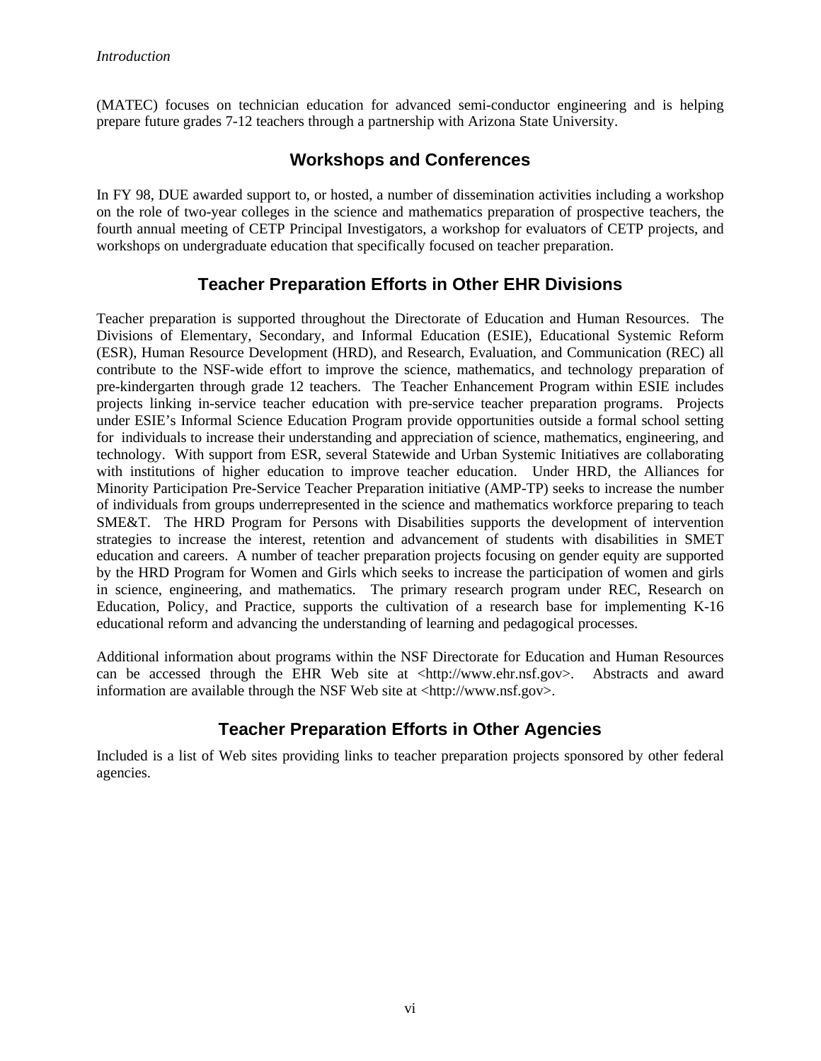(MATEC) focuses on technician education for advanced semi-conductor engineering and is helping prepare future grades 7-12 teachers through a partnership with Arizona State University.

# **Workshops and Conferences**

In FY 98, DUE awarded support to, or hosted, a number of dissemination activities including a workshop on the role of two-year colleges in the science and mathematics preparation of prospective teachers, the fourth annual meeting of CETP Principal Investigators, a workshop for evaluators of CETP projects, and workshops on undergraduate education that specifically focused on teacher preparation.

# **Teacher Preparation Efforts in Other EHR Divisions**

Teacher preparation is supported throughout the Directorate of Education and Human Resources. The Divisions of Elementary, Secondary, and Informal Education (ESIE), Educational Systemic Reform (ESR), Human Resource Development (HRD), and Research, Evaluation, and Communication (REC) all contribute to the NSF-wide effort to improve the science, mathematics, and technology preparation of pre-kindergarten through grade 12 teachers. The Teacher Enhancement Program within ESIE includes projects linking in-service teacher education with pre-service teacher preparation programs. Projects under ESIE's Informal Science Education Program provide opportunities outside a formal school setting for individuals to increase their understanding and appreciation of science, mathematics, engineering, and technology. With support from ESR, several Statewide and Urban Systemic Initiatives are collaborating with institutions of higher education to improve teacher education. Under HRD, the Alliances for Minority Participation Pre-Service Teacher Preparation initiative (AMP-TP) seeks to increase the number of individuals from groups underrepresented in the science and mathematics workforce preparing to teach SME&T. The HRD Program for Persons with Disabilities supports the development of intervention strategies to increase the interest, retention and advancement of students with disabilities in SMET education and careers. A number of teacher preparation projects focusing on gender equity are supported by the HRD Program for Women and Girls which seeks to increase the participation of women and girls in science, engineering, and mathematics. The primary research program under REC, Research on Education, Policy, and Practice, supports the cultivation of a research base for implementing K-16 educational reform and advancing the understanding of learning and pedagogical processes.

Additional information about programs within the NSF Directorate for Education and Human Resources can be accessed through the EHR Web site at <http://www.ehr.nsf.gov>. Abstracts and award information are available through the NSF Web site at <http://www.nsf.gov>.

# **Teacher Preparation Efforts in Other Agencies**

Included is a list of Web sites providing links to teacher preparation projects sponsored by other federal agencies.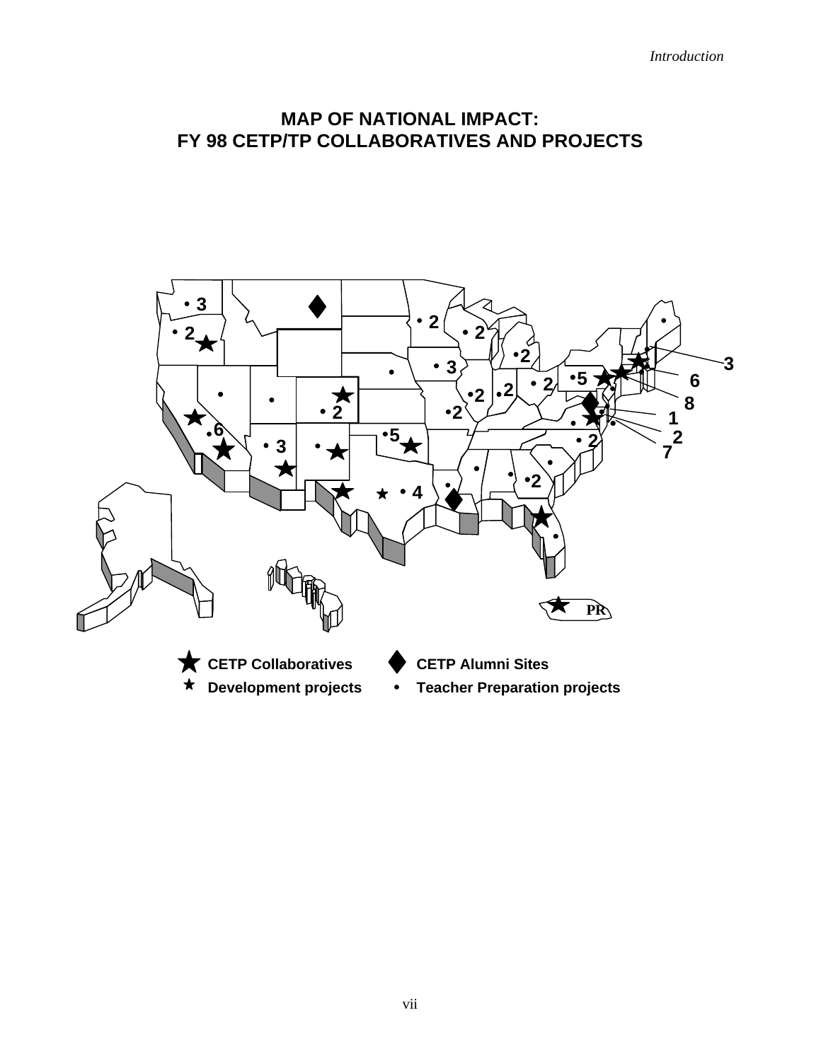# **MAP OF NATIONAL IMPACT: FY 98 CETP/TP COLLABORATIVES AND PROJECTS**

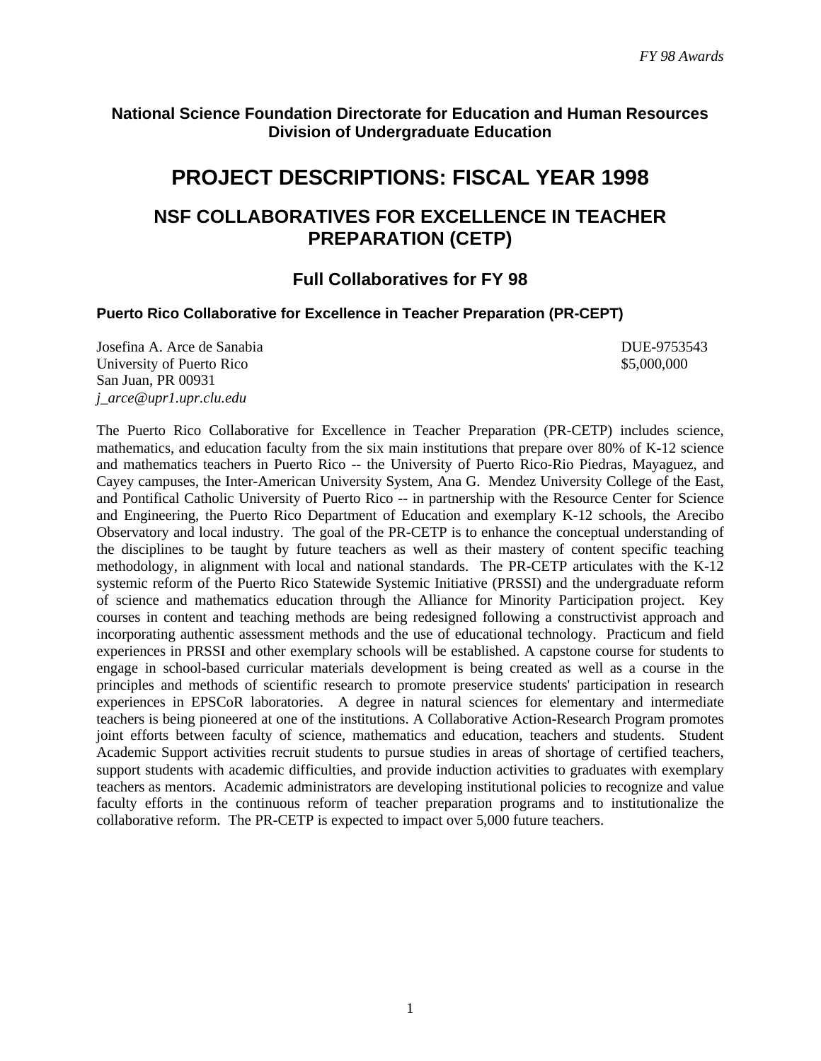### **National Science Foundation Directorate for Education and Human Resources Division of Undergraduate Education**

# **PROJECT DESCRIPTIONS: FISCAL YEAR 1998**

# **NSF COLLABORATIVES FOR EXCELLENCE IN TEACHER PREPARATION (CETP)**

# **Full Collaboratives for FY 98**

#### **Puerto Rico Collaborative for Excellence in Teacher Preparation (PR-CEPT)**

Josefina A. Arce de Sanabia DUE-9753543 University of Puerto Rico  $$5,000,000$ San Juan, PR 00931 *j\_arce@upr1.upr.clu.edu*

The Puerto Rico Collaborative for Excellence in Teacher Preparation (PR-CETP) includes science, mathematics, and education faculty from the six main institutions that prepare over 80% of K-12 science and mathematics teachers in Puerto Rico -- the University of Puerto Rico-Rio Piedras, Mayaguez, and Cayey campuses, the Inter-American University System, Ana G. Mendez University College of the East, and Pontifical Catholic University of Puerto Rico -- in partnership with the Resource Center for Science and Engineering, the Puerto Rico Department of Education and exemplary K-12 schools, the Arecibo Observatory and local industry. The goal of the PR-CETP is to enhance the conceptual understanding of the disciplines to be taught by future teachers as well as their mastery of content specific teaching methodology, in alignment with local and national standards. The PR-CETP articulates with the K-12 systemic reform of the Puerto Rico Statewide Systemic Initiative (PRSSI) and the undergraduate reform of science and mathematics education through the Alliance for Minority Participation project. Key courses in content and teaching methods are being redesigned following a constructivist approach and incorporating authentic assessment methods and the use of educational technology. Practicum and field experiences in PRSSI and other exemplary schools will be established. A capstone course for students to engage in school-based curricular materials development is being created as well as a course in the principles and methods of scientific research to promote preservice students' participation in research experiences in EPSCoR laboratories. A degree in natural sciences for elementary and intermediate teachers is being pioneered at one of the institutions. A Collaborative Action-Research Program promotes joint efforts between faculty of science, mathematics and education, teachers and students. Student Academic Support activities recruit students to pursue studies in areas of shortage of certified teachers, support students with academic difficulties, and provide induction activities to graduates with exemplary teachers as mentors. Academic administrators are developing institutional policies to recognize and value faculty efforts in the continuous reform of teacher preparation programs and to institutionalize the collaborative reform. The PR-CETP is expected to impact over 5,000 future teachers.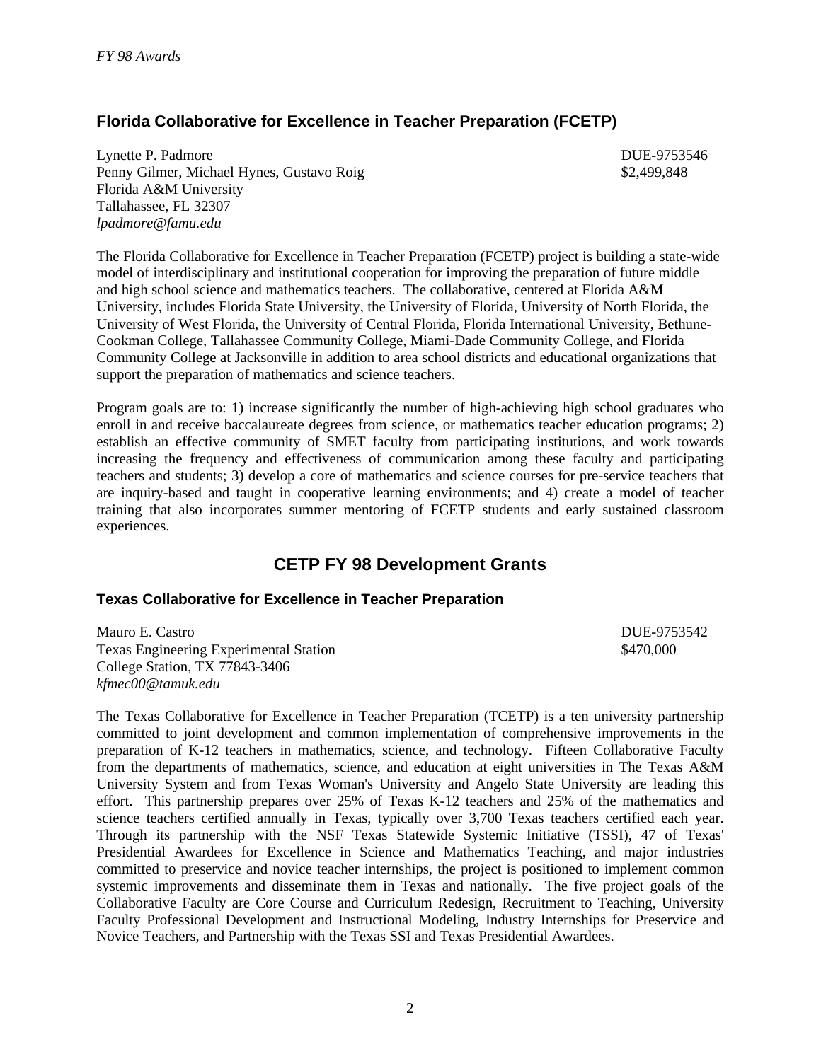# **Florida Collaborative for Excellence in Teacher Preparation (FCETP)**

Lynette P. Padmore DUE-9753546 Penny Gilmer, Michael Hynes, Gustavo Roig \$2,499,848 Florida A&M University Tallahassee, FL 32307 *lpadmore@famu.edu*

The Florida Collaborative for Excellence in Teacher Preparation (FCETP) project is building a state-wide model of interdisciplinary and institutional cooperation for improving the preparation of future middle and high school science and mathematics teachers. The collaborative, centered at Florida A&M University, includes Florida State University, the University of Florida, University of North Florida, the University of West Florida, the University of Central Florida, Florida International University, Bethune-Cookman College, Tallahassee Community College, Miami-Dade Community College, and Florida Community College at Jacksonville in addition to area school districts and educational organizations that support the preparation of mathematics and science teachers.

Program goals are to: 1) increase significantly the number of high-achieving high school graduates who enroll in and receive baccalaureate degrees from science, or mathematics teacher education programs; 2) establish an effective community of SMET faculty from participating institutions, and work towards increasing the frequency and effectiveness of communication among these faculty and participating teachers and students; 3) develop a core of mathematics and science courses for pre-service teachers that are inquiry-based and taught in cooperative learning environments; and 4) create a model of teacher training that also incorporates summer mentoring of FCETP students and early sustained classroom experiences.

# **CETP FY 98 Development Grants**

### **Texas Collaborative for Excellence in Teacher Preparation**

Mauro E. Castro DUE-9753542 Texas Engineering Experimental Station \$470,000 College Station, TX 77843-3406 *kfmec00@tamuk.edu*

The Texas Collaborative for Excellence in Teacher Preparation (TCETP) is a ten university partnership committed to joint development and common implementation of comprehensive improvements in the preparation of K-12 teachers in mathematics, science, and technology. Fifteen Collaborative Faculty from the departments of mathematics, science, and education at eight universities in The Texas A&M University System and from Texas Woman's University and Angelo State University are leading this effort. This partnership prepares over 25% of Texas K-12 teachers and 25% of the mathematics and science teachers certified annually in Texas, typically over 3,700 Texas teachers certified each year. Through its partnership with the NSF Texas Statewide Systemic Initiative (TSSI), 47 of Texas' Presidential Awardees for Excellence in Science and Mathematics Teaching, and major industries committed to preservice and novice teacher internships, the project is positioned to implement common systemic improvements and disseminate them in Texas and nationally. The five project goals of the Collaborative Faculty are Core Course and Curriculum Redesign, Recruitment to Teaching, University Faculty Professional Development and Instructional Modeling, Industry Internships for Preservice and Novice Teachers, and Partnership with the Texas SSI and Texas Presidential Awardees.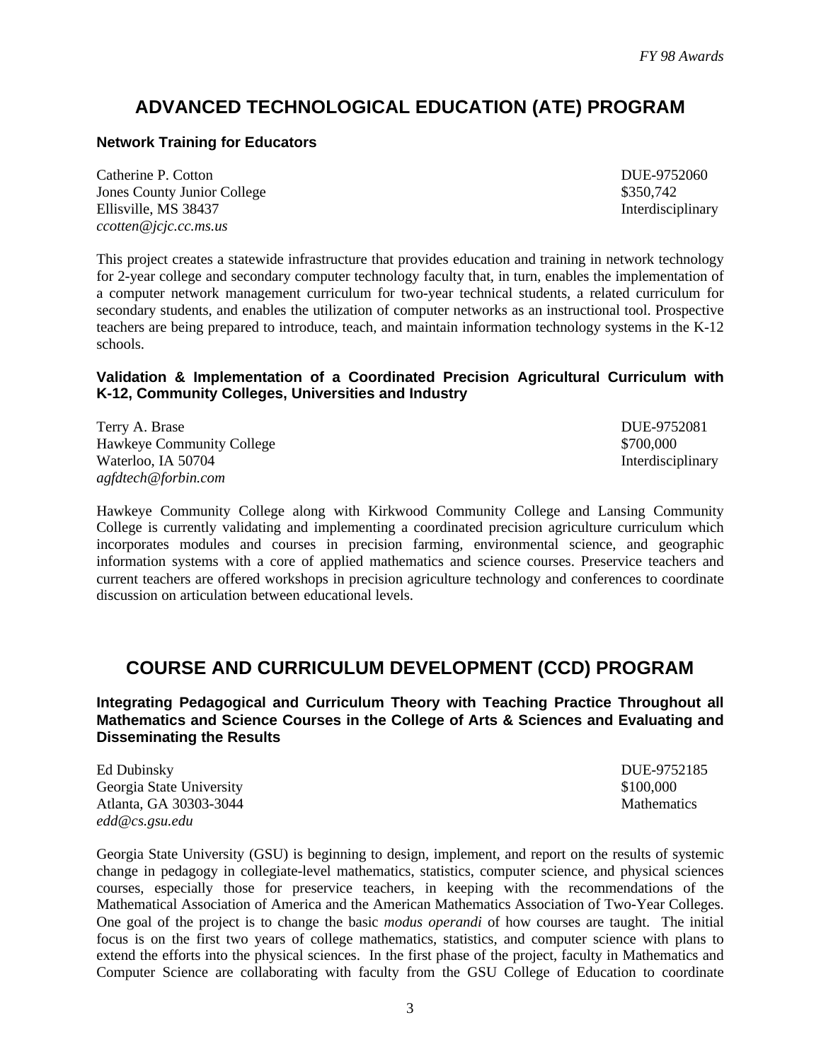# **ADVANCED TECHNOLOGICAL EDUCATION (ATE) PROGRAM**

### **Network Training for Educators**

Catherine P. Cotton DUE-9752060 Jones County Junior College \$350,742 Ellisville, MS 38437 Interdisciplinary *ccotten@jcjc.cc.ms.us*

This project creates a statewide infrastructure that provides education and training in network technology for 2-year college and secondary computer technology faculty that, in turn, enables the implementation of a computer network management curriculum for two-year technical students, a related curriculum for secondary students, and enables the utilization of computer networks as an instructional tool. Prospective teachers are being prepared to introduce, teach, and maintain information technology systems in the K-12 schools.

### **Validation & Implementation of a Coordinated Precision Agricultural Curriculum with K-12, Community Colleges, Universities and Industry**

Terry A. Brase DUE-9752081 Hawkeye Community College  $$700,000$ Waterloo, IA 50704 Interdisciplinary *agfdtech@forbin.com*

Hawkeye Community College along with Kirkwood Community College and Lansing Community College is currently validating and implementing a coordinated precision agriculture curriculum which incorporates modules and courses in precision farming, environmental science, and geographic information systems with a core of applied mathematics and science courses. Preservice teachers and current teachers are offered workshops in precision agriculture technology and conferences to coordinate discussion on articulation between educational levels.

# **COURSE AND CURRICULUM DEVELOPMENT (CCD) PROGRAM**

**Integrating Pedagogical and Curriculum Theory with Teaching Practice Throughout all Mathematics and Science Courses in the College of Arts & Sciences and Evaluating and Disseminating the Results**

Ed Dubinsky DUE-9752185 Georgia State University \$100,000 Atlanta, GA 30303-3044 Mathematics Mathematics *edd@cs.gsu.edu*

Georgia State University (GSU) is beginning to design, implement, and report on the results of systemic change in pedagogy in collegiate-level mathematics, statistics, computer science, and physical sciences courses, especially those for preservice teachers, in keeping with the recommendations of the Mathematical Association of America and the American Mathematics Association of Two-Year Colleges. One goal of the project is to change the basic *modus operandi* of how courses are taught. The initial focus is on the first two years of college mathematics, statistics, and computer science with plans to extend the efforts into the physical sciences. In the first phase of the project, faculty in Mathematics and Computer Science are collaborating with faculty from the GSU College of Education to coordinate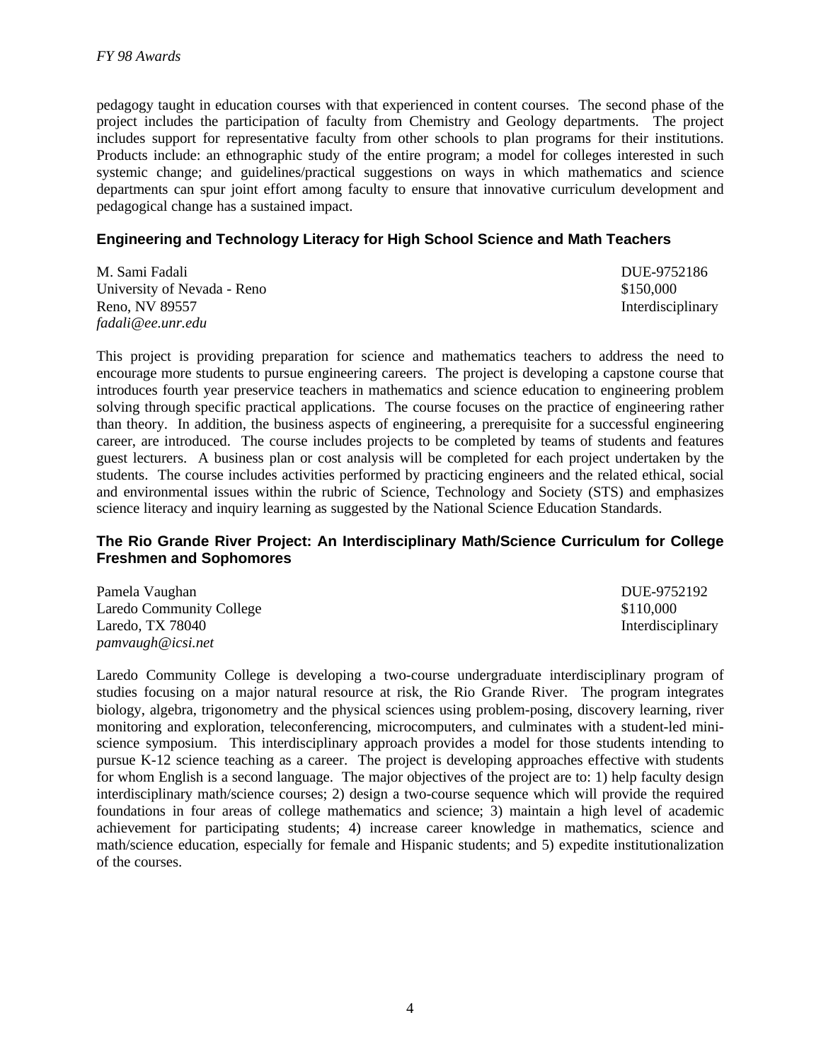pedagogy taught in education courses with that experienced in content courses. The second phase of the project includes the participation of faculty from Chemistry and Geology departments. The project includes support for representative faculty from other schools to plan programs for their institutions. Products include: an ethnographic study of the entire program; a model for colleges interested in such systemic change; and guidelines/practical suggestions on ways in which mathematics and science departments can spur joint effort among faculty to ensure that innovative curriculum development and pedagogical change has a sustained impact.

#### **Engineering and Technology Literacy for High School Science and Math Teachers**

M. Sami Fadali DUE-9752186 University of Nevada - Reno  $$150,000$ Reno, NV 89557 Interdisciplinary *fadali@ee.unr.edu*

This project is providing preparation for science and mathematics teachers to address the need to encourage more students to pursue engineering careers. The project is developing a capstone course that introduces fourth year preservice teachers in mathematics and science education to engineering problem solving through specific practical applications. The course focuses on the practice of engineering rather than theory. In addition, the business aspects of engineering, a prerequisite for a successful engineering career, are introduced. The course includes projects to be completed by teams of students and features guest lecturers. A business plan or cost analysis will be completed for each project undertaken by the students. The course includes activities performed by practicing engineers and the related ethical, social and environmental issues within the rubric of Science, Technology and Society (STS) and emphasizes science literacy and inquiry learning as suggested by the National Science Education Standards.

#### **The Rio Grande River Project: An Interdisciplinary Math/Science Curriculum for College Freshmen and Sophomores**

Pamela Vaughan DUE-9752192 Laredo Community College  $$110,000$ *pamvaugh@icsi.net*

Laredo, TX 78040 Interdisciplinary Laredo Community College is developing a two-course undergraduate interdisciplinary program of studies focusing on a major natural resource at risk, the Rio Grande River. The program integrates biology, algebra, trigonometry and the physical sciences using problem-posing, discovery learning, river monitoring and exploration, teleconferencing, microcomputers, and culminates with a student-led mini-

science symposium. This interdisciplinary approach provides a model for those students intending to pursue K-12 science teaching as a career. The project is developing approaches effective with students for whom English is a second language. The major objectives of the project are to: 1) help faculty design interdisciplinary math/science courses; 2) design a two-course sequence which will provide the required foundations in four areas of college mathematics and science; 3) maintain a high level of academic achievement for participating students; 4) increase career knowledge in mathematics, science and math/science education, especially for female and Hispanic students; and 5) expedite institutionalization of the courses.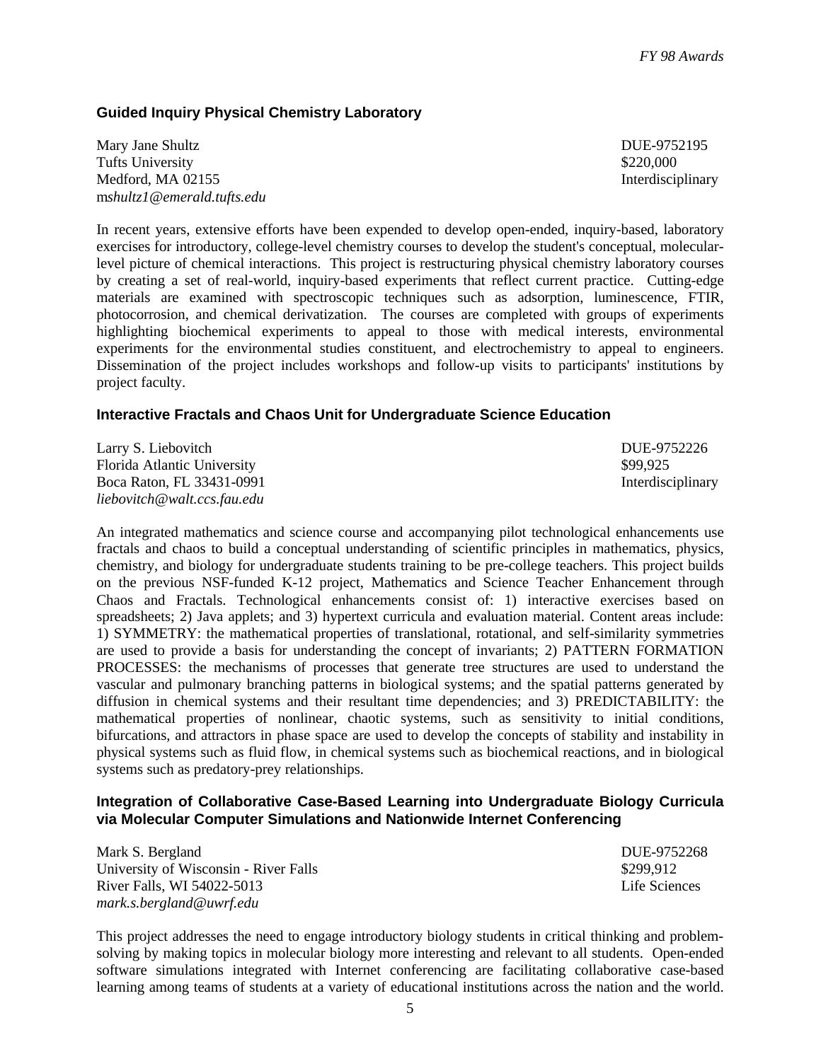### **Guided Inquiry Physical Chemistry Laboratory**

Mary Jane Shultz DUE-9752195 Tufts University \$220,000 Medford, MA 02155 Interdisciplinary m*shultz1@emerald.tufts.edu*

In recent years, extensive efforts have been expended to develop open-ended, inquiry-based, laboratory exercises for introductory, college-level chemistry courses to develop the student's conceptual, molecularlevel picture of chemical interactions. This project is restructuring physical chemistry laboratory courses by creating a set of real-world, inquiry-based experiments that reflect current practice. Cutting-edge materials are examined with spectroscopic techniques such as adsorption, luminescence, FTIR, photocorrosion, and chemical derivatization. The courses are completed with groups of experiments highlighting biochemical experiments to appeal to those with medical interests, environmental experiments for the environmental studies constituent, and electrochemistry to appeal to engineers. Dissemination of the project includes workshops and follow-up visits to participants' institutions by project faculty.

#### **Interactive Fractals and Chaos Unit for Undergraduate Science Education**

| Larry S. Liebovitch         | DUE-9752226       |
|-----------------------------|-------------------|
| Florida Atlantic University | \$99.925          |
| Boca Raton. FL 33431-0991   | Interdisciplinary |
| liebovitch@walt.ccs.fau.edu |                   |

An integrated mathematics and science course and accompanying pilot technological enhancements use fractals and chaos to build a conceptual understanding of scientific principles in mathematics, physics, chemistry, and biology for undergraduate students training to be pre-college teachers. This project builds on the previous NSF-funded K-12 project, Mathematics and Science Teacher Enhancement through Chaos and Fractals. Technological enhancements consist of: 1) interactive exercises based on spreadsheets; 2) Java applets; and 3) hypertext curricula and evaluation material. Content areas include: 1) SYMMETRY: the mathematical properties of translational, rotational, and self-similarity symmetries are used to provide a basis for understanding the concept of invariants; 2) PATTERN FORMATION PROCESSES: the mechanisms of processes that generate tree structures are used to understand the vascular and pulmonary branching patterns in biological systems; and the spatial patterns generated by diffusion in chemical systems and their resultant time dependencies; and 3) PREDICTABILITY: the mathematical properties of nonlinear, chaotic systems, such as sensitivity to initial conditions, bifurcations, and attractors in phase space are used to develop the concepts of stability and instability in physical systems such as fluid flow, in chemical systems such as biochemical reactions, and in biological systems such as predatory-prey relationships.

#### **Integration of Collaborative Case-Based Learning into Undergraduate Biology Curricula via Molecular Computer Simulations and Nationwide Internet Conferencing**

Mark S. Bergland DUE-9752268 University of Wisconsin - River Falls  $$299,912$ River Falls, WI 54022-5013 Life Sciences *mark.s.bergland@uwrf.edu*

This project addresses the need to engage introductory biology students in critical thinking and problemsolving by making topics in molecular biology more interesting and relevant to all students. Open-ended software simulations integrated with Internet conferencing are facilitating collaborative case-based learning among teams of students at a variety of educational institutions across the nation and the world.

5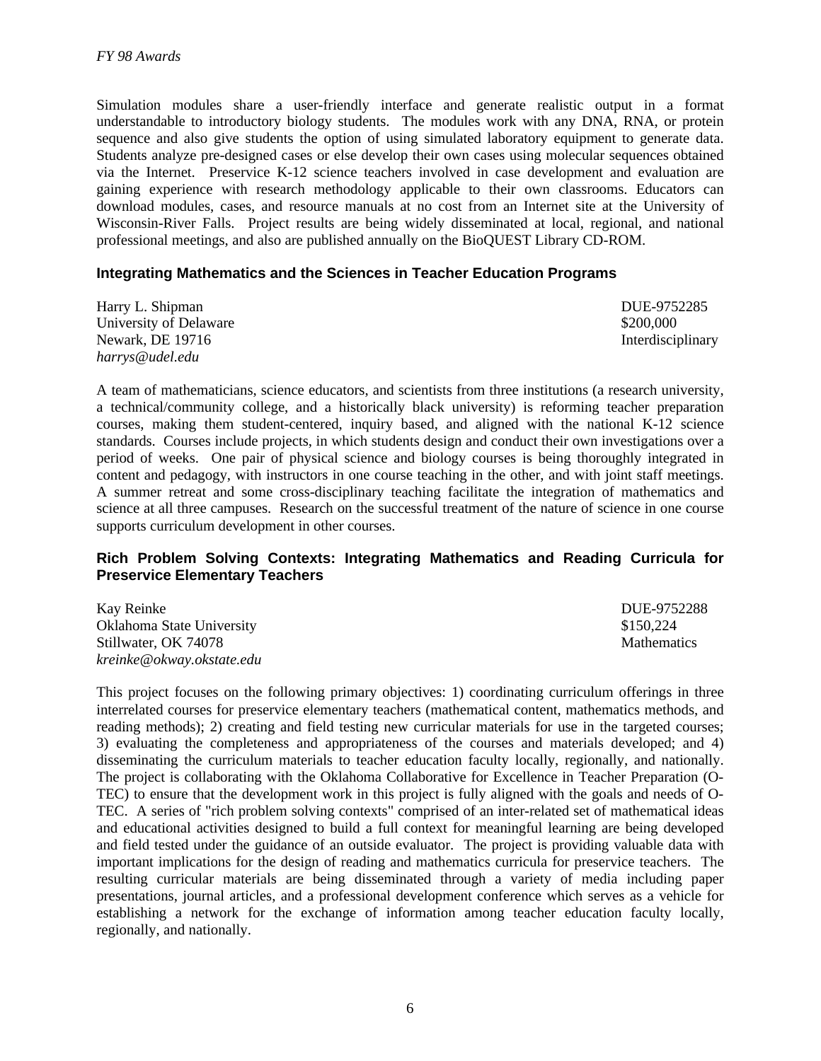Simulation modules share a user-friendly interface and generate realistic output in a format understandable to introductory biology students. The modules work with any DNA, RNA, or protein sequence and also give students the option of using simulated laboratory equipment to generate data. Students analyze pre-designed cases or else develop their own cases using molecular sequences obtained via the Internet. Preservice K-12 science teachers involved in case development and evaluation are gaining experience with research methodology applicable to their own classrooms. Educators can download modules, cases, and resource manuals at no cost from an Internet site at the University of Wisconsin-River Falls. Project results are being widely disseminated at local, regional, and national professional meetings, and also are published annually on the BioQUEST Library CD-ROM.

#### **Integrating Mathematics and the Sciences in Teacher Education Programs**

| Harry L. Shipman        | DUE-9752285       |
|-------------------------|-------------------|
| University of Delaware  | \$200,000         |
| <b>Newark, DE 19716</b> | Interdisciplinary |
| harrys@udel.edu         |                   |

A team of mathematicians, science educators, and scientists from three institutions (a research university, a technical/community college, and a historically black university) is reforming teacher preparation courses, making them student-centered, inquiry based, and aligned with the national K-12 science standards. Courses include projects, in which students design and conduct their own investigations over a period of weeks. One pair of physical science and biology courses is being thoroughly integrated in content and pedagogy, with instructors in one course teaching in the other, and with joint staff meetings. A summer retreat and some cross-disciplinary teaching facilitate the integration of mathematics and science at all three campuses. Research on the successful treatment of the nature of science in one course supports curriculum development in other courses.

#### **Rich Problem Solving Contexts: Integrating Mathematics and Reading Curricula for Preservice Elementary Teachers**

| Kay Reinke                | DUE-9752288        |
|---------------------------|--------------------|
| Oklahoma State University | \$150.224          |
| Stillwater, OK 74078      | <b>Mathematics</b> |
| kreinke@okway.okstate.edu |                    |

This project focuses on the following primary objectives: 1) coordinating curriculum offerings in three interrelated courses for preservice elementary teachers (mathematical content, mathematics methods, and reading methods); 2) creating and field testing new curricular materials for use in the targeted courses; 3) evaluating the completeness and appropriateness of the courses and materials developed; and 4) disseminating the curriculum materials to teacher education faculty locally, regionally, and nationally. The project is collaborating with the Oklahoma Collaborative for Excellence in Teacher Preparation (O-TEC) to ensure that the development work in this project is fully aligned with the goals and needs of O-TEC. A series of "rich problem solving contexts" comprised of an inter-related set of mathematical ideas and educational activities designed to build a full context for meaningful learning are being developed and field tested under the guidance of an outside evaluator. The project is providing valuable data with important implications for the design of reading and mathematics curricula for preservice teachers. The resulting curricular materials are being disseminated through a variety of media including paper presentations, journal articles, and a professional development conference which serves as a vehicle for establishing a network for the exchange of information among teacher education faculty locally, regionally, and nationally.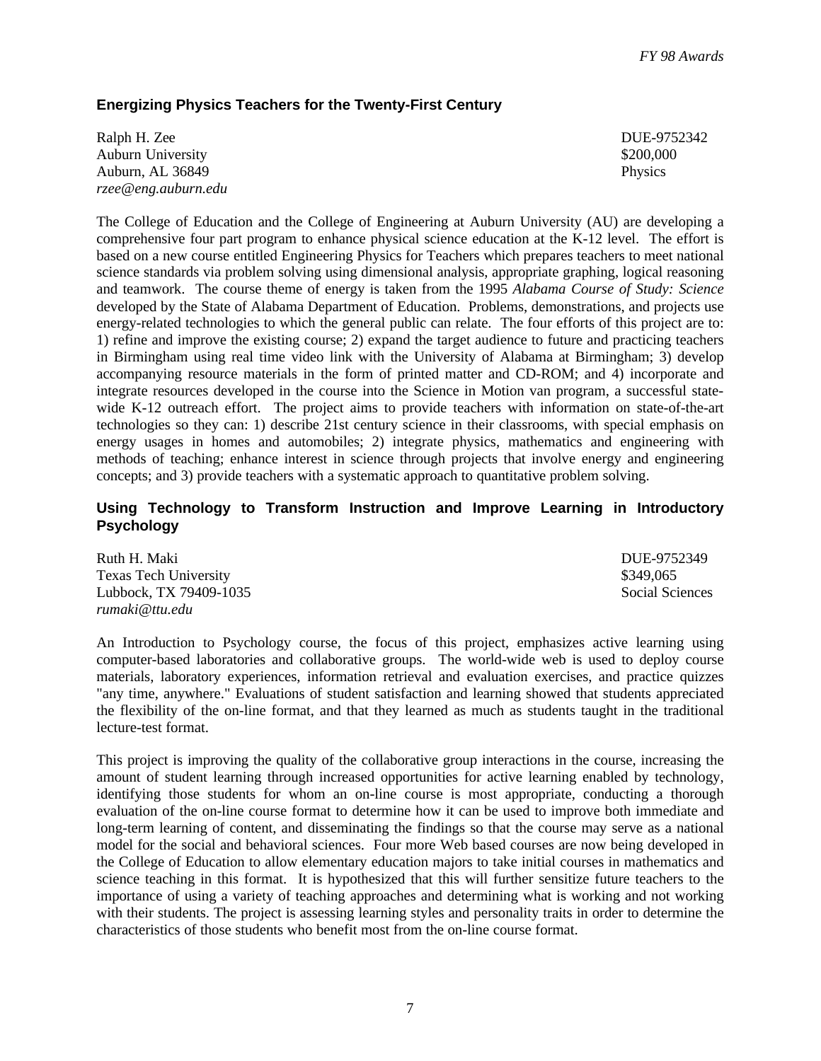#### **Energizing Physics Teachers for the Twenty-First Century**

| Ralph H. Zee        | <b>DUE-975</b> |
|---------------------|----------------|
| Auburn University   | \$200,000      |
| Auburn, AL 36849    | <b>Physics</b> |
| rzee@eng.auburn.edu |                |

DUE-9752342

The College of Education and the College of Engineering at Auburn University (AU) are developing a comprehensive four part program to enhance physical science education at the K-12 level. The effort is based on a new course entitled Engineering Physics for Teachers which prepares teachers to meet national science standards via problem solving using dimensional analysis, appropriate graphing, logical reasoning and teamwork. The course theme of energy is taken from the 1995 *Alabama Course of Study: Science* developed by the State of Alabama Department of Education. Problems, demonstrations, and projects use energy-related technologies to which the general public can relate. The four efforts of this project are to: 1) refine and improve the existing course; 2) expand the target audience to future and practicing teachers in Birmingham using real time video link with the University of Alabama at Birmingham; 3) develop accompanying resource materials in the form of printed matter and CD-ROM; and 4) incorporate and integrate resources developed in the course into the Science in Motion van program, a successful statewide K-12 outreach effort. The project aims to provide teachers with information on state-of-the-art technologies so they can: 1) describe 21st century science in their classrooms, with special emphasis on energy usages in homes and automobiles; 2) integrate physics, mathematics and engineering with methods of teaching; enhance interest in science through projects that involve energy and engineering concepts; and 3) provide teachers with a systematic approach to quantitative problem solving.

#### **Using Technology to Transform Instruction and Improve Learning in Introductory Psychology**

| Ruth H. Maki                 | DUE-9752349     |
|------------------------------|-----------------|
| <b>Texas Tech University</b> | \$349,065       |
| Lubbock, TX 79409-1035       | Social Sciences |
| rumaki@ttu.edu               |                 |

An Introduction to Psychology course, the focus of this project, emphasizes active learning using computer-based laboratories and collaborative groups. The world-wide web is used to deploy course materials, laboratory experiences, information retrieval and evaluation exercises, and practice quizzes "any time, anywhere." Evaluations of student satisfaction and learning showed that students appreciated the flexibility of the on-line format, and that they learned as much as students taught in the traditional lecture-test format.

This project is improving the quality of the collaborative group interactions in the course, increasing the amount of student learning through increased opportunities for active learning enabled by technology, identifying those students for whom an on-line course is most appropriate, conducting a thorough evaluation of the on-line course format to determine how it can be used to improve both immediate and long-term learning of content, and disseminating the findings so that the course may serve as a national model for the social and behavioral sciences. Four more Web based courses are now being developed in the College of Education to allow elementary education majors to take initial courses in mathematics and science teaching in this format. It is hypothesized that this will further sensitize future teachers to the importance of using a variety of teaching approaches and determining what is working and not working with their students. The project is assessing learning styles and personality traits in order to determine the characteristics of those students who benefit most from the on-line course format.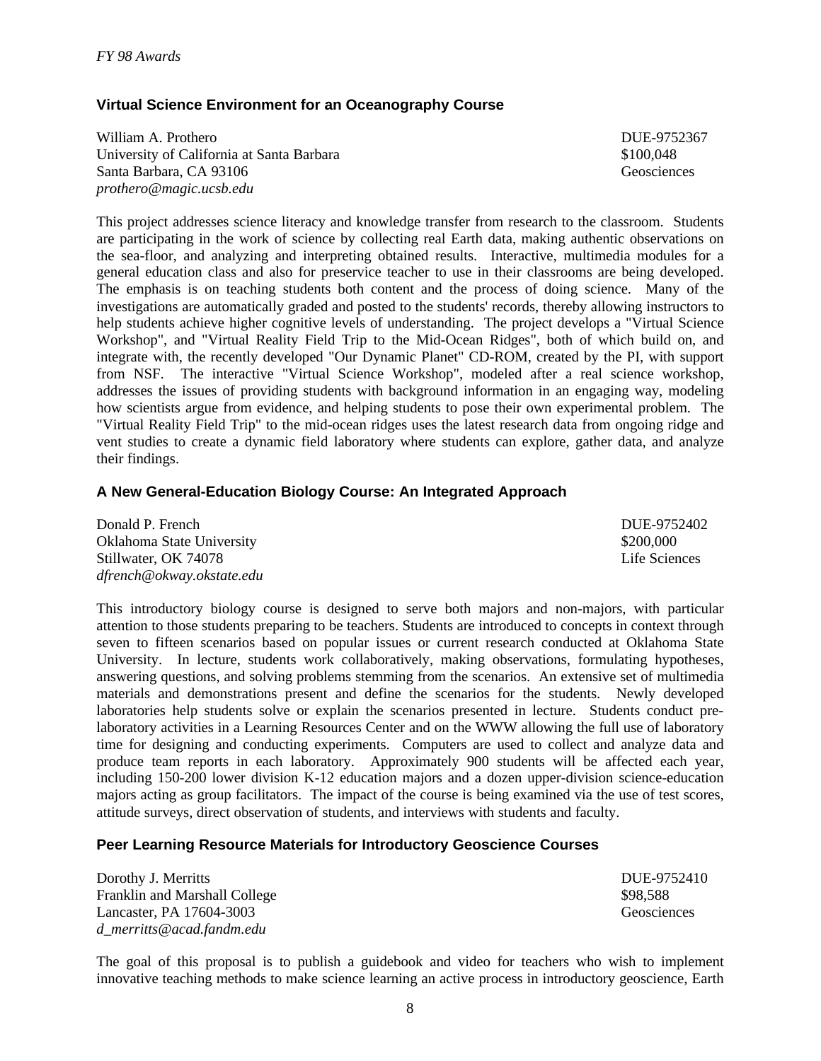### **Virtual Science Environment for an Oceanography Course**

William A. Prothero **DUE-9752367** University of California at Santa Barbara  $$100,048$ Santa Barbara, CA 93106 Geosciences *prothero@magic.ucsb.edu*

This project addresses science literacy and knowledge transfer from research to the classroom. Students are participating in the work of science by collecting real Earth data, making authentic observations on the sea-floor, and analyzing and interpreting obtained results. Interactive, multimedia modules for a general education class and also for preservice teacher to use in their classrooms are being developed. The emphasis is on teaching students both content and the process of doing science. Many of the investigations are automatically graded and posted to the students' records, thereby allowing instructors to help students achieve higher cognitive levels of understanding. The project develops a "Virtual Science Workshop", and "Virtual Reality Field Trip to the Mid-Ocean Ridges", both of which build on, and integrate with, the recently developed "Our Dynamic Planet" CD-ROM, created by the PI, with support from NSF. The interactive "Virtual Science Workshop", modeled after a real science workshop, addresses the issues of providing students with background information in an engaging way, modeling how scientists argue from evidence, and helping students to pose their own experimental problem. The "Virtual Reality Field Trip" to the mid-ocean ridges uses the latest research data from ongoing ridge and vent studies to create a dynamic field laboratory where students can explore, gather data, and analyze their findings.

#### **A New General-Education Biology Course: An Integrated Approach**

| Donald P. French          | DUE-9752402   |
|---------------------------|---------------|
| Oklahoma State University | \$200,000     |
| Stillwater, OK 74078      | Life Sciences |
| dfrench@okway.okstate.edu |               |

This introductory biology course is designed to serve both majors and non-majors, with particular attention to those students preparing to be teachers. Students are introduced to concepts in context through seven to fifteen scenarios based on popular issues or current research conducted at Oklahoma State University. In lecture, students work collaboratively, making observations, formulating hypotheses, answering questions, and solving problems stemming from the scenarios. An extensive set of multimedia materials and demonstrations present and define the scenarios for the students. Newly developed laboratories help students solve or explain the scenarios presented in lecture. Students conduct prelaboratory activities in a Learning Resources Center and on the WWW allowing the full use of laboratory time for designing and conducting experiments. Computers are used to collect and analyze data and produce team reports in each laboratory. Approximately 900 students will be affected each year, including 150-200 lower division K-12 education majors and a dozen upper-division science-education majors acting as group facilitators. The impact of the course is being examined via the use of test scores, attitude surveys, direct observation of students, and interviews with students and faculty.

#### **Peer Learning Resource Materials for Introductory Geoscience Courses**

Dorothy J. Merritts DUE-9752410 Franklin and Marshall College  $$98,588$ Lancaster, PA 17604-3003 Geosciences *d\_merritts@acad.fandm.edu*

The goal of this proposal is to publish a guidebook and video for teachers who wish to implement innovative teaching methods to make science learning an active process in introductory geoscience, Earth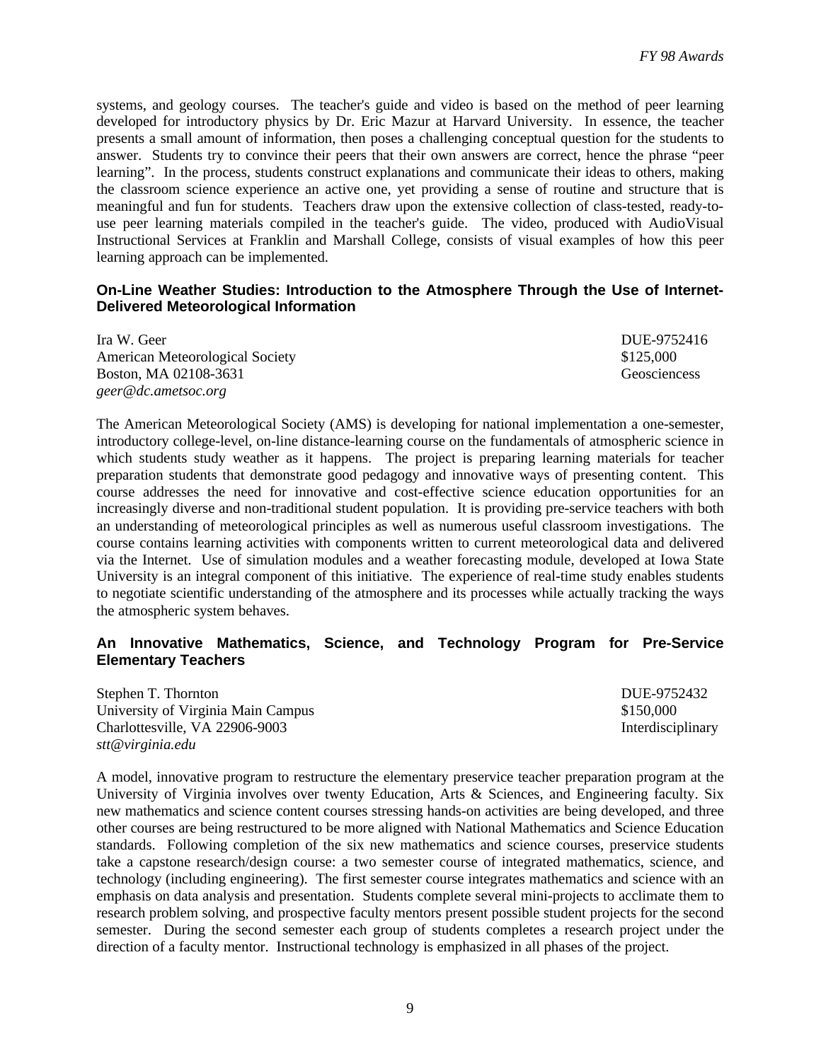systems, and geology courses. The teacher's guide and video is based on the method of peer learning developed for introductory physics by Dr. Eric Mazur at Harvard University. In essence, the teacher presents a small amount of information, then poses a challenging conceptual question for the students to answer. Students try to convince their peers that their own answers are correct, hence the phrase "peer learning". In the process, students construct explanations and communicate their ideas to others, making the classroom science experience an active one, yet providing a sense of routine and structure that is meaningful and fun for students. Teachers draw upon the extensive collection of class-tested, ready-touse peer learning materials compiled in the teacher's guide. The video, produced with AudioVisual Instructional Services at Franklin and Marshall College, consists of visual examples of how this peer learning approach can be implemented.

#### **On-Line Weather Studies: Introduction to the Atmosphere Through the Use of Internet-Delivered Meteorological Information**

| Ira W. Geer                            | DUE-9752416         |
|----------------------------------------|---------------------|
| <b>American Meteorological Society</b> | \$125,000           |
| Boston, MA 02108-3631                  | <b>Geosciencess</b> |
| geer@dc.ametsoc.org                    |                     |

The American Meteorological Society (AMS) is developing for national implementation a one-semester, introductory college-level, on-line distance-learning course on the fundamentals of atmospheric science in which students study weather as it happens. The project is preparing learning materials for teacher preparation students that demonstrate good pedagogy and innovative ways of presenting content. This course addresses the need for innovative and cost-effective science education opportunities for an increasingly diverse and non-traditional student population. It is providing pre-service teachers with both an understanding of meteorological principles as well as numerous useful classroom investigations. The course contains learning activities with components written to current meteorological data and delivered via the Internet. Use of simulation modules and a weather forecasting module, developed at Iowa State University is an integral component of this initiative. The experience of real-time study enables students to negotiate scientific understanding of the atmosphere and its processes while actually tracking the ways the atmospheric system behaves.

#### **An Innovative Mathematics, Science, and Technology Program for Pre-Service Elementary Teachers**

| Stephen T. Thornton                | DUE-9752432       |
|------------------------------------|-------------------|
| University of Virginia Main Campus | \$150,000         |
| Charlottesville, VA 22906-9003     | Interdisciplinary |
| stt@virginia.edu                   |                   |

A model, innovative program to restructure the elementary preservice teacher preparation program at the University of Virginia involves over twenty Education, Arts & Sciences, and Engineering faculty. Six new mathematics and science content courses stressing hands-on activities are being developed, and three other courses are being restructured to be more aligned with National Mathematics and Science Education standards. Following completion of the six new mathematics and science courses, preservice students take a capstone research/design course: a two semester course of integrated mathematics, science, and technology (including engineering). The first semester course integrates mathematics and science with an emphasis on data analysis and presentation. Students complete several mini-projects to acclimate them to research problem solving, and prospective faculty mentors present possible student projects for the second semester. During the second semester each group of students completes a research project under the direction of a faculty mentor. Instructional technology is emphasized in all phases of the project.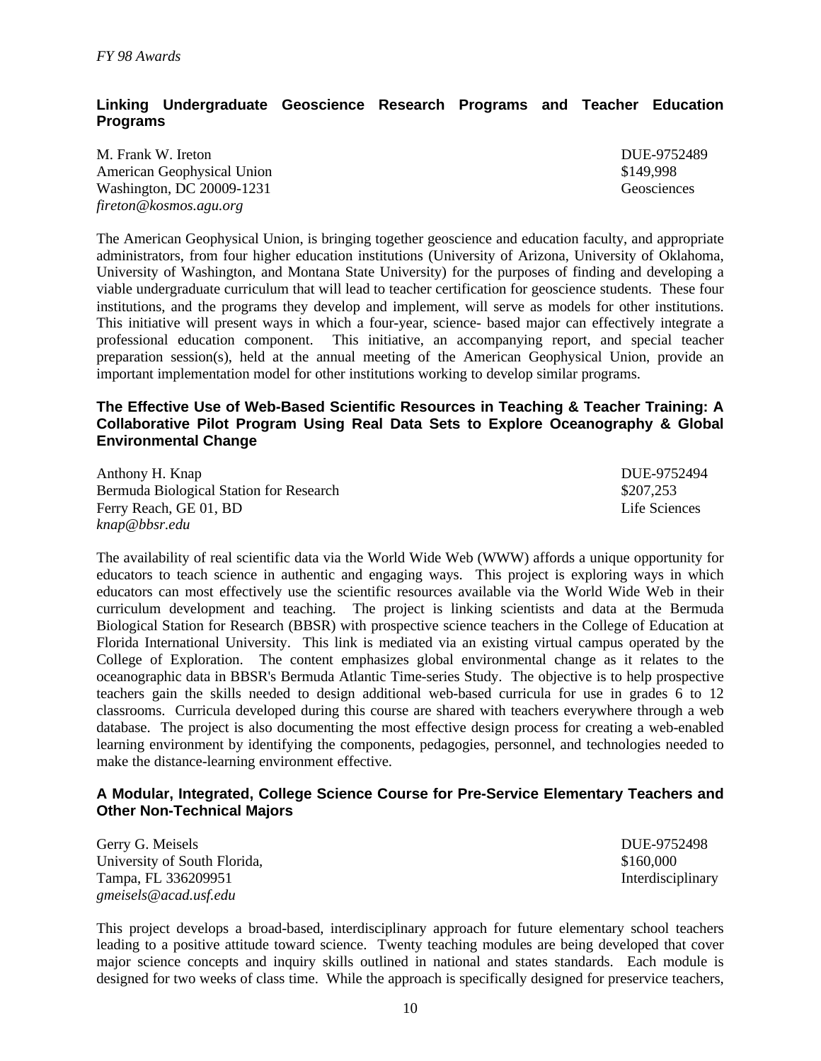#### **Linking Undergraduate Geoscience Research Programs and Teacher Education Programs**

M. Frank W. Ireton DUE-9752489 American Geophysical Union  $$149,998$ Washington, DC 20009-1231 Geosciences *fireton@kosmos.agu.org*

The American Geophysical Union, is bringing together geoscience and education faculty, and appropriate administrators, from four higher education institutions (University of Arizona, University of Oklahoma, University of Washington, and Montana State University) for the purposes of finding and developing a viable undergraduate curriculum that will lead to teacher certification for geoscience students. These four institutions, and the programs they develop and implement, will serve as models for other institutions. This initiative will present ways in which a four-year, science- based major can effectively integrate a professional education component. This initiative, an accompanying report, and special teacher preparation session(s), held at the annual meeting of the American Geophysical Union, provide an important implementation model for other institutions working to develop similar programs.

#### **The Effective Use of Web-Based Scientific Resources in Teaching & Teacher Training: A Collaborative Pilot Program Using Real Data Sets to Explore Oceanography & Global Environmental Change**

| Anthony H. Knap                         | DUE-9752494   |
|-----------------------------------------|---------------|
| Bermuda Biological Station for Research | \$207.253     |
| Ferry Reach, GE 01, BD                  | Life Sciences |
| knap@bbsr.edu                           |               |

The availability of real scientific data via the World Wide Web (WWW) affords a unique opportunity for educators to teach science in authentic and engaging ways. This project is exploring ways in which educators can most effectively use the scientific resources available via the World Wide Web in their curriculum development and teaching. The project is linking scientists and data at the Bermuda Biological Station for Research (BBSR) with prospective science teachers in the College of Education at Florida International University. This link is mediated via an existing virtual campus operated by the College of Exploration. The content emphasizes global environmental change as it relates to the oceanographic data in BBSR's Bermuda Atlantic Time-series Study. The objective is to help prospective teachers gain the skills needed to design additional web-based curricula for use in grades 6 to 12 classrooms. Curricula developed during this course are shared with teachers everywhere through a web database. The project is also documenting the most effective design process for creating a web-enabled learning environment by identifying the components, pedagogies, personnel, and technologies needed to make the distance-learning environment effective.

#### **A Modular, Integrated, College Science Course for Pre-Service Elementary Teachers and Other Non-Technical Majors**

Gerry G. Meisels **DUE-9752498** University of South Florida,  $$160,000$ Tampa, FL 336209951 Interdisciplinary *gmeisels@acad.usf.edu*

This project develops a broad-based, interdisciplinary approach for future elementary school teachers leading to a positive attitude toward science. Twenty teaching modules are being developed that cover major science concepts and inquiry skills outlined in national and states standards. Each module is designed for two weeks of class time. While the approach is specifically designed for preservice teachers,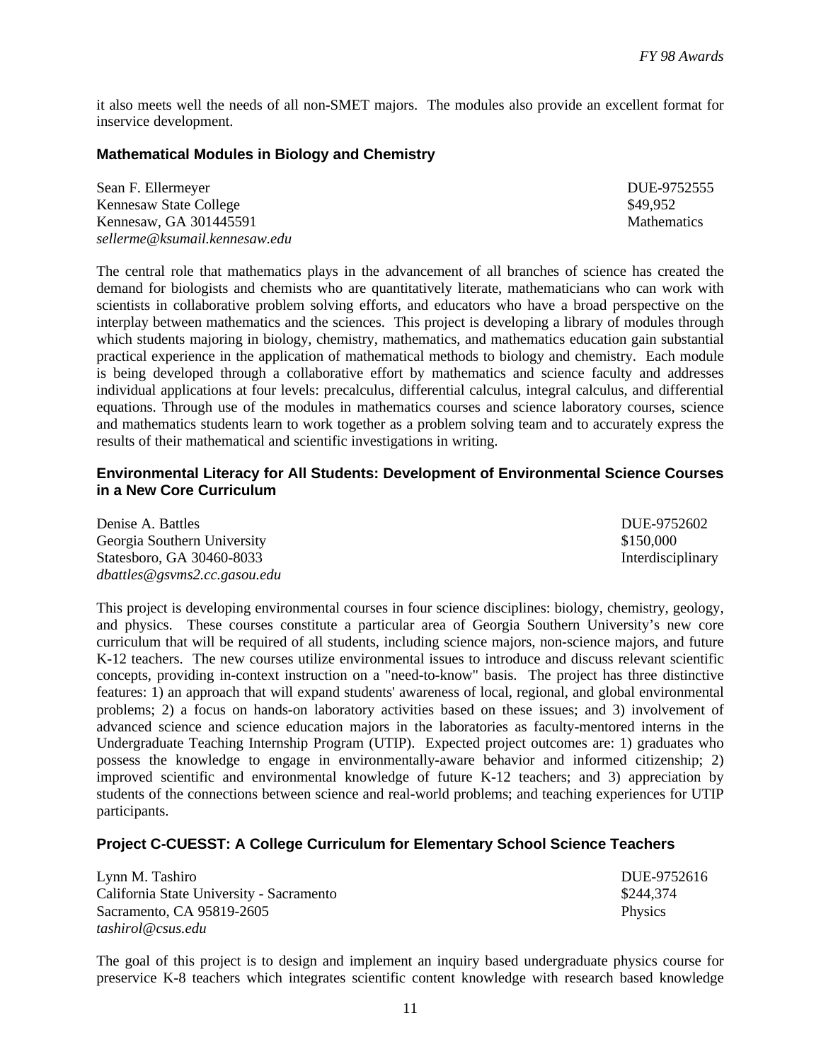it also meets well the needs of all non-SMET majors. The modules also provide an excellent format for inservice development.

#### **Mathematical Modules in Biology and Chemistry**

| Sean F. Ellermeyer            | DUE-9752555        |
|-------------------------------|--------------------|
| Kennesaw State College        | \$49,952           |
| Kennesaw, GA 301445591        | <b>Mathematics</b> |
| sellerme@ksumail.kennesaw.edu |                    |

The central role that mathematics plays in the advancement of all branches of science has created the demand for biologists and chemists who are quantitatively literate, mathematicians who can work with scientists in collaborative problem solving efforts, and educators who have a broad perspective on the interplay between mathematics and the sciences. This project is developing a library of modules through which students majoring in biology, chemistry, mathematics, and mathematics education gain substantial practical experience in the application of mathematical methods to biology and chemistry. Each module is being developed through a collaborative effort by mathematics and science faculty and addresses individual applications at four levels: precalculus, differential calculus, integral calculus, and differential equations. Through use of the modules in mathematics courses and science laboratory courses, science and mathematics students learn to work together as a problem solving team and to accurately express the results of their mathematical and scientific investigations in writing.

#### **Environmental Literacy for All Students: Development of Environmental Science Courses in a New Core Curriculum**

| Denise A. Battles            | DUE-9752602       |
|------------------------------|-------------------|
| Georgia Southern University  | \$150,000         |
| Statesboro, GA 30460-8033    | Interdisciplinary |
| dbattles@gsvms2.cc.gasou.edu |                   |

This project is developing environmental courses in four science disciplines: biology, chemistry, geology, and physics. These courses constitute a particular area of Georgia Southern University's new core curriculum that will be required of all students, including science majors, non-science majors, and future K-12 teachers. The new courses utilize environmental issues to introduce and discuss relevant scientific concepts, providing in-context instruction on a "need-to-know" basis. The project has three distinctive features: 1) an approach that will expand students' awareness of local, regional, and global environmental problems; 2) a focus on hands-on laboratory activities based on these issues; and 3) involvement of advanced science and science education majors in the laboratories as faculty-mentored interns in the Undergraduate Teaching Internship Program (UTIP). Expected project outcomes are: 1) graduates who possess the knowledge to engage in environmentally-aware behavior and informed citizenship; 2) improved scientific and environmental knowledge of future K-12 teachers; and 3) appreciation by students of the connections between science and real-world problems; and teaching experiences for UTIP participants.

#### **Project C-CUESST: A College Curriculum for Elementary School Science Teachers**

| Lynn M. Tashiro                          | DUE-9752616    |
|------------------------------------------|----------------|
| California State University - Sacramento | \$244,374      |
| Sacramento, CA 95819-2605                | <b>Physics</b> |
| tashirol@csus.edu                        |                |

The goal of this project is to design and implement an inquiry based undergraduate physics course for preservice K-8 teachers which integrates scientific content knowledge with research based knowledge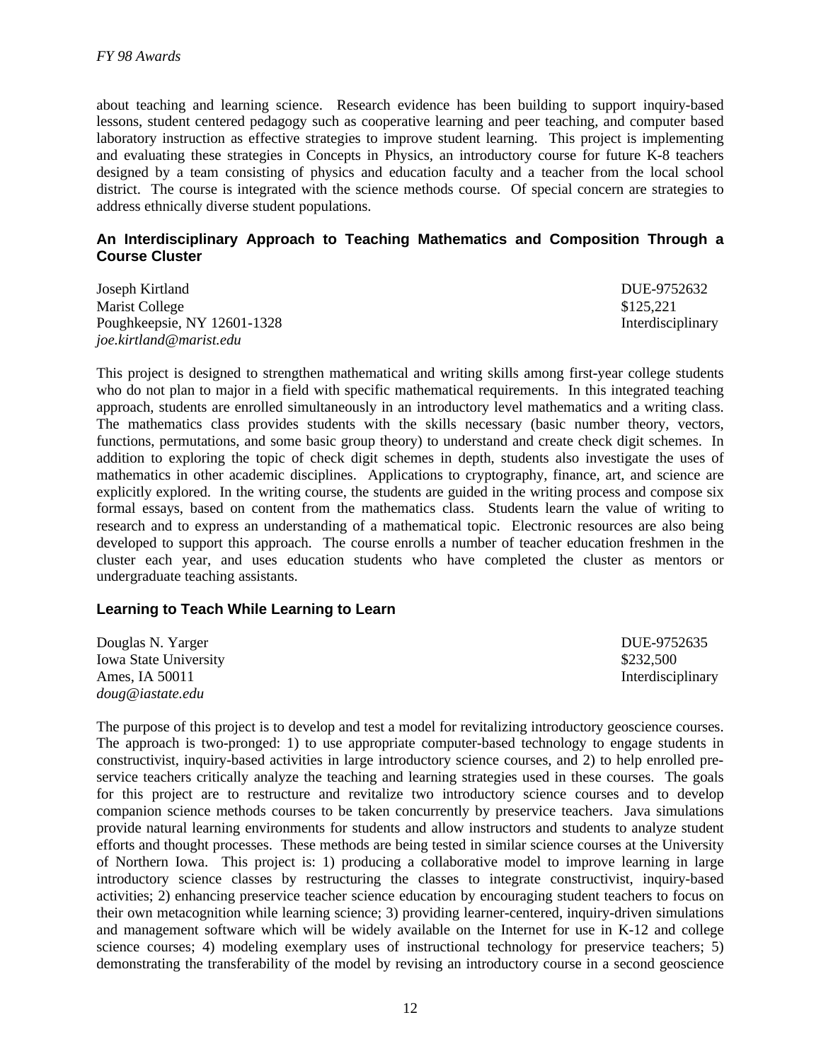about teaching and learning science. Research evidence has been building to support inquiry-based lessons, student centered pedagogy such as cooperative learning and peer teaching, and computer based laboratory instruction as effective strategies to improve student learning. This project is implementing and evaluating these strategies in Concepts in Physics*,* an introductory course for future K-8 teachers designed by a team consisting of physics and education faculty and a teacher from the local school district. The course is integrated with the science methods course. Of special concern are strategies to address ethnically diverse student populations.

#### **An Interdisciplinary Approach to Teaching Mathematics and Composition Through a Course Cluster**

Joseph Kirtland DUE-9752632 Marist College  $$125.221$ Poughkeepsie, NY 12601-1328 Interdisciplinary *joe.kirtland@marist.edu*

This project is designed to strengthen mathematical and writing skills among first-year college students who do not plan to major in a field with specific mathematical requirements. In this integrated teaching approach, students are enrolled simultaneously in an introductory level mathematics and a writing class. The mathematics class provides students with the skills necessary (basic number theory, vectors, functions, permutations, and some basic group theory) to understand and create check digit schemes. In addition to exploring the topic of check digit schemes in depth, students also investigate the uses of mathematics in other academic disciplines. Applications to cryptography, finance, art, and science are explicitly explored. In the writing course, the students are guided in the writing process and compose six formal essays, based on content from the mathematics class. Students learn the value of writing to research and to express an understanding of a mathematical topic. Electronic resources are also being developed to support this approach. The course enrolls a number of teacher education freshmen in the cluster each year, and uses education students who have completed the cluster as mentors or undergraduate teaching assistants.

#### **Learning to Teach While Learning to Learn**

| Douglas N. Yarger            | DUE-9752635       |
|------------------------------|-------------------|
| <b>Iowa State University</b> | \$232,500         |
| Ames, IA 50011               | Interdisciplinary |
| doug@iastate.edu             |                   |

The purpose of this project is to develop and test a model for revitalizing introductory geoscience courses. The approach is two-pronged: 1) to use appropriate computer-based technology to engage students in constructivist, inquiry-based activities in large introductory science courses, and 2) to help enrolled preservice teachers critically analyze the teaching and learning strategies used in these courses. The goals for this project are to restructure and revitalize two introductory science courses and to develop companion science methods courses to be taken concurrently by preservice teachers. Java simulations provide natural learning environments for students and allow instructors and students to analyze student efforts and thought processes. These methods are being tested in similar science courses at the University of Northern Iowa. This project is: 1) producing a collaborative model to improve learning in large introductory science classes by restructuring the classes to integrate constructivist, inquiry-based activities; 2) enhancing preservice teacher science education by encouraging student teachers to focus on their own metacognition while learning science; 3) providing learner-centered, inquiry-driven simulations and management software which will be widely available on the Internet for use in K-12 and college science courses; 4) modeling exemplary uses of instructional technology for preservice teachers; 5) demonstrating the transferability of the model by revising an introductory course in a second geoscience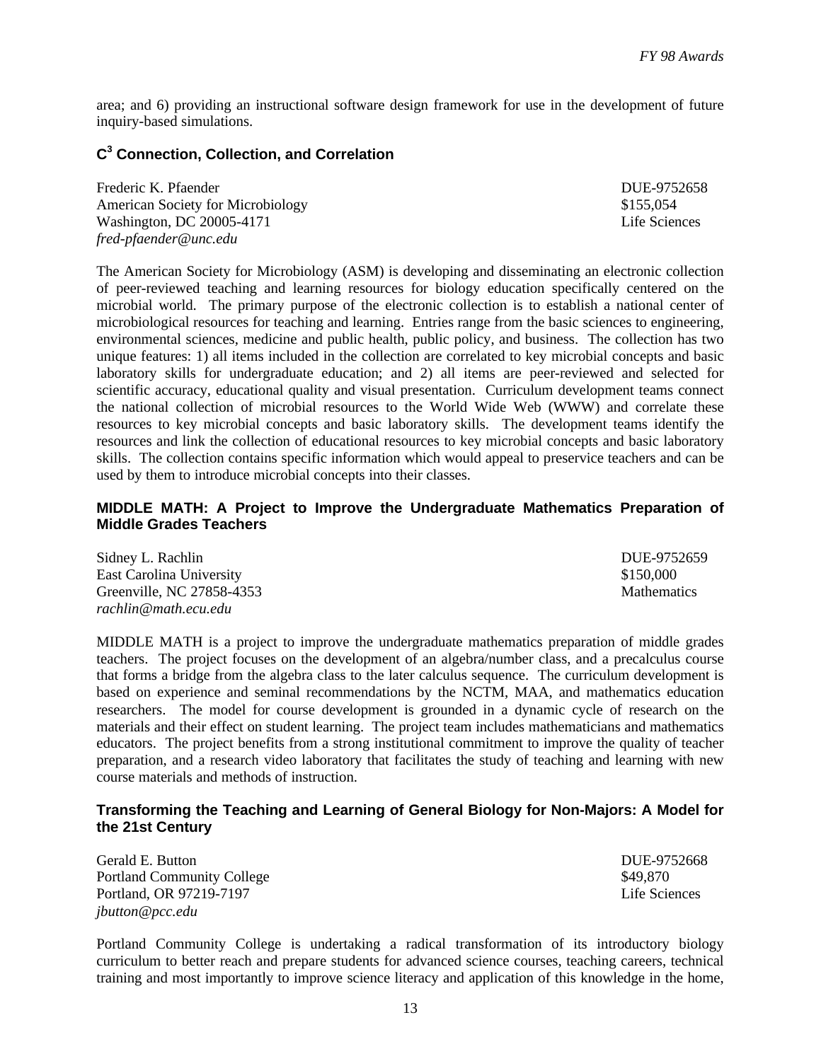area; and 6) providing an instructional software design framework for use in the development of future inquiry-based simulations.

#### **C 3 Connection, Collection, and Correlation**

| Frederic K. Pfaender                     | DUE-9752658   |
|------------------------------------------|---------------|
| <b>American Society for Microbiology</b> | \$155,054     |
| Washington, DC 20005-4171                | Life Sciences |
| fred-pfaender@unc.edu                    |               |

The American Society for Microbiology (ASM) is developing and disseminating an electronic collection of peer-reviewed teaching and learning resources for biology education specifically centered on the microbial world. The primary purpose of the electronic collection is to establish a national center of microbiological resources for teaching and learning. Entries range from the basic sciences to engineering, environmental sciences, medicine and public health, public policy, and business. The collection has two unique features: 1) all items included in the collection are correlated to key microbial concepts and basic laboratory skills for undergraduate education; and 2) all items are peer-reviewed and selected for scientific accuracy, educational quality and visual presentation. Curriculum development teams connect the national collection of microbial resources to the World Wide Web (WWW) and correlate these resources to key microbial concepts and basic laboratory skills. The development teams identify the resources and link the collection of educational resources to key microbial concepts and basic laboratory skills. The collection contains specific information which would appeal to preservice teachers and can be used by them to introduce microbial concepts into their classes.

#### **MIDDLE MATH: A Project to Improve the Undergraduate Mathematics Preparation of Middle Grades Teachers**

Sidney L. Rachlin DUE-9752659 East Carolina University \$150,000 Greenville, NC 27858-4353 Mathematics *rachlin@math.ecu.edu*

MIDDLE MATH is a project to improve the undergraduate mathematics preparation of middle grades teachers. The project focuses on the development of an algebra/number class, and a precalculus course that forms a bridge from the algebra class to the later calculus sequence. The curriculum development is based on experience and seminal recommendations by the NCTM, MAA, and mathematics education researchers. The model for course development is grounded in a dynamic cycle of research on the materials and their effect on student learning. The project team includes mathematicians and mathematics educators. The project benefits from a strong institutional commitment to improve the quality of teacher preparation, and a research video laboratory that facilitates the study of teaching and learning with new course materials and methods of instruction.

#### **Transforming the Teaching and Learning of General Biology for Non-Majors: A Model for the 21st Century**

Gerald E. Button DUE-9752668 Portland Community College  $$49,870$ Portland, OR 97219-7197 Life Sciences *jbutton@pcc.edu*

Portland Community College is undertaking a radical transformation of its introductory biology curriculum to better reach and prepare students for advanced science courses, teaching careers, technical training and most importantly to improve science literacy and application of this knowledge in the home,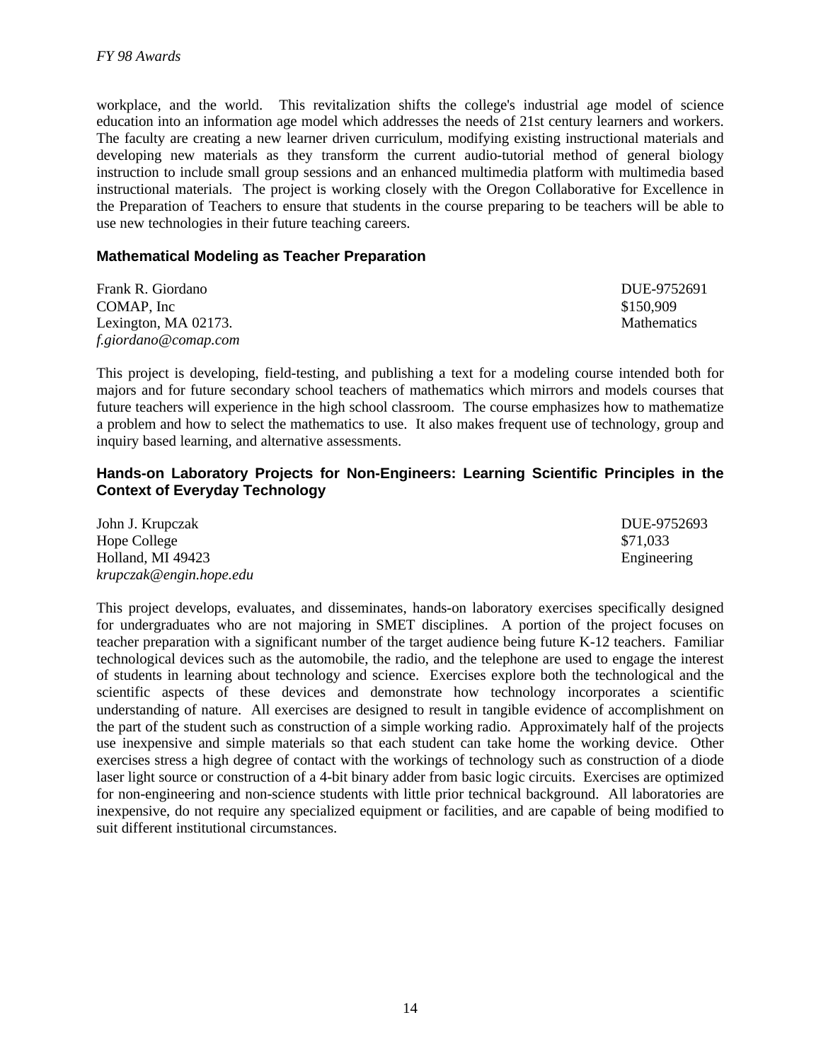workplace, and the world. This revitalization shifts the college's industrial age model of science education into an information age model which addresses the needs of 21st century learners and workers. The faculty are creating a new learner driven curriculum, modifying existing instructional materials and developing new materials as they transform the current audio-tutorial method of general biology instruction to include small group sessions and an enhanced multimedia platform with multimedia based instructional materials. The project is working closely with the Oregon Collaborative for Excellence in the Preparation of Teachers to ensure that students in the course preparing to be teachers will be able to use new technologies in their future teaching careers.

#### **Mathematical Modeling as Teacher Preparation**

Frank R. Giordano DUE-9752691  $COMAP$ , Inc  $$150,909$ Lexington, MA 02173. Mathematics *f.giordano@comap.com*

This project is developing, field-testing, and publishing a text for a modeling course intended both for majors and for future secondary school teachers of mathematics which mirrors and models courses that future teachers will experience in the high school classroom. The course emphasizes how to mathematize a problem and how to select the mathematics to use. It also makes frequent use of technology, group and inquiry based learning, and alternative assessments.

#### **Hands-on Laboratory Projects for Non-Engineers: Learning Scientific Principles in the Context of Everyday Technology**

| John J. Krupczak        | DUE-9752693 |
|-------------------------|-------------|
| Hope College            | \$71,033    |
| Holland, MI 49423       | Engineering |
| krupczak@engin.hope.edu |             |

This project develops, evaluates, and disseminates, hands-on laboratory exercises specifically designed for undergraduates who are not majoring in SMET disciplines. A portion of the project focuses on teacher preparation with a significant number of the target audience being future K-12 teachers. Familiar technological devices such as the automobile, the radio, and the telephone are used to engage the interest of students in learning about technology and science. Exercises explore both the technological and the scientific aspects of these devices and demonstrate how technology incorporates a scientific understanding of nature. All exercises are designed to result in tangible evidence of accomplishment on the part of the student such as construction of a simple working radio. Approximately half of the projects use inexpensive and simple materials so that each student can take home the working device. Other exercises stress a high degree of contact with the workings of technology such as construction of a diode laser light source or construction of a 4-bit binary adder from basic logic circuits. Exercises are optimized for non-engineering and non-science students with little prior technical background. All laboratories are inexpensive, do not require any specialized equipment or facilities, and are capable of being modified to suit different institutional circumstances.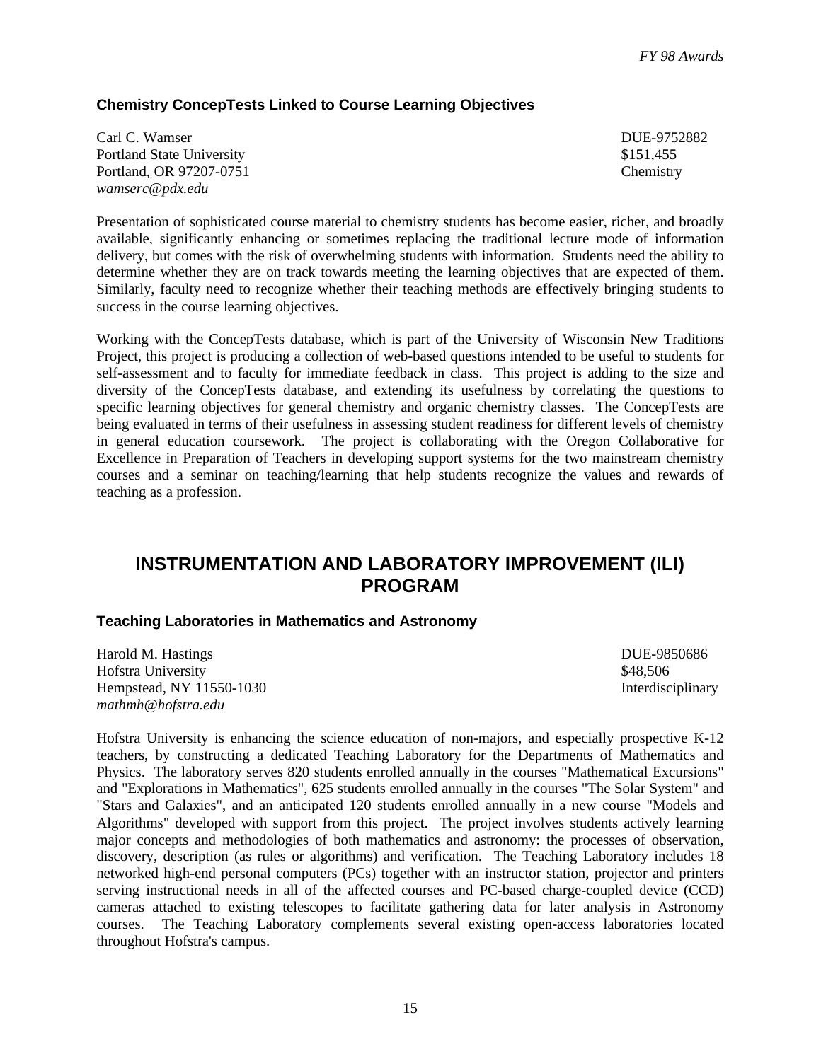### **Chemistry ConcepTests Linked to Course Learning Objectives**

| Carl C. Wamser            | DUE-9752882 |
|---------------------------|-------------|
| Portland State University | \$151.455   |
| Portland, OR 97207-0751   | Chemistry   |
| wamserc@pdx.edu           |             |

Presentation of sophisticated course material to chemistry students has become easier, richer, and broadly available, significantly enhancing or sometimes replacing the traditional lecture mode of information delivery, but comes with the risk of overwhelming students with information. Students need the ability to determine whether they are on track towards meeting the learning objectives that are expected of them. Similarly, faculty need to recognize whether their teaching methods are effectively bringing students to success in the course learning objectives.

Working with the ConcepTests database, which is part of the University of Wisconsin New Traditions Project, this project is producing a collection of web-based questions intended to be useful to students for self-assessment and to faculty for immediate feedback in class. This project is adding to the size and diversity of the ConcepTests database, and extending its usefulness by correlating the questions to specific learning objectives for general chemistry and organic chemistry classes. The ConcepTests are being evaluated in terms of their usefulness in assessing student readiness for different levels of chemistry in general education coursework. The project is collaborating with the Oregon Collaborative for Excellence in Preparation of Teachers in developing support systems for the two mainstream chemistry courses and a seminar on teaching/learning that help students recognize the values and rewards of teaching as a profession.

# **INSTRUMENTATION AND LABORATORY IMPROVEMENT (ILI) PROGRAM**

#### **Teaching Laboratories in Mathematics and Astronomy**

Harold M. Hastings **DUE-9850686** Hofstra University **\$48,506** S48,506 Hempstead, NY 11550-1030 Interdisciplinary *mathmh@hofstra.edu*

Hofstra University is enhancing the science education of non-majors, and especially prospective K-12 teachers, by constructing a dedicated Teaching Laboratory for the Departments of Mathematics and Physics. The laboratory serves 820 students enrolled annually in the courses "Mathematical Excursions" and "Explorations in Mathematics", 625 students enrolled annually in the courses "The Solar System" and "Stars and Galaxies", and an anticipated 120 students enrolled annually in a new course "Models and Algorithms" developed with support from this project. The project involves students actively learning major concepts and methodologies of both mathematics and astronomy: the processes of observation, discovery, description (as rules or algorithms) and verification. The Teaching Laboratory includes 18 networked high-end personal computers (PCs) together with an instructor station, projector and printers serving instructional needs in all of the affected courses and PC-based charge-coupled device (CCD) cameras attached to existing telescopes to facilitate gathering data for later analysis in Astronomy courses. The Teaching Laboratory complements several existing open-access laboratories located throughout Hofstra's campus.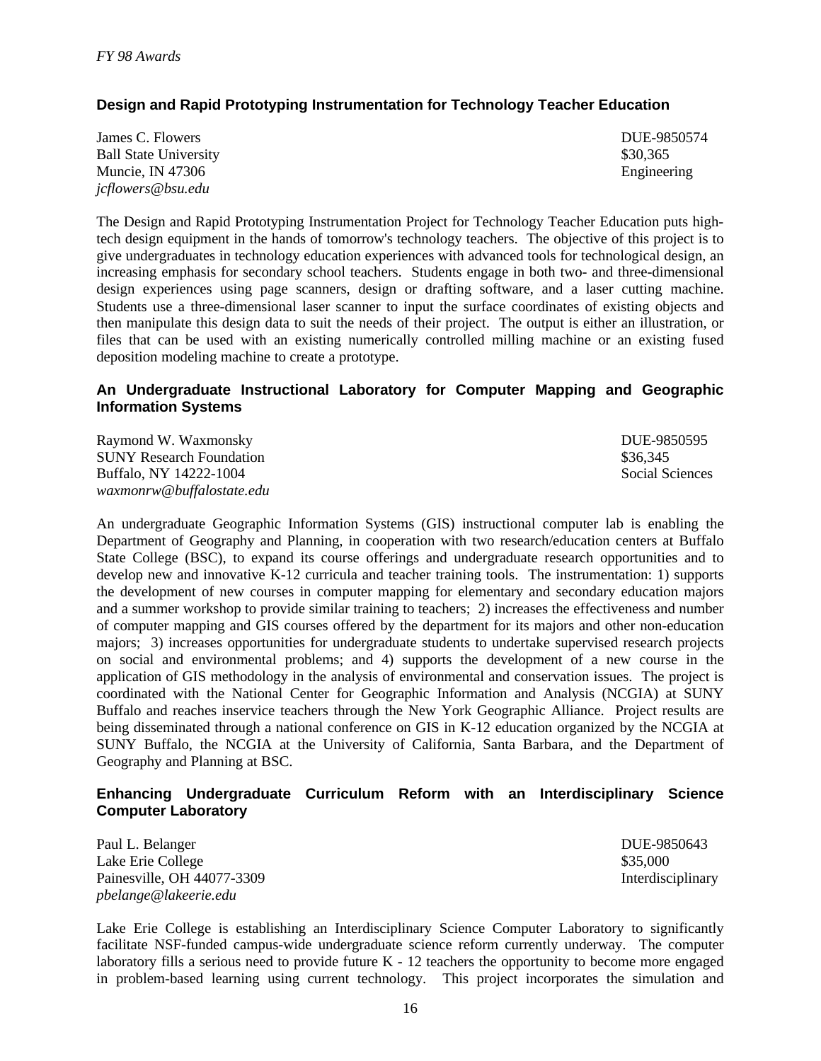### **Design and Rapid Prototyping Instrumentation for Technology Teacher Education**

| James C. Flowers             | DUE-9850574 |
|------------------------------|-------------|
| <b>Ball State University</b> | \$30.365    |
| Muncie, IN 47306             | Engineering |
| jcflowers@bsu.edu            |             |

The Design and Rapid Prototyping Instrumentation Project for Technology Teacher Education puts hightech design equipment in the hands of tomorrow's technology teachers. The objective of this project is to give undergraduates in technology education experiences with advanced tools for technological design, an increasing emphasis for secondary school teachers. Students engage in both two- and three-dimensional design experiences using page scanners, design or drafting software, and a laser cutting machine. Students use a three-dimensional laser scanner to input the surface coordinates of existing objects and then manipulate this design data to suit the needs of their project. The output is either an illustration, or files that can be used with an existing numerically controlled milling machine or an existing fused deposition modeling machine to create a prototype.

#### **An Undergraduate Instructional Laboratory for Computer Mapping and Geographic Information Systems**

Raymond W. Waxmonsky DUE-9850595 SUNY Research Foundation<br>Buffalo, NY 14222-1004<br>Social Sciences Buffalo, NY 14222-1004 *waxmonrw@buffalostate.edu*

An undergraduate Geographic Information Systems (GIS) instructional computer lab is enabling the Department of Geography and Planning, in cooperation with two research/education centers at Buffalo State College (BSC), to expand its course offerings and undergraduate research opportunities and to develop new and innovative K-12 curricula and teacher training tools. The instrumentation: 1) supports the development of new courses in computer mapping for elementary and secondary education majors and a summer workshop to provide similar training to teachers; 2) increases the effectiveness and number of computer mapping and GIS courses offered by the department for its majors and other non-education majors; 3) increases opportunities for undergraduate students to undertake supervised research projects on social and environmental problems; and 4) supports the development of a new course in the application of GIS methodology in the analysis of environmental and conservation issues. The project is coordinated with the National Center for Geographic Information and Analysis (NCGIA) at SUNY Buffalo and reaches inservice teachers through the New York Geographic Alliance. Project results are being disseminated through a national conference on GIS in K-12 education organized by the NCGIA at SUNY Buffalo, the NCGIA at the University of California, Santa Barbara, and the Department of Geography and Planning at BSC.

#### **Enhancing Undergraduate Curriculum Reform with an Interdisciplinary Science Computer Laboratory**

Paul L. Belanger DUE-9850643 Lake Erie College  $$35,000$ Painesville, OH 44077-3309 Interdisciplinary *pbelange@lakeerie.edu*

Lake Erie College is establishing an Interdisciplinary Science Computer Laboratory to significantly facilitate NSF-funded campus-wide undergraduate science reform currently underway. The computer laboratory fills a serious need to provide future K - 12 teachers the opportunity to become more engaged in problem-based learning using current technology. This project incorporates the simulation and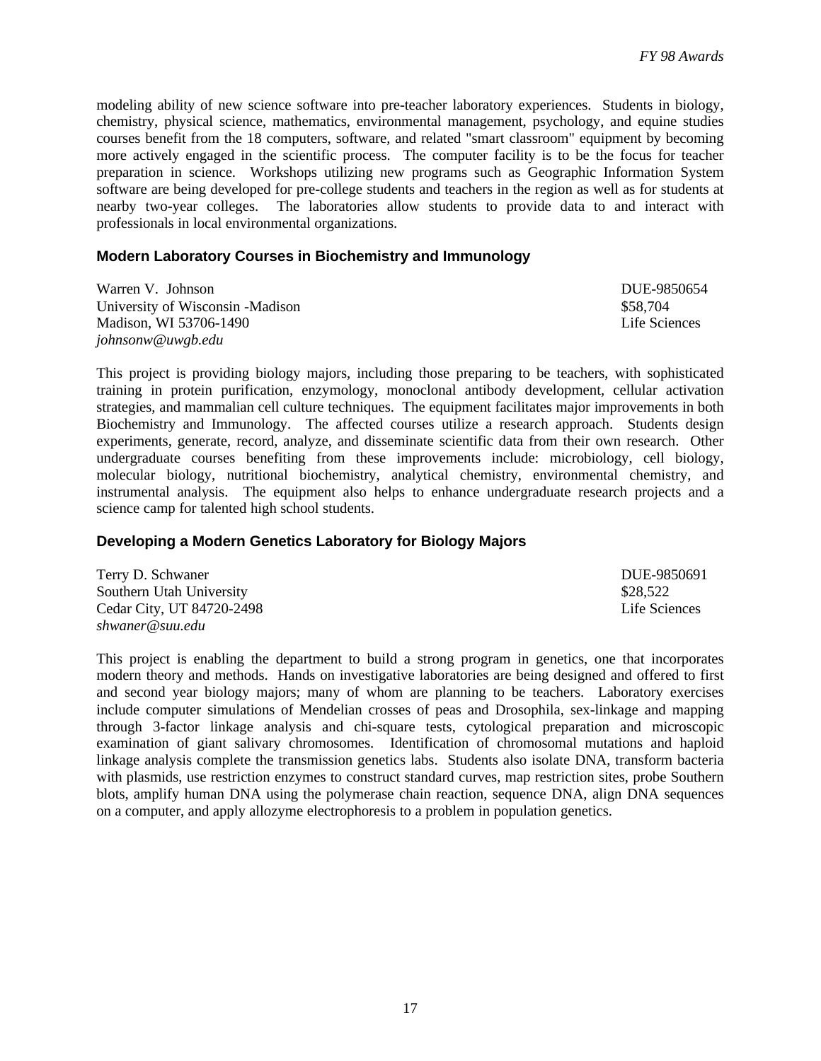modeling ability of new science software into pre-teacher laboratory experiences. Students in biology, chemistry, physical science, mathematics, environmental management, psychology, and equine studies courses benefit from the 18 computers, software, and related "smart classroom" equipment by becoming more actively engaged in the scientific process. The computer facility is to be the focus for teacher preparation in science. Workshops utilizing new programs such as Geographic Information System software are being developed for pre-college students and teachers in the region as well as for students at nearby two-year colleges. The laboratories allow students to provide data to and interact with professionals in local environmental organizations.

#### **Modern Laboratory Courses in Biochemistry and Immunology**

Warren V. Johnson **DUE-9850654** University of Wisconsin -Madison  $$58,704$ Madison, WI 53706-1490 **Life Sciences** Life Sciences *johnsonw@uwgb.edu*

This project is providing biology majors, including those preparing to be teachers, with sophisticated training in protein purification, enzymology, monoclonal antibody development, cellular activation strategies, and mammalian cell culture techniques. The equipment facilitates major improvements in both Biochemistry and Immunology. The affected courses utilize a research approach. Students design experiments, generate, record, analyze, and disseminate scientific data from their own research. Other undergraduate courses benefiting from these improvements include: microbiology, cell biology, molecular biology, nutritional biochemistry, analytical chemistry, environmental chemistry, and instrumental analysis. The equipment also helps to enhance undergraduate research projects and a science camp for talented high school students.

#### **Developing a Modern Genetics Laboratory for Biology Majors**

| Terry D. Schwaner         | DUE-9850691   |
|---------------------------|---------------|
| Southern Utah University  | \$28.522      |
| Cedar City, UT 84720-2498 | Life Sciences |
| shwaner@suu.edu           |               |

This project is enabling the department to build a strong program in genetics, one that incorporates modern theory and methods. Hands on investigative laboratories are being designed and offered to first and second year biology majors; many of whom are planning to be teachers. Laboratory exercises include computer simulations of Mendelian crosses of peas and Drosophila, sex-linkage and mapping through 3-factor linkage analysis and chi-square tests, cytological preparation and microscopic examination of giant salivary chromosomes. Identification of chromosomal mutations and haploid linkage analysis complete the transmission genetics labs. Students also isolate DNA, transform bacteria with plasmids, use restriction enzymes to construct standard curves, map restriction sites, probe Southern blots, amplify human DNA using the polymerase chain reaction, sequence DNA, align DNA sequences on a computer, and apply allozyme electrophoresis to a problem in population genetics.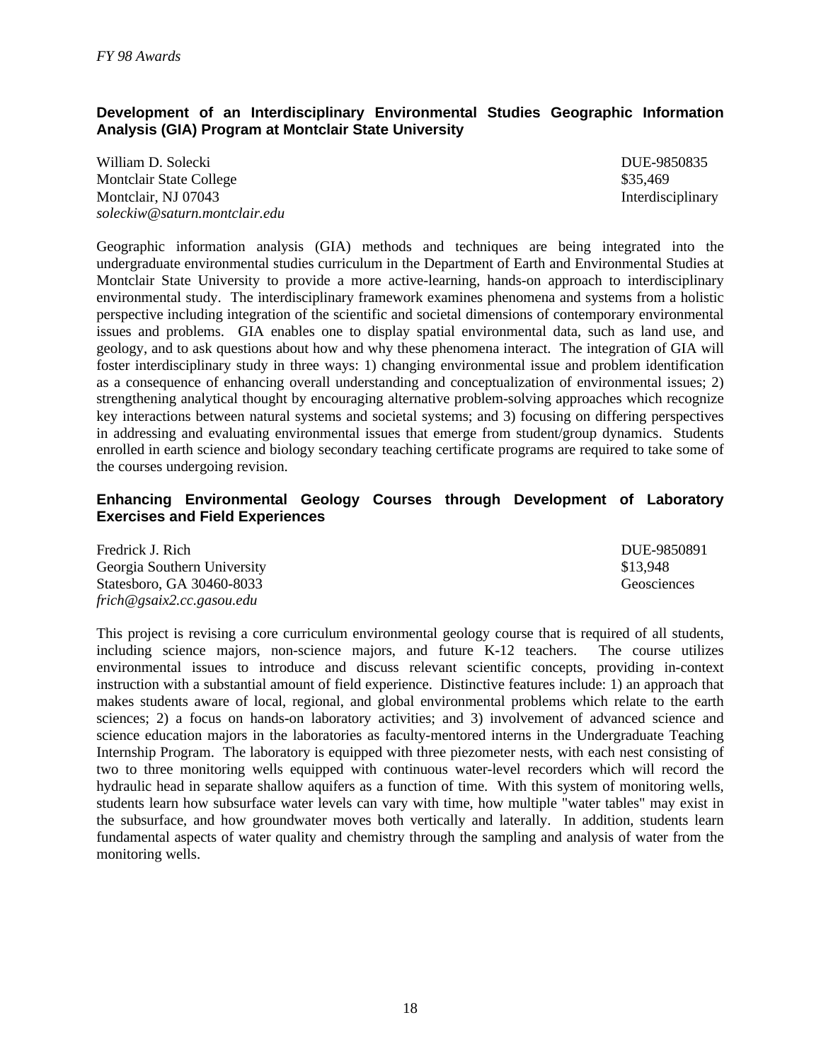#### **Development of an Interdisciplinary Environmental Studies Geographic Information Analysis (GIA) Program at Montclair State University**

William D. Solecki DUE-9850835 Montclair State College **\$35,469** S35,469 Montclair, NJ 07043 Interdisciplinary *soleckiw@saturn.montclair.edu*

Geographic information analysis (GIA) methods and techniques are being integrated into the undergraduate environmental studies curriculum in the Department of Earth and Environmental Studies at Montclair State University to provide a more active-learning, hands-on approach to interdisciplinary environmental study. The interdisciplinary framework examines phenomena and systems from a holistic perspective including integration of the scientific and societal dimensions of contemporary environmental issues and problems. GIA enables one to display spatial environmental data, such as land use, and geology, and to ask questions about how and why these phenomena interact. The integration of GIA will foster interdisciplinary study in three ways: 1) changing environmental issue and problem identification as a consequence of enhancing overall understanding and conceptualization of environmental issues; 2) strengthening analytical thought by encouraging alternative problem-solving approaches which recognize key interactions between natural systems and societal systems; and 3) focusing on differing perspectives in addressing and evaluating environmental issues that emerge from student/group dynamics. Students enrolled in earth science and biology secondary teaching certificate programs are required to take some of the courses undergoing revision.

#### **Enhancing Environmental Geology Courses through Development of Laboratory Exercises and Field Experiences**

| Fredrick J. Rich            | DUE-9850891 |
|-----------------------------|-------------|
| Georgia Southern University | \$13,948    |
| Statesboro, GA 30460-8033   | Geosciences |
| frich@gsaix2.cc.gasou.edu   |             |

This project is revising a core curriculum environmental geology course that is required of all students, including science majors, non-science majors, and future K-12 teachers. The course utilizes environmental issues to introduce and discuss relevant scientific concepts, providing in-context instruction with a substantial amount of field experience. Distinctive features include: 1) an approach that makes students aware of local, regional, and global environmental problems which relate to the earth sciences; 2) a focus on hands-on laboratory activities; and 3) involvement of advanced science and science education majors in the laboratories as faculty-mentored interns in the Undergraduate Teaching Internship Program. The laboratory is equipped with three piezometer nests, with each nest consisting of two to three monitoring wells equipped with continuous water-level recorders which will record the hydraulic head in separate shallow aquifers as a function of time. With this system of monitoring wells, students learn how subsurface water levels can vary with time, how multiple "water tables" may exist in the subsurface, and how groundwater moves both vertically and laterally. In addition, students learn fundamental aspects of water quality and chemistry through the sampling and analysis of water from the monitoring wells.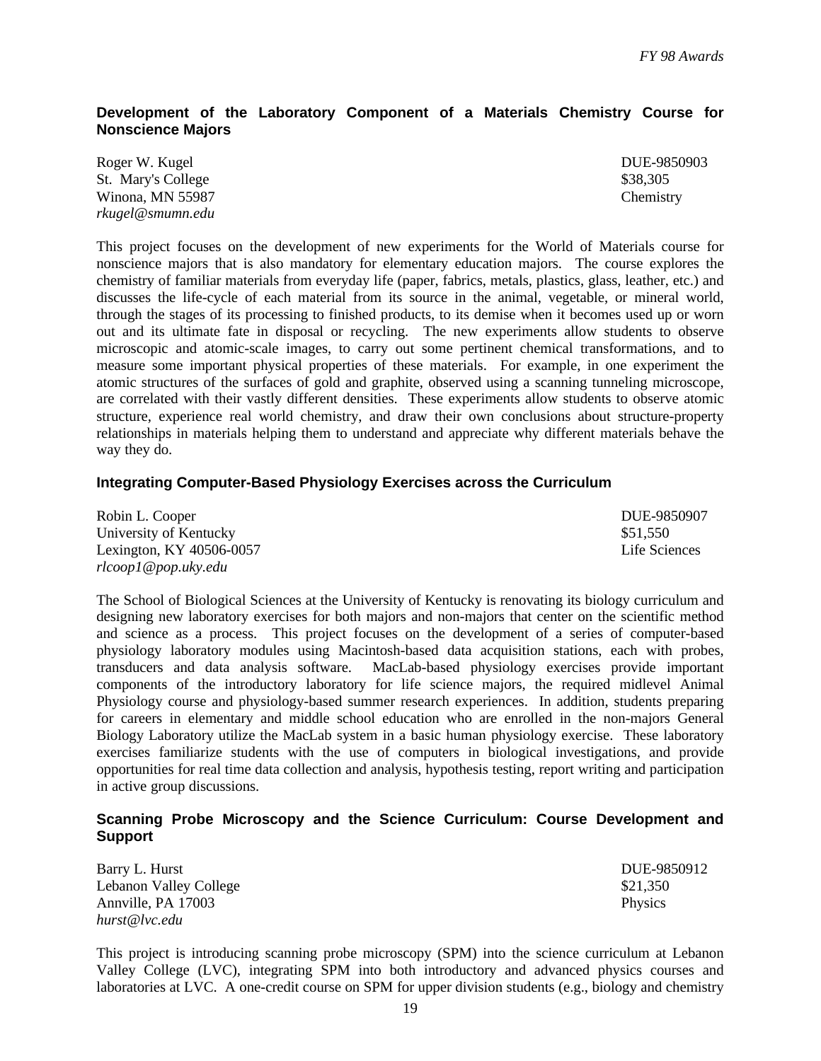#### **Development of the Laboratory Component of a Materials Chemistry Course for Nonscience Majors**

| Roger W. Kugel     | DUE-9850903 |
|--------------------|-------------|
| St. Mary's College | \$38,305    |
| Winona, MN 55987   | Chemistry   |
| rkugel@smumn.edu   |             |

This project focuses on the development of new experiments for the World of Materials course for nonscience majors that is also mandatory for elementary education majors. The course explores the chemistry of familiar materials from everyday life (paper, fabrics, metals, plastics, glass, leather, etc.) and discusses the life-cycle of each material from its source in the animal, vegetable, or mineral world, through the stages of its processing to finished products, to its demise when it becomes used up or worn out and its ultimate fate in disposal or recycling. The new experiments allow students to observe microscopic and atomic-scale images, to carry out some pertinent chemical transformations, and to measure some important physical properties of these materials. For example, in one experiment the atomic structures of the surfaces of gold and graphite, observed using a scanning tunneling microscope, are correlated with their vastly different densities. These experiments allow students to observe atomic structure, experience real world chemistry, and draw their own conclusions about structure-property relationships in materials helping them to understand and appreciate why different materials behave the way they do.

#### **Integrating Computer-Based Physiology Exercises across the Curriculum**

| Robin L. Cooper          | DUE-9850907   |
|--------------------------|---------------|
| University of Kentucky   | \$51.550      |
| Lexington, KY 40506-0057 | Life Sciences |
| rlcoop1@pop.uky.edu      |               |

The School of Biological Sciences at the University of Kentucky is renovating its biology curriculum and designing new laboratory exercises for both majors and non-majors that center on the scientific method and science as a process. This project focuses on the development of a series of computer-based physiology laboratory modules using Macintosh-based data acquisition stations, each with probes, transducers and data analysis software. MacLab-based physiology exercises provide important components of the introductory laboratory for life science majors, the required midlevel Animal Physiology course and physiology-based summer research experiences. In addition, students preparing for careers in elementary and middle school education who are enrolled in the non-majors General Biology Laboratory utilize the MacLab system in a basic human physiology exercise. These laboratory exercises familiarize students with the use of computers in biological investigations, and provide opportunities for real time data collection and analysis, hypothesis testing, report writing and participation in active group discussions.

#### **Scanning Probe Microscopy and the Science Curriculum: Course Development and Support**

| Barry L. Hurst         | DUE-9850912    |
|------------------------|----------------|
| Lebanon Valley College | \$21,350       |
| Annville, PA 17003     | <b>Physics</b> |
| hurst@lvc.edu          |                |

This project is introducing scanning probe microscopy (SPM) into the science curriculum at Lebanon Valley College (LVC), integrating SPM into both introductory and advanced physics courses and laboratories at LVC. A one-credit course on SPM for upper division students (e.g., biology and chemistry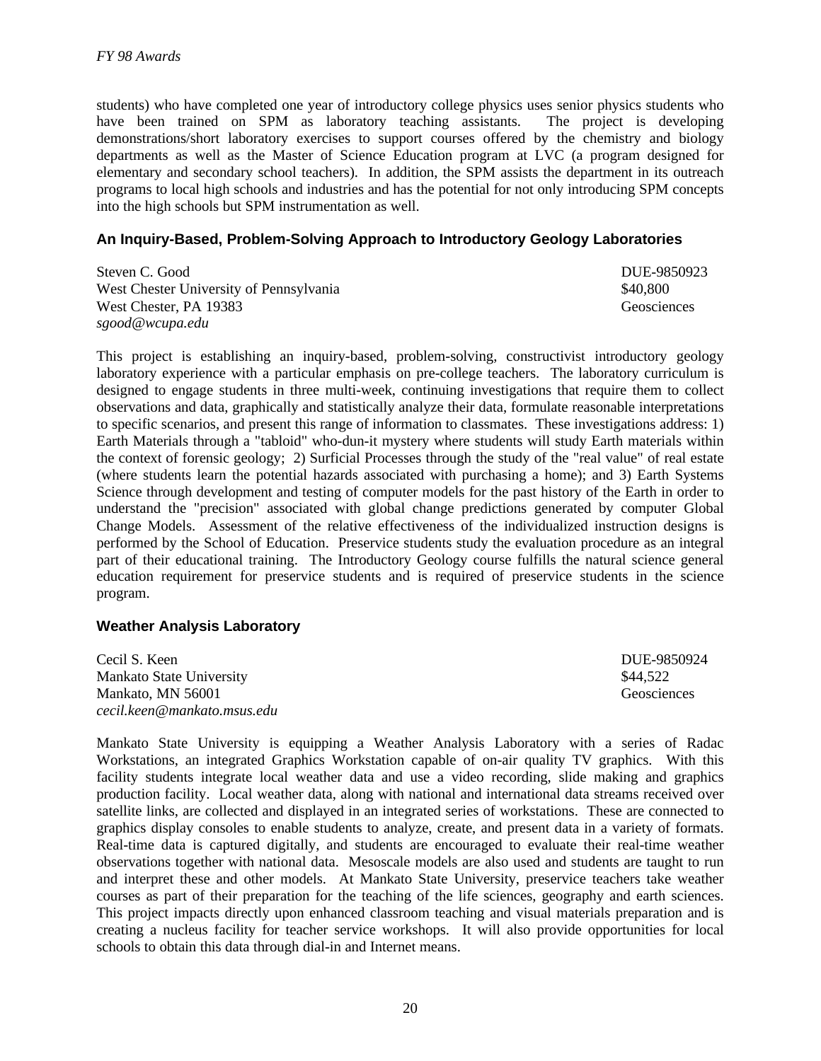students) who have completed one year of introductory college physics uses senior physics students who have been trained on SPM as laboratory teaching assistants. The project is developing demonstrations/short laboratory exercises to support courses offered by the chemistry and biology departments as well as the Master of Science Education program at LVC (a program designed for elementary and secondary school teachers). In addition, the SPM assists the department in its outreach programs to local high schools and industries and has the potential for not only introducing SPM concepts into the high schools but SPM instrumentation as well.

#### **An Inquiry-Based, Problem-Solving Approach to Introductory Geology Laboratories**

| Steven C. Good                          | DUE-9850923 |
|-----------------------------------------|-------------|
| West Chester University of Pennsylvania | \$40,800    |
| West Chester, PA 19383                  | Geosciences |
| sgood@wcupa.edu                         |             |

This project is establishing an inquiry-based, problem-solving, constructivist introductory geology laboratory experience with a particular emphasis on pre-college teachers. The laboratory curriculum is designed to engage students in three multi-week, continuing investigations that require them to collect observations and data, graphically and statistically analyze their data, formulate reasonable interpretations to specific scenarios, and present this range of information to classmates. These investigations address: 1) Earth Materials through a "tabloid" who-dun-it mystery where students will study Earth materials within the context of forensic geology; 2) Surficial Processes through the study of the "real value" of real estate (where students learn the potential hazards associated with purchasing a home); and 3) Earth Systems Science through development and testing of computer models for the past history of the Earth in order to understand the "precision" associated with global change predictions generated by computer Global Change Models. Assessment of the relative effectiveness of the individualized instruction designs is performed by the School of Education. Preservice students study the evaluation procedure as an integral part of their educational training. The Introductory Geology course fulfills the natural science general education requirement for preservice students and is required of preservice students in the science program.

#### **Weather Analysis Laboratory**

| Cecil S. Keen               | DUE-9850924 |
|-----------------------------|-------------|
| Mankato State University    | \$44.522    |
| Mankato, MN 56001           | Geosciences |
| cecil.keen@mankato.msus.edu |             |

Mankato State University is equipping a Weather Analysis Laboratory with a series of Radac Workstations, an integrated Graphics Workstation capable of on-air quality TV graphics. With this facility students integrate local weather data and use a video recording, slide making and graphics production facility. Local weather data, along with national and international data streams received over satellite links, are collected and displayed in an integrated series of workstations. These are connected to graphics display consoles to enable students to analyze, create, and present data in a variety of formats. Real-time data is captured digitally, and students are encouraged to evaluate their real-time weather observations together with national data. Mesoscale models are also used and students are taught to run and interpret these and other models. At Mankato State University, preservice teachers take weather courses as part of their preparation for the teaching of the life sciences, geography and earth sciences. This project impacts directly upon enhanced classroom teaching and visual materials preparation and is creating a nucleus facility for teacher service workshops. It will also provide opportunities for local schools to obtain this data through dial-in and Internet means.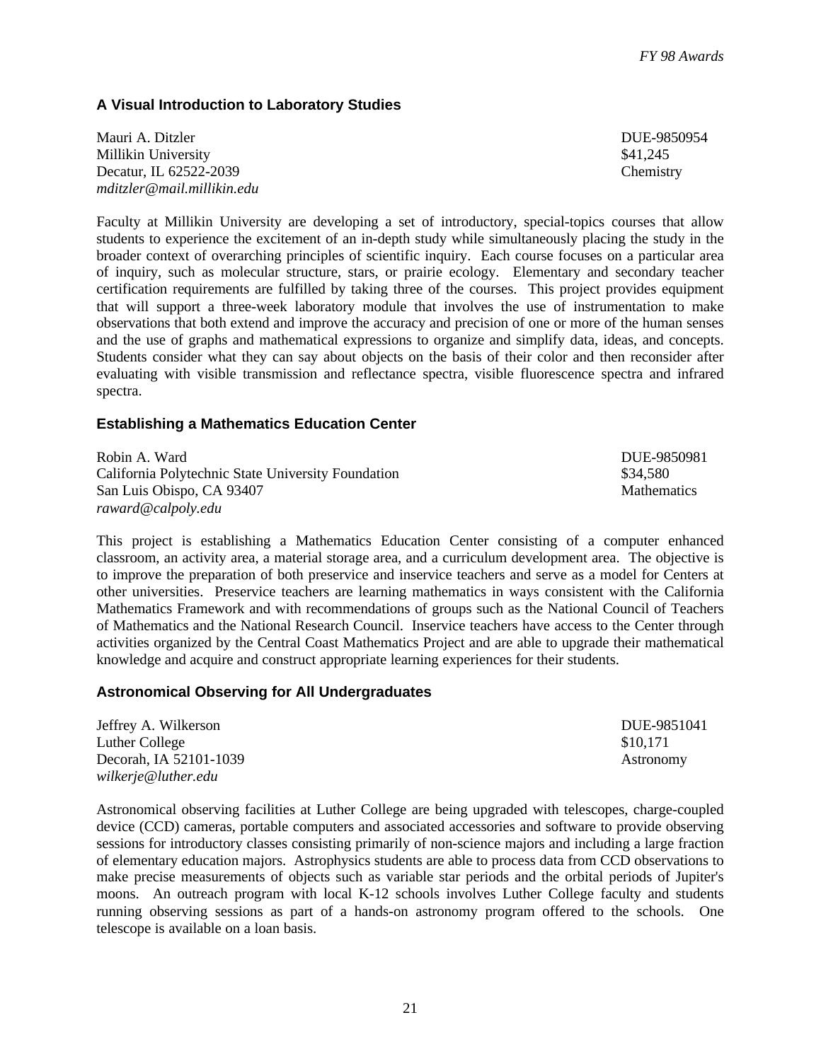#### **A Visual Introduction to Laboratory Studies**

Mauri A. Ditzler DUE-9850954 Millikin University **\$41,245** Decatur, IL 62522-2039 Chemistry *mditzler@mail.millikin.edu*

Faculty at Millikin University are developing a set of introductory, special-topics courses that allow students to experience the excitement of an in-depth study while simultaneously placing the study in the broader context of overarching principles of scientific inquiry. Each course focuses on a particular area of inquiry, such as molecular structure, stars, or prairie ecology. Elementary and secondary teacher certification requirements are fulfilled by taking three of the courses. This project provides equipment that will support a three-week laboratory module that involves the use of instrumentation to make observations that both extend and improve the accuracy and precision of one or more of the human senses and the use of graphs and mathematical expressions to organize and simplify data, ideas, and concepts. Students consider what they can say about objects on the basis of their color and then reconsider after evaluating with visible transmission and reflectance spectra, visible fluorescence spectra and infrared spectra.

#### **Establishing a Mathematics Education Center**

Robin A. Ward DUE-9850981 California Polytechnic State University Foundation \$34,580 San Luis Obispo, CA 93407 Mathematics *raward@calpoly.edu*

This project is establishing a Mathematics Education Center consisting of a computer enhanced classroom, an activity area, a material storage area, and a curriculum development area. The objective is to improve the preparation of both preservice and inservice teachers and serve as a model for Centers at other universities. Preservice teachers are learning mathematics in ways consistent with the California Mathematics Framework and with recommendations of groups such as the National Council of Teachers of Mathematics and the National Research Council. Inservice teachers have access to the Center through activities organized by the Central Coast Mathematics Project and are able to upgrade their mathematical knowledge and acquire and construct appropriate learning experiences for their students.

#### **Astronomical Observing for All Undergraduates**

Jeffrey A. Wilkerson DUE-9851041 Luther College  $$10,171$ Decorah, IA 52101-1039 Astronomy *wilkerje@luther.edu*

Astronomical observing facilities at Luther College are being upgraded with telescopes, charge-coupled device (CCD) cameras, portable computers and associated accessories and software to provide observing sessions for introductory classes consisting primarily of non-science majors and including a large fraction of elementary education majors. Astrophysics students are able to process data from CCD observations to make precise measurements of objects such as variable star periods and the orbital periods of Jupiter's moons. An outreach program with local K-12 schools involves Luther College faculty and students running observing sessions as part of a hands-on astronomy program offered to the schools. One telescope is available on a loan basis.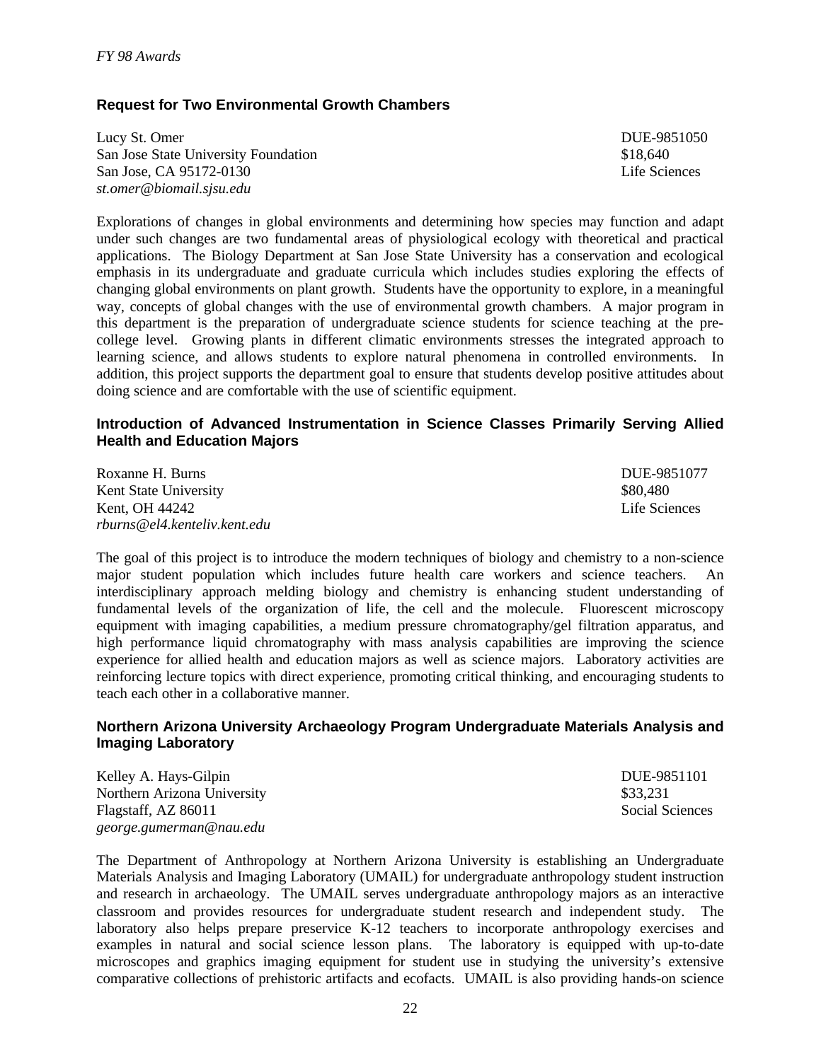#### **Request for Two Environmental Growth Chambers**

Lucy St. Omer DUE-9851050 San Jose State University Foundation  $$18,640$ San Jose, CA 95172-0130 Life Sciences *st.omer@biomail.sjsu.edu*

Explorations of changes in global environments and determining how species may function and adapt under such changes are two fundamental areas of physiological ecology with theoretical and practical applications. The Biology Department at San Jose State University has a conservation and ecological emphasis in its undergraduate and graduate curricula which includes studies exploring the effects of changing global environments on plant growth. Students have the opportunity to explore, in a meaningful way, concepts of global changes with the use of environmental growth chambers. A major program in this department is the preparation of undergraduate science students for science teaching at the precollege level. Growing plants in different climatic environments stresses the integrated approach to learning science, and allows students to explore natural phenomena in controlled environments. In addition, this project supports the department goal to ensure that students develop positive attitudes about doing science and are comfortable with the use of scientific equipment.

#### **Introduction of Advanced Instrumentation in Science Classes Primarily Serving Allied Health and Education Majors**

| Roxanne H. Burns             | DUE-9851077   |
|------------------------------|---------------|
| Kent State University        | \$80.480      |
| Kent, OH 44242               | Life Sciences |
| rburns@el4.kenteliv.kent.edu |               |

The goal of this project is to introduce the modern techniques of biology and chemistry to a non-science major student population which includes future health care workers and science teachers. An interdisciplinary approach melding biology and chemistry is enhancing student understanding of fundamental levels of the organization of life, the cell and the molecule. Fluorescent microscopy equipment with imaging capabilities, a medium pressure chromatography/gel filtration apparatus, and high performance liquid chromatography with mass analysis capabilities are improving the science experience for allied health and education majors as well as science majors. Laboratory activities are reinforcing lecture topics with direct experience, promoting critical thinking, and encouraging students to teach each other in a collaborative manner.

#### **Northern Arizona University Archaeology Program Undergraduate Materials Analysis and Imaging Laboratory**

Kelley A. Hays-Gilpin DUE-9851101 Northern Arizona University **\$33,231** \$33,231 Flagstaff, AZ 86011 Social Sciences *george.gumerman@nau.edu*

The Department of Anthropology at Northern Arizona University is establishing an Undergraduate Materials Analysis and Imaging Laboratory (UMAIL) for undergraduate anthropology student instruction and research in archaeology. The UMAIL serves undergraduate anthropology majors as an interactive classroom and provides resources for undergraduate student research and independent study. The laboratory also helps prepare preservice K-12 teachers to incorporate anthropology exercises and examples in natural and social science lesson plans. The laboratory is equipped with up-to-date microscopes and graphics imaging equipment for student use in studying the university's extensive comparative collections of prehistoric artifacts and ecofacts. UMAIL is also providing hands-on science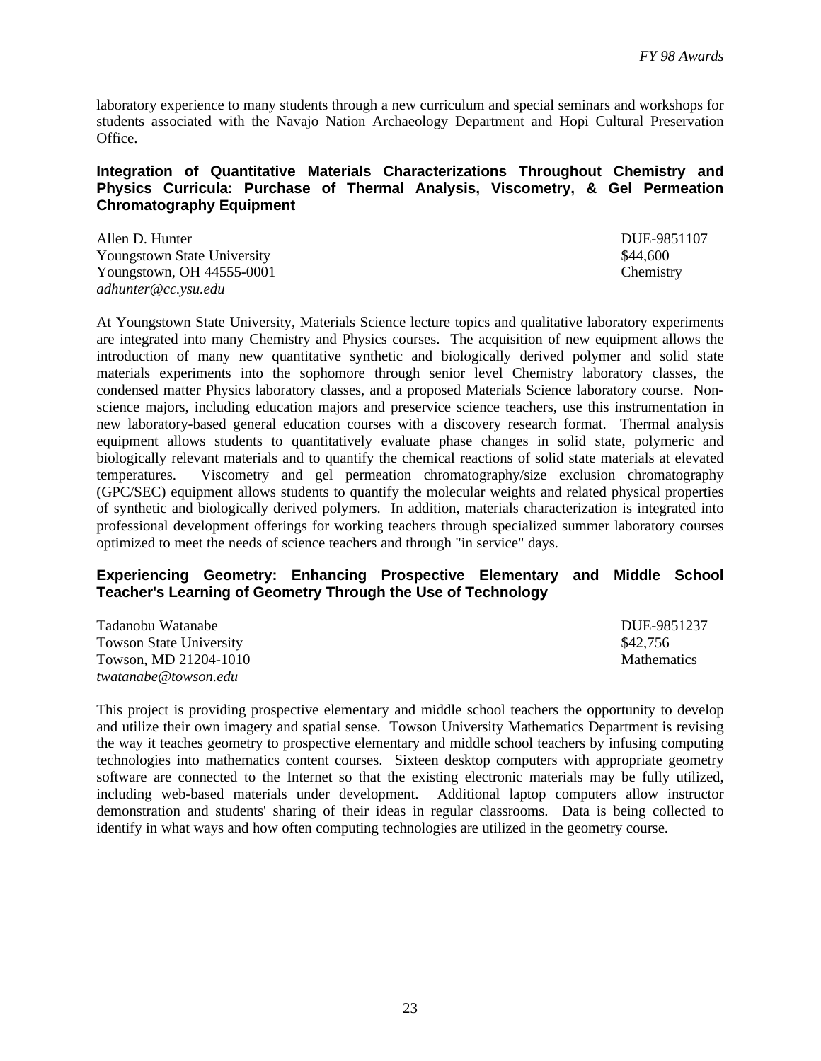laboratory experience to many students through a new curriculum and special seminars and workshops for students associated with the Navajo Nation Archaeology Department and Hopi Cultural Preservation Office.

#### **Integration of Quantitative Materials Characterizations Throughout Chemistry and Physics Curricula: Purchase of Thermal Analysis, Viscometry, & Gel Permeation Chromatography Equipment**

Allen D. Hunter DUE-9851107 Youngstown State University  $\frac{1}{44,600}$ Youngstown, OH 44555-0001 *adhunter@cc.ysu.edu*

At Youngstown State University, Materials Science lecture topics and qualitative laboratory experiments are integrated into many Chemistry and Physics courses. The acquisition of new equipment allows the introduction of many new quantitative synthetic and biologically derived polymer and solid state materials experiments into the sophomore through senior level Chemistry laboratory classes, the condensed matter Physics laboratory classes, and a proposed Materials Science laboratory course. Nonscience majors, including education majors and preservice science teachers, use this instrumentation in new laboratory-based general education courses with a discovery research format. Thermal analysis equipment allows students to quantitatively evaluate phase changes in solid state, polymeric and biologically relevant materials and to quantify the chemical reactions of solid state materials at elevated temperatures. Viscometry and gel permeation chromatography/size exclusion chromatography (GPC/SEC) equipment allows students to quantify the molecular weights and related physical properties of synthetic and biologically derived polymers. In addition, materials characterization is integrated into professional development offerings for working teachers through specialized summer laboratory courses optimized to meet the needs of science teachers and through "in service" days.

#### **Experiencing Geometry: Enhancing Prospective Elementary and Middle School Teacher's Learning of Geometry Through the Use of Technology**

| Tadanobu Watanabe              | DUE-9851237        |
|--------------------------------|--------------------|
| <b>Towson State University</b> | \$42.756           |
| Towson, MD 21204-1010          | <b>Mathematics</b> |
| twatanabe@towson.edu           |                    |

This project is providing prospective elementary and middle school teachers the opportunity to develop and utilize their own imagery and spatial sense. Towson University Mathematics Department is revising the way it teaches geometry to prospective elementary and middle school teachers by infusing computing technologies into mathematics content courses. Sixteen desktop computers with appropriate geometry software are connected to the Internet so that the existing electronic materials may be fully utilized, including web-based materials under development. Additional laptop computers allow instructor demonstration and students' sharing of their ideas in regular classrooms. Data is being collected to identify in what ways and how often computing technologies are utilized in the geometry course.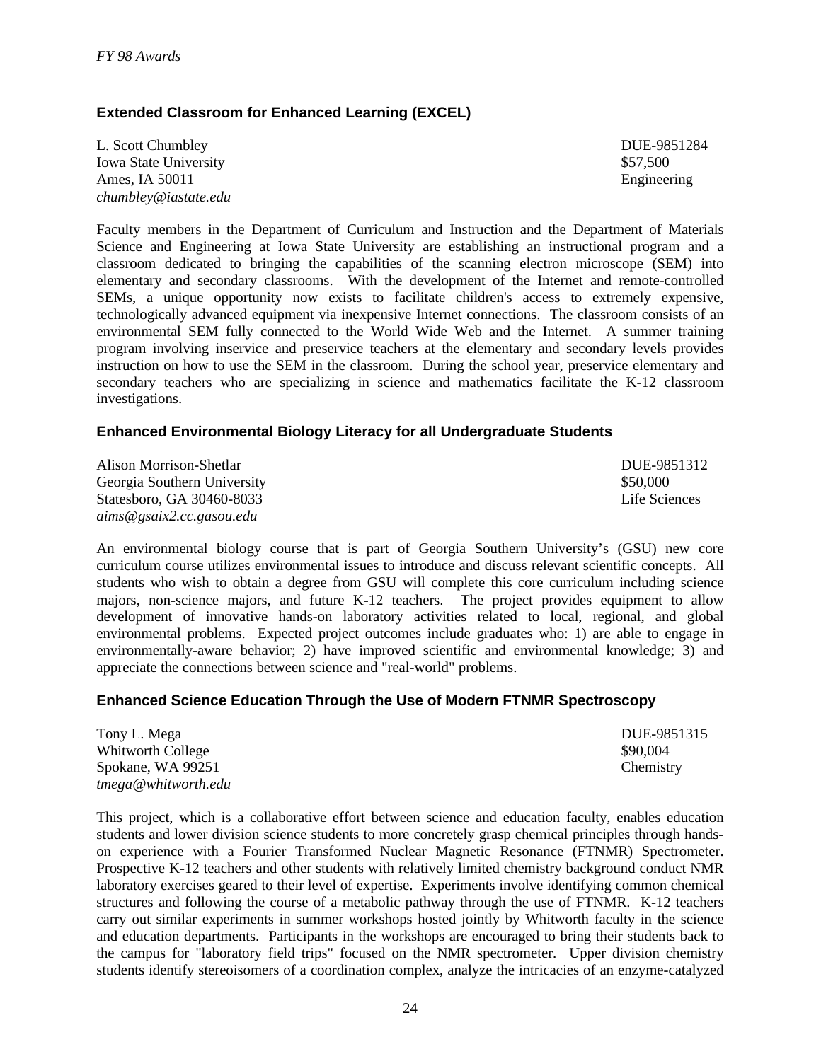### **Extended Classroom for Enhanced Learning (EXCEL)**

L. Scott Chumbley DUE-9851284 Iowa State University **\$57,500** State University Ames, IA 50011 Engineering *chumbley@iastate.edu*

Faculty members in the Department of Curriculum and Instruction and the Department of Materials Science and Engineering at Iowa State University are establishing an instructional program and a classroom dedicated to bringing the capabilities of the scanning electron microscope (SEM) into elementary and secondary classrooms. With the development of the Internet and remote-controlled SEMs, a unique opportunity now exists to facilitate children's access to extremely expensive, technologically advanced equipment via inexpensive Internet connections. The classroom consists of an environmental SEM fully connected to the World Wide Web and the Internet. A summer training program involving inservice and preservice teachers at the elementary and secondary levels provides instruction on how to use the SEM in the classroom. During the school year, preservice elementary and secondary teachers who are specializing in science and mathematics facilitate the K-12 classroom investigations.

#### **Enhanced Environmental Biology Literacy for all Undergraduate Students**

Alison Morrison-Shetlar DUE-9851312 Georgia Southern University **S50,000** S50,000 Statesboro, GA 30460-8033 Life Sciences *aims@gsaix2.cc.gasou.edu*

An environmental biology course that is part of Georgia Southern University's (GSU) new core curriculum course utilizes environmental issues to introduce and discuss relevant scientific concepts. All students who wish to obtain a degree from GSU will complete this core curriculum including science majors, non-science majors, and future K-12 teachers. The project provides equipment to allow development of innovative hands-on laboratory activities related to local, regional, and global environmental problems. Expected project outcomes include graduates who: 1) are able to engage in environmentally-aware behavior; 2) have improved scientific and environmental knowledge; 3) and appreciate the connections between science and "real-world" problems.

### **Enhanced Science Education Through the Use of Modern FTNMR Spectroscopy**

| Tony L. Mega        | DUE-9851315 |
|---------------------|-------------|
| Whitworth College   | \$90,004    |
| Spokane, WA 99251   | Chemistry   |
| tmega@whitworth.edu |             |

This project, which is a collaborative effort between science and education faculty, enables education students and lower division science students to more concretely grasp chemical principles through handson experience with a Fourier Transformed Nuclear Magnetic Resonance (FTNMR) Spectrometer. Prospective K-12 teachers and other students with relatively limited chemistry background conduct NMR laboratory exercises geared to their level of expertise. Experiments involve identifying common chemical structures and following the course of a metabolic pathway through the use of FTNMR. K-12 teachers carry out similar experiments in summer workshops hosted jointly by Whitworth faculty in the science and education departments. Participants in the workshops are encouraged to bring their students back to the campus for "laboratory field trips" focused on the NMR spectrometer. Upper division chemistry students identify stereoisomers of a coordination complex, analyze the intricacies of an enzyme-catalyzed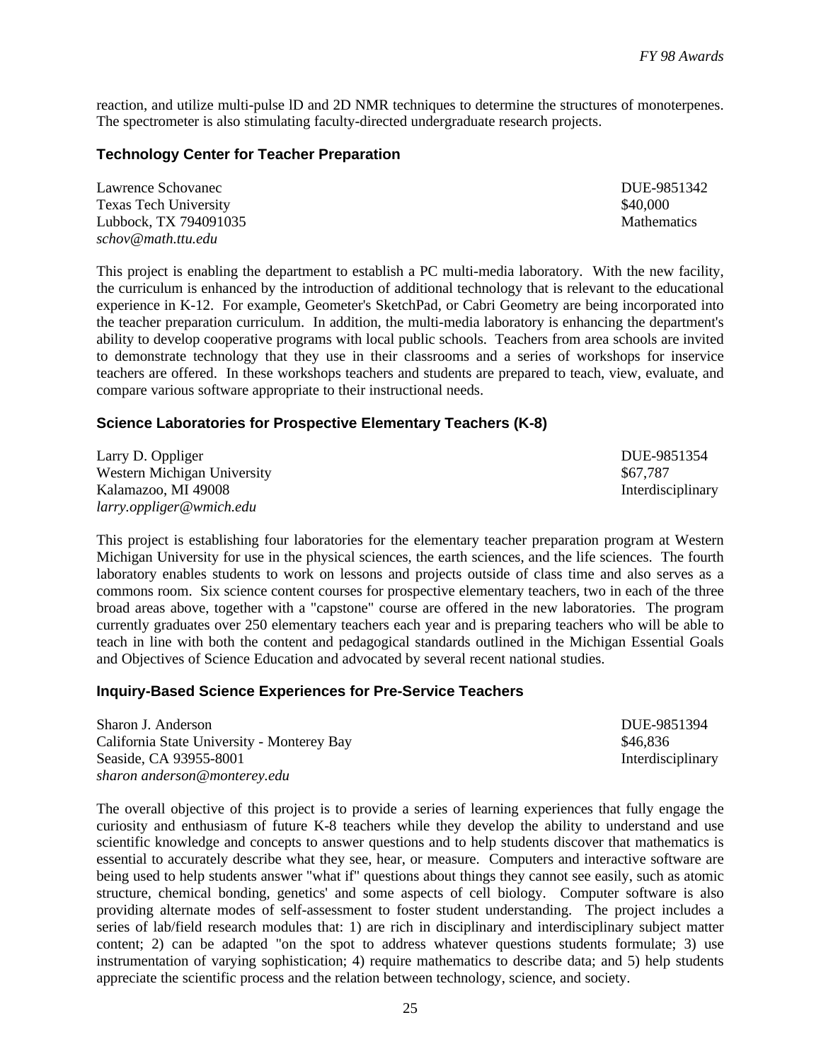reaction, and utilize multi-pulse lD and 2D NMR techniques to determine the structures of monoterpenes. The spectrometer is also stimulating faculty-directed undergraduate research projects.

#### **Technology Center for Teacher Preparation**

| Lawrence Schovanec           | DUE-9851342        |
|------------------------------|--------------------|
| <b>Texas Tech University</b> | \$40,000           |
| Lubbock, TX 794091035        | <b>Mathematics</b> |
| schov@math.ttu.edu           |                    |

This project is enabling the department to establish a PC multi-media laboratory. With the new facility, the curriculum is enhanced by the introduction of additional technology that is relevant to the educational experience in K-12. For example, Geometer's SketchPad, or Cabri Geometry are being incorporated into the teacher preparation curriculum. In addition, the multi-media laboratory is enhancing the department's ability to develop cooperative programs with local public schools. Teachers from area schools are invited to demonstrate technology that they use in their classrooms and a series of workshops for inservice teachers are offered. In these workshops teachers and students are prepared to teach, view, evaluate, and compare various software appropriate to their instructional needs.

#### **Science Laboratories for Prospective Elementary Teachers (K-8)**

Larry D. Oppliger DUE-9851354 Western Michigan University<br>
Kalamazoo, MI 49008<br>
Hiterdisciplinary Kalamazoo, MI 49008 *larry.oppliger@wmich.edu*

This project is establishing four laboratories for the elementary teacher preparation program at Western Michigan University for use in the physical sciences, the earth sciences, and the life sciences. The fourth laboratory enables students to work on lessons and projects outside of class time and also serves as a commons room. Six science content courses for prospective elementary teachers, two in each of the three broad areas above, together with a "capstone" course are offered in the new laboratories. The program currently graduates over 250 elementary teachers each year and is preparing teachers who will be able to teach in line with both the content and pedagogical standards outlined in the Michigan Essential Goals and Objectives of Science Education and advocated by several recent national studies.

#### **Inquiry-Based Science Experiences for Pre-Service Teachers**

| Sharon J. Anderson                         | DUE-9851394       |
|--------------------------------------------|-------------------|
| California State University - Monterey Bay | \$46,836          |
| Seaside, CA 93955-8001                     | Interdisciplinary |
| sharon anderson@monterey.edu               |                   |

The overall objective of this project is to provide a series of learning experiences that fully engage the curiosity and enthusiasm of future K-8 teachers while they develop the ability to understand and use scientific knowledge and concepts to answer questions and to help students discover that mathematics is essential to accurately describe what they see, hear, or measure. Computers and interactive software are being used to help students answer "what if" questions about things they cannot see easily, such as atomic structure, chemical bonding, genetics' and some aspects of cell biology. Computer software is also providing alternate modes of self-assessment to foster student understanding. The project includes a series of lab/field research modules that: 1) are rich in disciplinary and interdisciplinary subject matter content; 2) can be adapted "on the spot to address whatever questions students formulate; 3) use instrumentation of varying sophistication; 4) require mathematics to describe data; and 5) help students appreciate the scientific process and the relation between technology, science, and society.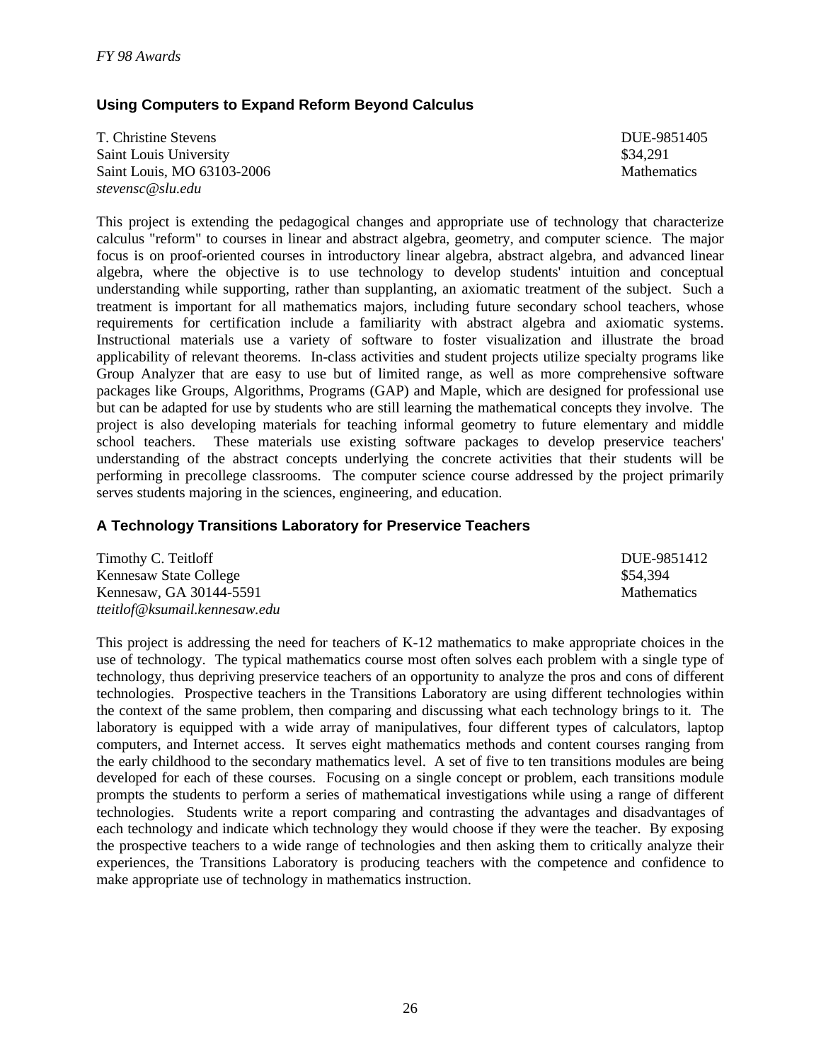### **Using Computers to Expand Reform Beyond Calculus**

T. Christine Stevens DUE-9851405 Saint Louis University  $\$34,291$ Saint Louis, MO 63103-2006 Mathematics Mathematics *stevensc@slu.edu*

This project is extending the pedagogical changes and appropriate use of technology that characterize calculus "reform" to courses in linear and abstract algebra, geometry, and computer science. The major focus is on proof-oriented courses in introductory linear algebra, abstract algebra, and advanced linear algebra, where the objective is to use technology to develop students' intuition and conceptual understanding while supporting, rather than supplanting, an axiomatic treatment of the subject. Such a treatment is important for all mathematics majors, including future secondary school teachers, whose requirements for certification include a familiarity with abstract algebra and axiomatic systems. Instructional materials use a variety of software to foster visualization and illustrate the broad applicability of relevant theorems. In-class activities and student projects utilize specialty programs like Group Analyzer that are easy to use but of limited range, as well as more comprehensive software packages like Groups, Algorithms, Programs (GAP) and Maple, which are designed for professional use but can be adapted for use by students who are still learning the mathematical concepts they involve. The project is also developing materials for teaching informal geometry to future elementary and middle school teachers. These materials use existing software packages to develop preservice teachers' These materials use existing software packages to develop preservice teachers' understanding of the abstract concepts underlying the concrete activities that their students will be performing in precollege classrooms. The computer science course addressed by the project primarily serves students majoring in the sciences, engineering, and education.

#### **A Technology Transitions Laboratory for Preservice Teachers**

| Timothy C. Teitloff           | DUE-9851412        |
|-------------------------------|--------------------|
| Kennesaw State College        | \$54.394           |
| Kennesaw, GA 30144-5591       | <b>Mathematics</b> |
| tteitlof@ksumail.kennesaw.edu |                    |

This project is addressing the need for teachers of K-12 mathematics to make appropriate choices in the use of technology. The typical mathematics course most often solves each problem with a single type of technology, thus depriving preservice teachers of an opportunity to analyze the pros and cons of different technologies. Prospective teachers in the Transitions Laboratory are using different technologies within the context of the same problem, then comparing and discussing what each technology brings to it. The laboratory is equipped with a wide array of manipulatives, four different types of calculators, laptop computers, and Internet access. It serves eight mathematics methods and content courses ranging from the early childhood to the secondary mathematics level. A set of five to ten transitions modules are being developed for each of these courses. Focusing on a single concept or problem, each transitions module prompts the students to perform a series of mathematical investigations while using a range of different technologies. Students write a report comparing and contrasting the advantages and disadvantages of each technology and indicate which technology they would choose if they were the teacher. By exposing the prospective teachers to a wide range of technologies and then asking them to critically analyze their experiences, the Transitions Laboratory is producing teachers with the competence and confidence to make appropriate use of technology in mathematics instruction.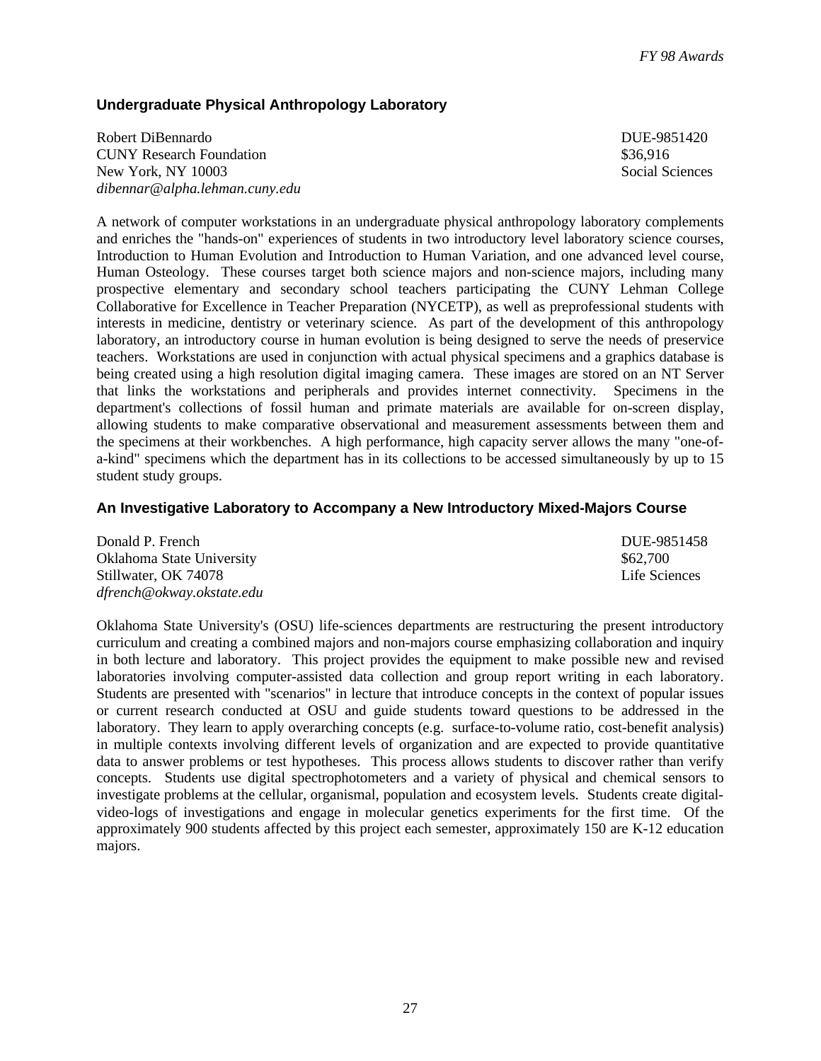### **Undergraduate Physical Anthropology Laboratory**

Robert DiBennardo **DUE-9851420** CUNY Research Foundation  $$36,916$ New York, NY 10003 Social Sciences *dibennar@alpha.lehman.cuny.edu*

A network of computer workstations in an undergraduate physical anthropology laboratory complements and enriches the "hands-on" experiences of students in two introductory level laboratory science courses, Introduction to Human Evolution and Introduction to Human Variation, and one advanced level course, Human Osteology. These courses target both science majors and non-science majors, including many prospective elementary and secondary school teachers participating the CUNY Lehman College Collaborative for Excellence in Teacher Preparation (NYCETP), as well as preprofessional students with interests in medicine, dentistry or veterinary science. As part of the development of this anthropology laboratory, an introductory course in human evolution is being designed to serve the needs of preservice teachers. Workstations are used in conjunction with actual physical specimens and a graphics database is being created using a high resolution digital imaging camera. These images are stored on an NT Server that links the workstations and peripherals and provides internet connectivity. Specimens in the department's collections of fossil human and primate materials are available for on-screen display, allowing students to make comparative observational and measurement assessments between them and the specimens at their workbenches. A high performance, high capacity server allows the many "one-ofa-kind" specimens which the department has in its collections to be accessed simultaneously by up to 15 student study groups.

### **An Investigative Laboratory to Accompany a New Introductory Mixed-Majors Course**

| Donald P. French          | DUE-9851458   |
|---------------------------|---------------|
| Oklahoma State University | \$62,700      |
| Stillwater, OK 74078      | Life Sciences |
| dfrench@okway.okstate.edu |               |

Oklahoma State University's (OSU) life-sciences departments are restructuring the present introductory curriculum and creating a combined majors and non-majors course emphasizing collaboration and inquiry in both lecture and laboratory. This project provides the equipment to make possible new and revised laboratories involving computer-assisted data collection and group report writing in each laboratory. Students are presented with "scenarios" in lecture that introduce concepts in the context of popular issues or current research conducted at OSU and guide students toward questions to be addressed in the laboratory. They learn to apply overarching concepts (e.g. surface-to-volume ratio, cost-benefit analysis) in multiple contexts involving different levels of organization and are expected to provide quantitative data to answer problems or test hypotheses. This process allows students to discover rather than verify concepts. Students use digital spectrophotometers and a variety of physical and chemical sensors to investigate problems at the cellular, organismal, population and ecosystem levels. Students create digitalvideo-logs of investigations and engage in molecular genetics experiments for the first time. Of the approximately 900 students affected by this project each semester, approximately 150 are K-12 education majors.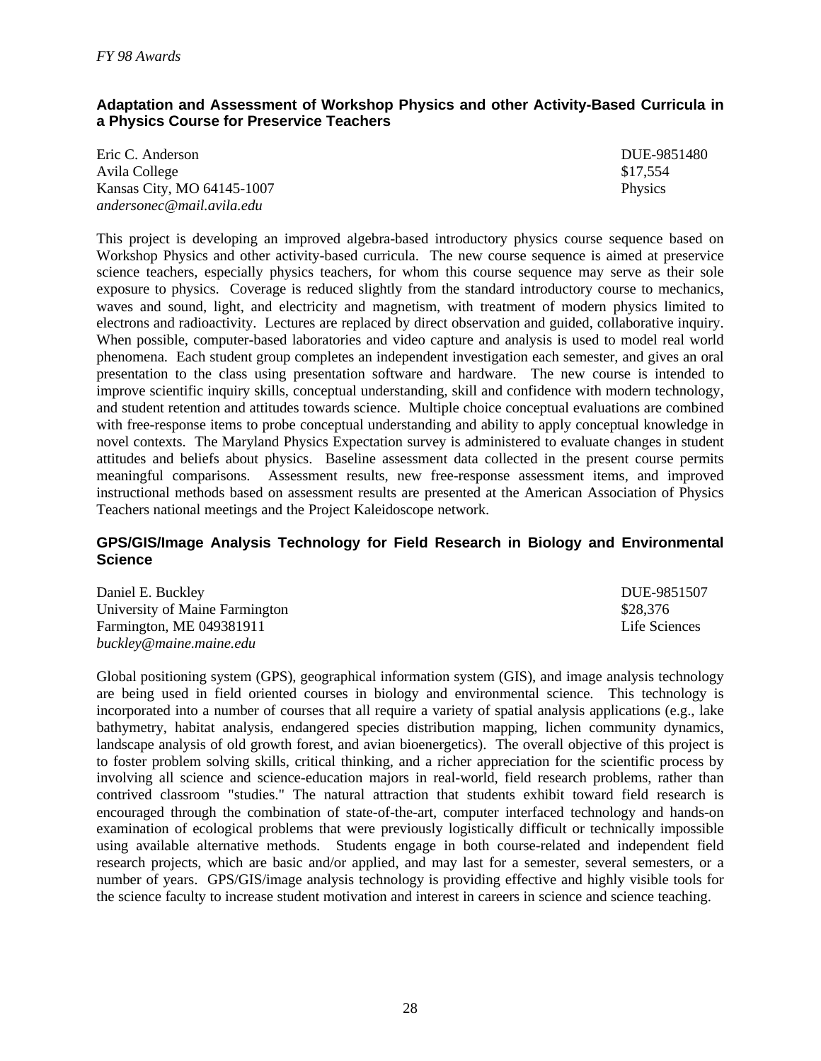### **Adaptation and Assessment of Workshop Physics and other Activity-Based Curricula in a Physics Course for Preservice Teachers**

Eric C. Anderson DUE-9851480 Avila College  $$17,554$ Kansas City, MO 64145-1007 Physics *andersonec@mail.avila.edu*

This project is developing an improved algebra-based introductory physics course sequence based on Workshop Physics and other activity-based curricula. The new course sequence is aimed at preservice science teachers, especially physics teachers, for whom this course sequence may serve as their sole exposure to physics. Coverage is reduced slightly from the standard introductory course to mechanics, waves and sound, light, and electricity and magnetism, with treatment of modern physics limited to electrons and radioactivity. Lectures are replaced by direct observation and guided, collaborative inquiry. When possible, computer-based laboratories and video capture and analysis is used to model real world phenomena. Each student group completes an independent investigation each semester, and gives an oral presentation to the class using presentation software and hardware. The new course is intended to improve scientific inquiry skills, conceptual understanding, skill and confidence with modern technology, and student retention and attitudes towards science. Multiple choice conceptual evaluations are combined with free-response items to probe conceptual understanding and ability to apply conceptual knowledge in novel contexts. The Maryland Physics Expectation survey is administered to evaluate changes in student attitudes and beliefs about physics. Baseline assessment data collected in the present course permits meaningful comparisons. Assessment results, new free-response assessment items, and improved instructional methods based on assessment results are presented at the American Association of Physics Teachers national meetings and the Project Kaleidoscope network.

#### **GPS/GIS/Image Analysis Technology for Field Research in Biology and Environmental Science**

Daniel E. Buckley DUE-9851507 University of Maine Farmington  $$28,376$ Farmington, ME 049381911 Life Sciences *buckley@maine.maine.edu*

Global positioning system (GPS), geographical information system (GIS), and image analysis technology are being used in field oriented courses in biology and environmental science. This technology is incorporated into a number of courses that all require a variety of spatial analysis applications (e.g., lake bathymetry, habitat analysis, endangered species distribution mapping, lichen community dynamics, landscape analysis of old growth forest, and avian bioenergetics). The overall objective of this project is to foster problem solving skills, critical thinking, and a richer appreciation for the scientific process by involving all science and science-education majors in real-world, field research problems, rather than contrived classroom "studies." The natural attraction that students exhibit toward field research is encouraged through the combination of state-of-the-art, computer interfaced technology and hands-on examination of ecological problems that were previously logistically difficult or technically impossible using available alternative methods. Students engage in both course-related and independent field research projects, which are basic and/or applied, and may last for a semester, several semesters, or a number of years. GPS/GIS/image analysis technology is providing effective and highly visible tools for the science faculty to increase student motivation and interest in careers in science and science teaching.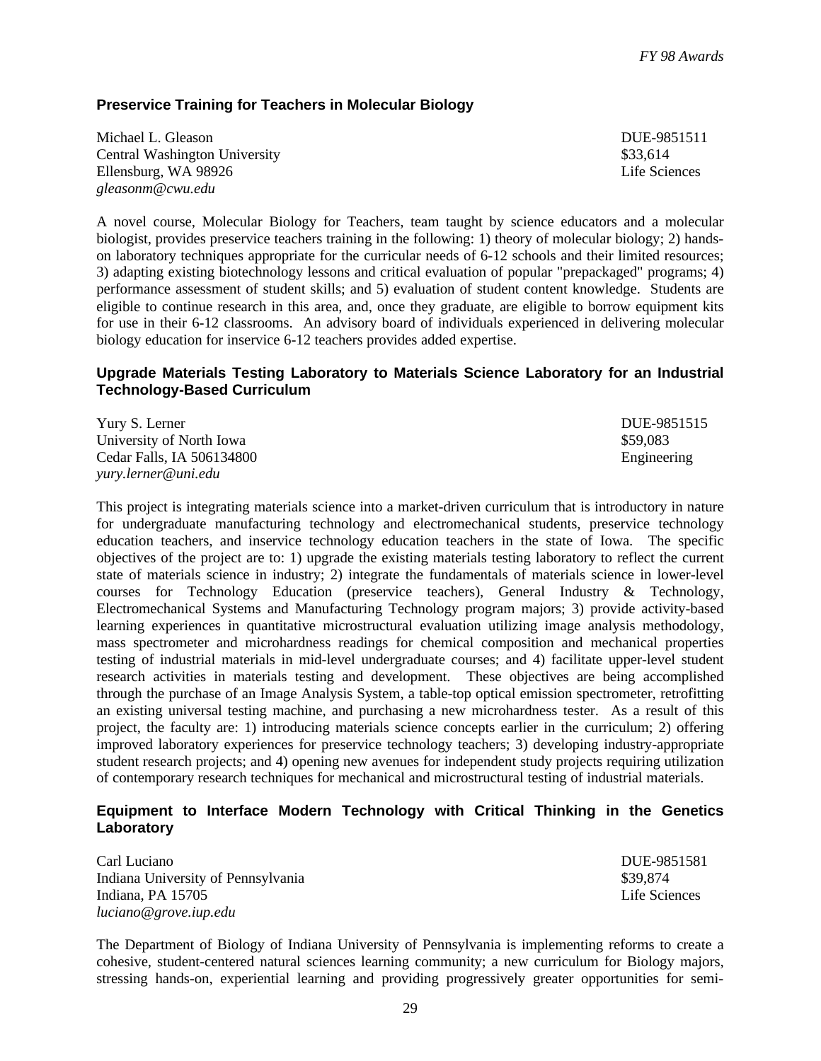### **Preservice Training for Teachers in Molecular Biology**

Michael L. Gleason **DUE-9851511** Central Washington University **\$33,614** S33,614 Ellensburg, WA 98926 Life Sciences *gleasonm@cwu.edu*

A novel course, Molecular Biology for Teachers, team taught by science educators and a molecular biologist, provides preservice teachers training in the following: 1) theory of molecular biology; 2) handson laboratory techniques appropriate for the curricular needs of 6-12 schools and their limited resources; 3) adapting existing biotechnology lessons and critical evaluation of popular "prepackaged" programs; 4) performance assessment of student skills; and 5) evaluation of student content knowledge. Students are eligible to continue research in this area, and, once they graduate, are eligible to borrow equipment kits for use in their 6-12 classrooms. An advisory board of individuals experienced in delivering molecular biology education for inservice 6-12 teachers provides added expertise.

#### **Upgrade Materials Testing Laboratory to Materials Science Laboratory for an Industrial Technology-Based Curriculum**

| Yury S. Lerner            | DUE-9851515 |
|---------------------------|-------------|
| University of North Iowa  | \$59.083    |
| Cedar Falls, IA 506134800 | Engineering |
| vurv.lerner@uni.edu       |             |

This project is integrating materials science into a market-driven curriculum that is introductory in nature for undergraduate manufacturing technology and electromechanical students, preservice technology education teachers, and inservice technology education teachers in the state of Iowa. The specific objectives of the project are to: 1) upgrade the existing materials testing laboratory to reflect the current state of materials science in industry; 2) integrate the fundamentals of materials science in lower-level courses for Technology Education (preservice teachers), General Industry & Technology, Electromechanical Systems and Manufacturing Technology program majors; 3) provide activity-based learning experiences in quantitative microstructural evaluation utilizing image analysis methodology, mass spectrometer and microhardness readings for chemical composition and mechanical properties testing of industrial materials in mid-level undergraduate courses; and 4) facilitate upper-level student research activities in materials testing and development. These objectives are being accomplished through the purchase of an Image Analysis System, a table-top optical emission spectrometer, retrofitting an existing universal testing machine, and purchasing a new microhardness tester. As a result of this project, the faculty are: 1) introducing materials science concepts earlier in the curriculum; 2) offering improved laboratory experiences for preservice technology teachers; 3) developing industry-appropriate student research projects; and 4) opening new avenues for independent study projects requiring utilization of contemporary research techniques for mechanical and microstructural testing of industrial materials.

#### **Equipment to Interface Modern Technology with Critical Thinking in the Genetics Laboratory**

Carl Luciano DUE-9851581 Indiana University of Pennsylvania \$39,874 Indiana, PA 15705 Life Sciences *luciano@grove.iup.edu*

The Department of Biology of Indiana University of Pennsylvania is implementing reforms to create a cohesive, student-centered natural sciences learning community; a new curriculum for Biology majors, stressing hands-on, experiential learning and providing progressively greater opportunities for semi-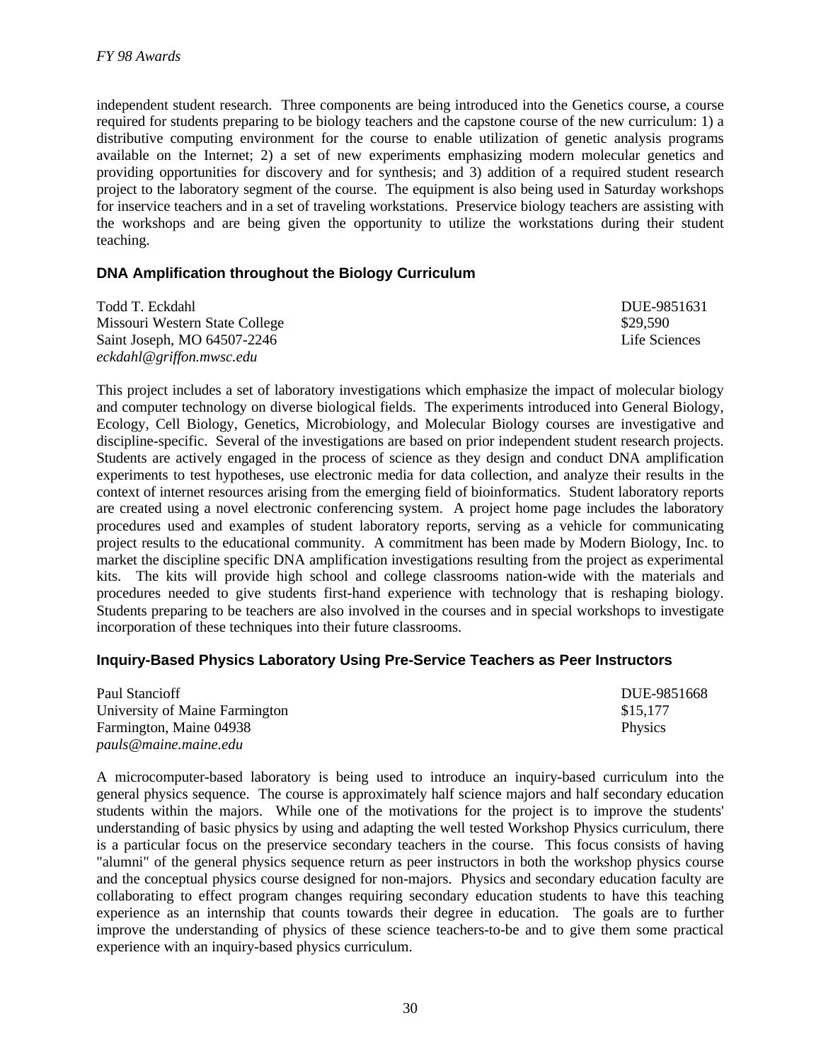independent student research. Three components are being introduced into the Genetics course, a course required for students preparing to be biology teachers and the capstone course of the new curriculum: 1) a distributive computing environment for the course to enable utilization of genetic analysis programs available on the Internet; 2) a set of new experiments emphasizing modern molecular genetics and providing opportunities for discovery and for synthesis; and 3) addition of a required student research project to the laboratory segment of the course. The equipment is also being used in Saturday workshops for inservice teachers and in a set of traveling workstations. Preservice biology teachers are assisting with the workshops and are being given the opportunity to utilize the workstations during their student teaching.

### **DNA Amplification throughout the Biology Curriculum**

| Todd T. Eckdahl                | DUE-9851631   |
|--------------------------------|---------------|
| Missouri Western State College | \$29,590      |
| Saint Joseph, MO 64507-2246    | Life Sciences |
| eckdahl@griffon.mwsc.edu       |               |

This project includes a set of laboratory investigations which emphasize the impact of molecular biology and computer technology on diverse biological fields. The experiments introduced into General Biology, Ecology, Cell Biology, Genetics, Microbiology, and Molecular Biology courses are investigative and discipline-specific. Several of the investigations are based on prior independent student research projects. Students are actively engaged in the process of science as they design and conduct DNA amplification experiments to test hypotheses, use electronic media for data collection, and analyze their results in the context of internet resources arising from the emerging field of bioinformatics. Student laboratory reports are created using a novel electronic conferencing system. A project home page includes the laboratory procedures used and examples of student laboratory reports, serving as a vehicle for communicating project results to the educational community. A commitment has been made by Modern Biology, Inc. to market the discipline specific DNA amplification investigations resulting from the project as experimental kits. The kits will provide high school and college classrooms nation-wide with the materials and procedures needed to give students first-hand experience with technology that is reshaping biology. Students preparing to be teachers are also involved in the courses and in special workshops to investigate incorporation of these techniques into their future classrooms.

### **Inquiry-Based Physics Laboratory Using Pre-Service Teachers as Peer Instructors**

| Paul Stancioff                 | DUE-9851668    |
|--------------------------------|----------------|
| University of Maine Farmington | \$15.177       |
| Farmington, Maine 04938        | <b>Physics</b> |
| pauls@maine.maine.edu          |                |

A microcomputer-based laboratory is being used to introduce an inquiry-based curriculum into the general physics sequence. The course is approximately half science majors and half secondary education students within the majors. While one of the motivations for the project is to improve the students' understanding of basic physics by using and adapting the well tested Workshop Physics curriculum, there is a particular focus on the preservice secondary teachers in the course. This focus consists of having "alumni" of the general physics sequence return as peer instructors in both the workshop physics course and the conceptual physics course designed for non-majors. Physics and secondary education faculty are collaborating to effect program changes requiring secondary education students to have this teaching experience as an internship that counts towards their degree in education. The goals are to further improve the understanding of physics of these science teachers-to-be and to give them some practical experience with an inquiry-based physics curriculum.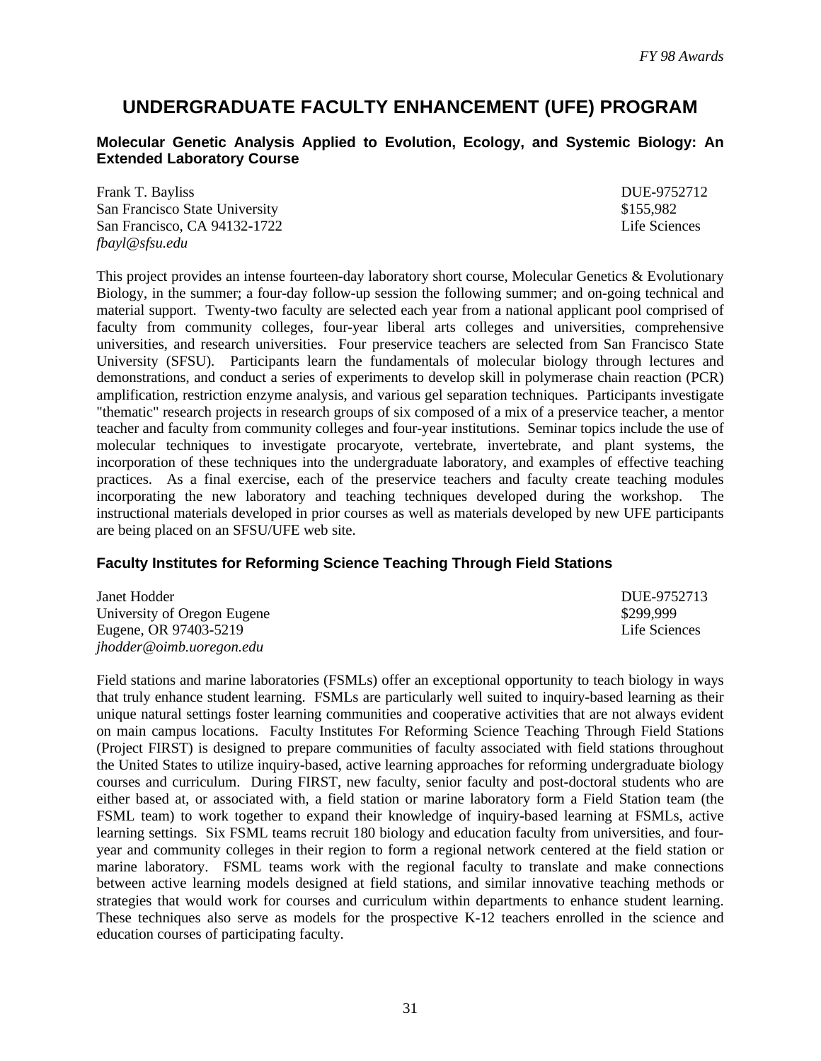### **UNDERGRADUATE FACULTY ENHANCEMENT (UFE) PROGRAM**

#### **Molecular Genetic Analysis Applied to Evolution, Ecology, and Systemic Biology: An Extended Laboratory Course**

Frank T. Bayliss DUE-9752712 San Francisco State University  $$155,982$ San Francisco, CA 94132-1722 Life Sciences *fbayl@sfsu.edu*

This project provides an intense fourteen-day laboratory short course, Molecular Genetics & Evolutionary Biology, in the summer; a four-day follow-up session the following summer; and on-going technical and material support. Twenty-two faculty are selected each year from a national applicant pool comprised of faculty from community colleges, four-year liberal arts colleges and universities, comprehensive universities, and research universities. Four preservice teachers are selected from San Francisco State University (SFSU). Participants learn the fundamentals of molecular biology through lectures and demonstrations, and conduct a series of experiments to develop skill in polymerase chain reaction (PCR) amplification, restriction enzyme analysis, and various gel separation techniques. Participants investigate "thematic" research projects in research groups of six composed of a mix of a preservice teacher, a mentor teacher and faculty from community colleges and four-year institutions. Seminar topics include the use of molecular techniques to investigate procaryote, vertebrate, invertebrate, and plant systems, the incorporation of these techniques into the undergraduate laboratory, and examples of effective teaching practices. As a final exercise, each of the preservice teachers and faculty create teaching modules incorporating the new laboratory and teaching techniques developed during the workshop. The instructional materials developed in prior courses as well as materials developed by new UFE participants are being placed on an SFSU/UFE web site.

#### **Faculty Institutes for Reforming Science Teaching Through Field Stations**

| Janet Hodder                | DUE-9752713   |
|-----------------------------|---------------|
| University of Oregon Eugene | \$299.999     |
| Eugene, OR 97403-5219       | Life Sciences |
| jhodder@oimb.uoregon.edu    |               |

Field stations and marine laboratories (FSMLs) offer an exceptional opportunity to teach biology in ways that truly enhance student learning. FSMLs are particularly well suited to inquiry-based learning as their unique natural settings foster learning communities and cooperative activities that are not always evident on main campus locations. Faculty Institutes For Reforming Science Teaching Through Field Stations (Project FIRST) is designed to prepare communities of faculty associated with field stations throughout the United States to utilize inquiry-based, active learning approaches for reforming undergraduate biology courses and curriculum. During FIRST, new faculty, senior faculty and post-doctoral students who are either based at, or associated with, a field station or marine laboratory form a Field Station team (the FSML team) to work together to expand their knowledge of inquiry-based learning at FSMLs, active learning settings. Six FSML teams recruit 180 biology and education faculty from universities, and fouryear and community colleges in their region to form a regional network centered at the field station or marine laboratory. FSML teams work with the regional faculty to translate and make connections between active learning models designed at field stations, and similar innovative teaching methods or strategies that would work for courses and curriculum within departments to enhance student learning. These techniques also serve as models for the prospective K-12 teachers enrolled in the science and education courses of participating faculty.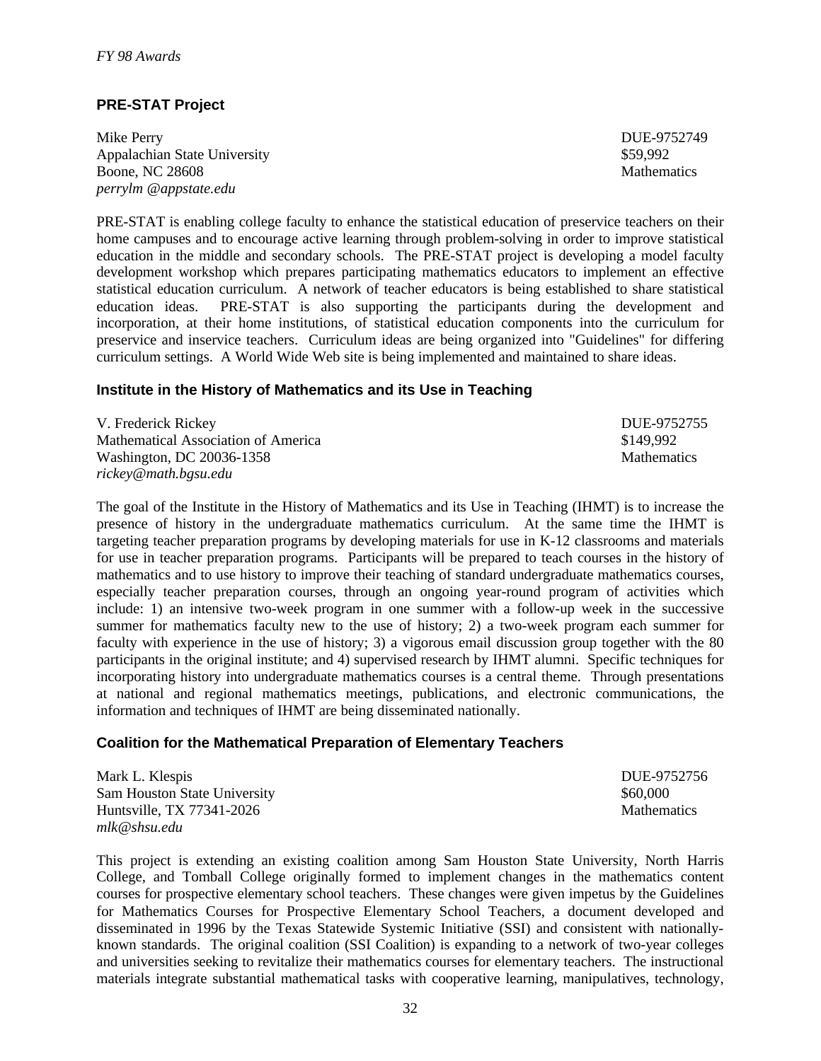### **PRE-STAT Project**

Mike Perry DUE-9752749 Appalachian State University  $$59,992$ Boone, NC 28608 Mathematics Mathematics Mathematics Mathematics Mathematics Mathematics Mathematics Mathematics Mathematics Mathematics Mathematics Mathematics Mathematics Mathematics Mathematics Mathematics Mathematics Ma *perrylm @appstate.edu*

PRE-STAT is enabling college faculty to enhance the statistical education of preservice teachers on their home campuses and to encourage active learning through problem-solving in order to improve statistical education in the middle and secondary schools. The PRE-STAT project is developing a model faculty development workshop which prepares participating mathematics educators to implement an effective statistical education curriculum. A network of teacher educators is being established to share statistical education ideas. PRE-STAT is also supporting the participants during the development and incorporation, at their home institutions, of statistical education components into the curriculum for preservice and inservice teachers. Curriculum ideas are being organized into "Guidelines" for differing curriculum settings. A World Wide Web site is being implemented and maintained to share ideas.

#### **Institute in the History of Mathematics and its Use in Teaching**

| V. Frederick Rickey                 | DUE-9752755        |
|-------------------------------------|--------------------|
| Mathematical Association of America | \$149.992          |
| Washington, DC 20036-1358           | <b>Mathematics</b> |
| rickey@math.bgsu.edu                |                    |

The goal of the Institute in the History of Mathematics and its Use in Teaching (IHMT) is to increase the presence of history in the undergraduate mathematics curriculum. At the same time the IHMT is targeting teacher preparation programs by developing materials for use in K-12 classrooms and materials for use in teacher preparation programs. Participants will be prepared to teach courses in the history of mathematics and to use history to improve their teaching of standard undergraduate mathematics courses, especially teacher preparation courses, through an ongoing year-round program of activities which include: 1) an intensive two-week program in one summer with a follow-up week in the successive summer for mathematics faculty new to the use of history; 2) a two-week program each summer for faculty with experience in the use of history; 3) a vigorous email discussion group together with the 80 participants in the original institute; and 4) supervised research by IHMT alumni. Specific techniques for incorporating history into undergraduate mathematics courses is a central theme. Through presentations at national and regional mathematics meetings, publications, and electronic communications, the information and techniques of IHMT are being disseminated nationally.

#### **Coalition for the Mathematical Preparation of Elementary Teachers**

Mark L. Klespis DUE-9752756 Sam Houston State University  $$60,000$ Huntsville, TX 77341-2026 Mathematics *mlk@shsu.edu*

This project is extending an existing coalition among Sam Houston State University, North Harris College, and Tomball College originally formed to implement changes in the mathematics content courses for prospective elementary school teachers. These changes were given impetus by the Guidelines for Mathematics Courses for Prospective Elementary School Teachers, a document developed and disseminated in 1996 by the Texas Statewide Systemic Initiative (SSI) and consistent with nationallyknown standards. The original coalition (SSI Coalition) is expanding to a network of two-year colleges and universities seeking to revitalize their mathematics courses for elementary teachers. The instructional materials integrate substantial mathematical tasks with cooperative learning, manipulatives, technology,

32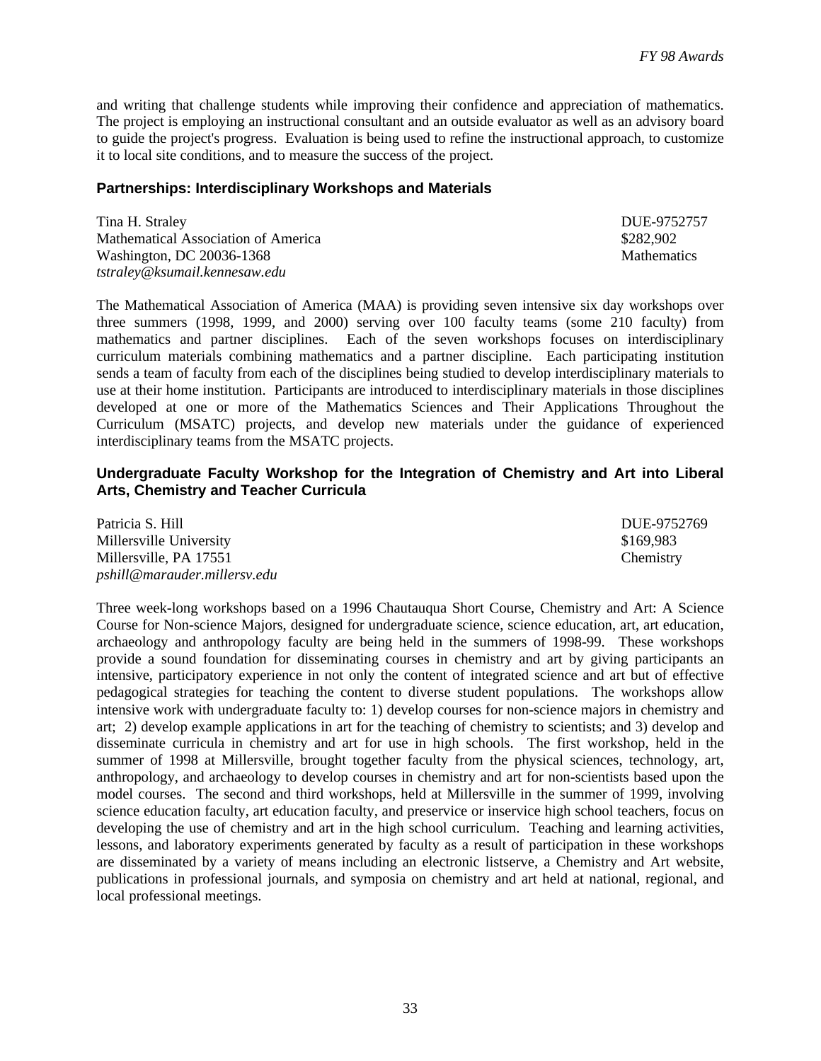and writing that challenge students while improving their confidence and appreciation of mathematics. The project is employing an instructional consultant and an outside evaluator as well as an advisory board to guide the project's progress. Evaluation is being used to refine the instructional approach, to customize it to local site conditions, and to measure the success of the project.

### **Partnerships: Interdisciplinary Workshops and Materials**

Tina H. Straley DUE-9752757 Mathematical Association of America \$282,902 Washington, DC 20036-1368 Mathematics Mathematics *tstraley@ksumail.kennesaw.edu*

The Mathematical Association of America (MAA) is providing seven intensive six day workshops over three summers (1998, 1999, and 2000) serving over 100 faculty teams (some 210 faculty) from mathematics and partner disciplines. Each of the seven workshops focuses on interdisciplinary curriculum materials combining mathematics and a partner discipline. Each participating institution sends a team of faculty from each of the disciplines being studied to develop interdisciplinary materials to use at their home institution. Participants are introduced to interdisciplinary materials in those disciplines developed at one or more of the Mathematics Sciences and Their Applications Throughout the Curriculum (MSATC) projects, and develop new materials under the guidance of experienced interdisciplinary teams from the MSATC projects.

#### **Undergraduate Faculty Workshop for the Integration of Chemistry and Art into Liberal Arts, Chemistry and Teacher Curricula**

| Patricia S. Hill             | DUE-9752769 |
|------------------------------|-------------|
| Millersville University      | \$169,983   |
| Millersville, PA 17551       | Chemistry   |
| pshill@marauder.millersv.edu |             |

Three week-long workshops based on a 1996 Chautauqua Short Course, Chemistry and Art: A Science Course for Non-science Majors, designed for undergraduate science, science education, art, art education, archaeology and anthropology faculty are being held in the summers of 1998-99. These workshops provide a sound foundation for disseminating courses in chemistry and art by giving participants an intensive, participatory experience in not only the content of integrated science and art but of effective pedagogical strategies for teaching the content to diverse student populations. The workshops allow intensive work with undergraduate faculty to: 1) develop courses for non-science majors in chemistry and art; 2) develop example applications in art for the teaching of chemistry to scientists; and 3) develop and disseminate curricula in chemistry and art for use in high schools. The first workshop, held in the summer of 1998 at Millersville, brought together faculty from the physical sciences, technology, art, anthropology, and archaeology to develop courses in chemistry and art for non-scientists based upon the model courses. The second and third workshops, held at Millersville in the summer of 1999, involving science education faculty, art education faculty, and preservice or inservice high school teachers, focus on developing the use of chemistry and art in the high school curriculum. Teaching and learning activities, lessons, and laboratory experiments generated by faculty as a result of participation in these workshops are disseminated by a variety of means including an electronic listserve, a Chemistry and Art website, publications in professional journals, and symposia on chemistry and art held at national, regional, and local professional meetings.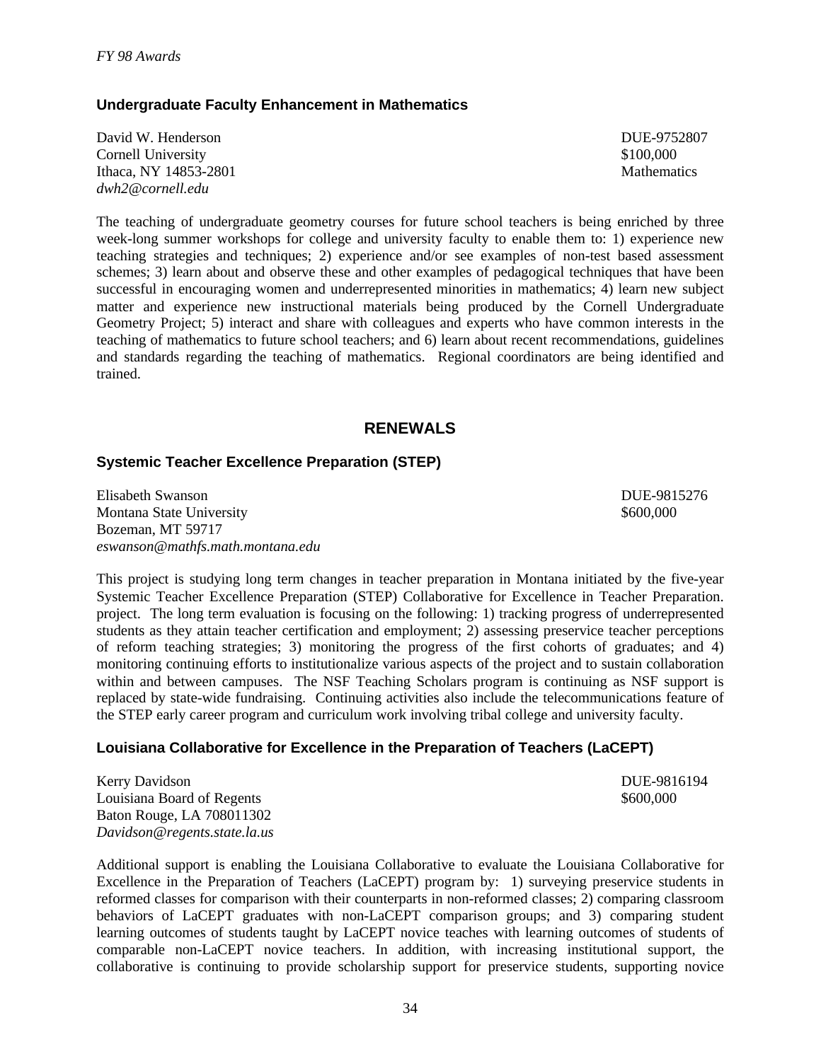### **Undergraduate Faculty Enhancement in Mathematics**

David W. Henderson DUE-9752807 Cornell University \$100,000 Ithaca, NY 14853-2801 Mathematics *dwh2@cornell.edu*

The teaching of undergraduate geometry courses for future school teachers is being enriched by three week-long summer workshops for college and university faculty to enable them to: 1) experience new teaching strategies and techniques; 2) experience and/or see examples of non-test based assessment schemes; 3) learn about and observe these and other examples of pedagogical techniques that have been successful in encouraging women and underrepresented minorities in mathematics; 4) learn new subject matter and experience new instructional materials being produced by the Cornell Undergraduate Geometry Project; 5) interact and share with colleagues and experts who have common interests in the teaching of mathematics to future school teachers; and 6) learn about recent recommendations, guidelines and standards regarding the teaching of mathematics. Regional coordinators are being identified and trained.

### **RENEWALS**

#### **Systemic Teacher Excellence Preparation (STEP)**

Elisabeth Swanson DUE-9815276 Montana State University **\$600.000** North State University **\$600.000** Bozeman, MT 59717 *eswanson@mathfs.math.montana.edu*

This project is studying long term changes in teacher preparation in Montana initiated by the five-year Systemic Teacher Excellence Preparation (STEP) Collaborative for Excellence in Teacher Preparation. project. The long term evaluation is focusing on the following: 1) tracking progress of underrepresented students as they attain teacher certification and employment; 2) assessing preservice teacher perceptions of reform teaching strategies; 3) monitoring the progress of the first cohorts of graduates; and 4) monitoring continuing efforts to institutionalize various aspects of the project and to sustain collaboration within and between campuses. The NSF Teaching Scholars program is continuing as NSF support is replaced by state-wide fundraising. Continuing activities also include the telecommunications feature of the STEP early career program and curriculum work involving tribal college and university faculty.

#### **Louisiana Collaborative for Excellence in the Preparation of Teachers (LaCEPT)**

Kerry Davidson **DUE-9816194** Louisiana Board of Regents  $$600,000$ Baton Rouge, LA 708011302 *Davidson@regents.state.la.us*

Additional support is enabling the Louisiana Collaborative to evaluate the Louisiana Collaborative for Excellence in the Preparation of Teachers (LaCEPT) program by: 1) surveying preservice students in reformed classes for comparison with their counterparts in non-reformed classes; 2) comparing classroom behaviors of LaCEPT graduates with non-LaCEPT comparison groups; and 3) comparing student learning outcomes of students taught by LaCEPT novice teaches with learning outcomes of students of comparable non-LaCEPT novice teachers. In addition, with increasing institutional support, the collaborative is continuing to provide scholarship support for preservice students, supporting novice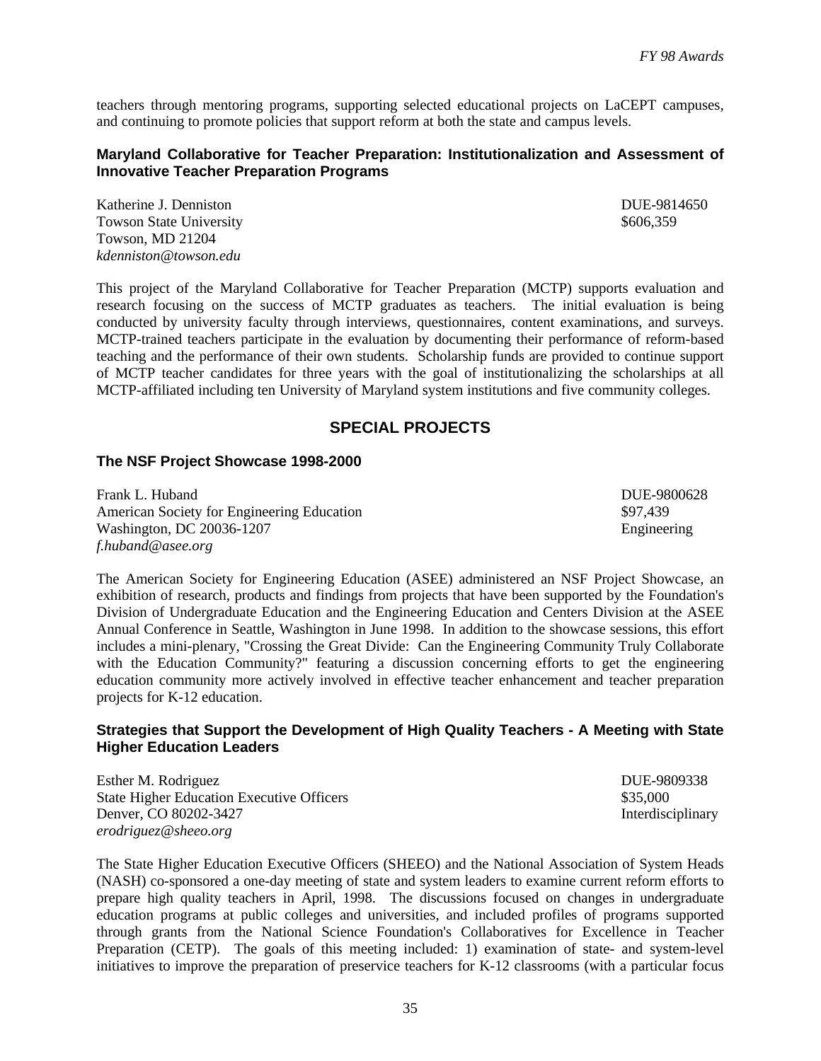teachers through mentoring programs, supporting selected educational projects on LaCEPT campuses, and continuing to promote policies that support reform at both the state and campus levels.

#### **Maryland Collaborative for Teacher Preparation: Institutionalization and Assessment of Innovative Teacher Preparation Programs**

Katherine J. Denniston DUE-9814650 Towson State University **\$606,359** \$606,359 Towson, MD 21204 *kdenniston@towson.edu*

This project of the Maryland Collaborative for Teacher Preparation (MCTP) supports evaluation and research focusing on the success of MCTP graduates as teachers. The initial evaluation is being conducted by university faculty through interviews, questionnaires, content examinations, and surveys. MCTP-trained teachers participate in the evaluation by documenting their performance of reform-based teaching and the performance of their own students. Scholarship funds are provided to continue support of MCTP teacher candidates for three years with the goal of institutionalizing the scholarships at all MCTP-affiliated including ten University of Maryland system institutions and five community colleges.

### **SPECIAL PROJECTS**

#### **The NSF Project Showcase 1998-2000**

Frank L. Huband DUE-9800628 American Society for Engineering Education  $\frac{1}{2}$  \$97,439 Washington, DC 20036-1207 Engineering *f.huband@asee.org*

The American Society for Engineering Education (ASEE) administered an NSF Project Showcase, an exhibition of research, products and findings from projects that have been supported by the Foundation's Division of Undergraduate Education and the Engineering Education and Centers Division at the ASEE Annual Conference in Seattle, Washington in June 1998. In addition to the showcase sessions, this effort includes a mini-plenary, "Crossing the Great Divide: Can the Engineering Community Truly Collaborate with the Education Community?" featuring a discussion concerning efforts to get the engineering education community more actively involved in effective teacher enhancement and teacher preparation projects for K-12 education.

#### **Strategies that Support the Development of High Quality Teachers - A Meeting with State Higher Education Leaders**

Esther M. Rodriguez DUE-9809338 State Higher Education Executive Officers  $$35,000$ Denver, CO 80202-3427 Interdisciplinary *erodriguez@sheeo.org*

The State Higher Education Executive Officers (SHEEO) and the National Association of System Heads (NASH) co-sponsored a one-day meeting of state and system leaders to examine current reform efforts to prepare high quality teachers in April, 1998. The discussions focused on changes in undergraduate education programs at public colleges and universities, and included profiles of programs supported through grants from the National Science Foundation's Collaboratives for Excellence in Teacher Preparation (CETP). The goals of this meeting included: 1) examination of state- and system-level initiatives to improve the preparation of preservice teachers for K-12 classrooms (with a particular focus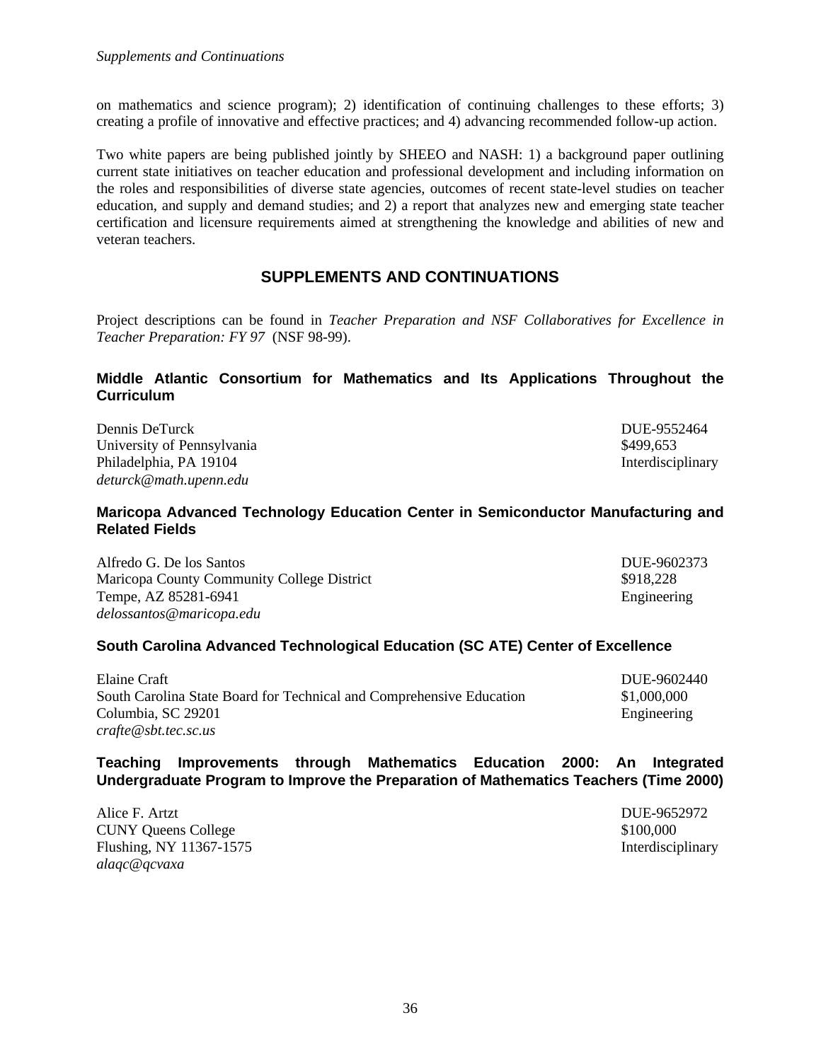on mathematics and science program); 2) identification of continuing challenges to these efforts; 3) creating a profile of innovative and effective practices; and 4) advancing recommended follow-up action.

Two white papers are being published jointly by SHEEO and NASH: 1) a background paper outlining current state initiatives on teacher education and professional development and including information on the roles and responsibilities of diverse state agencies, outcomes of recent state-level studies on teacher education, and supply and demand studies; and 2) a report that analyzes new and emerging state teacher certification and licensure requirements aimed at strengthening the knowledge and abilities of new and veteran teachers.

### **SUPPLEMENTS AND CONTINUATIONS**

Project descriptions can be found in *Teacher Preparation and NSF Collaboratives for Excellence in Teacher Preparation: FY 97* (NSF 98-99).

### **Middle Atlantic Consortium for Mathematics and Its Applications Throughout the Curriculum**

Dennis DeTurck DUE-9552464 University of Pennsylvania  $\frac{1}{2}$  8499,653 Philadelphia, PA 19104 Interdisciplinary and the extent of the extent of the extent of the extent of the extent of the extent of the extent of the extent of the extent of the extent of the extent of the extent of the exten *deturck@math.upenn.edu*

### **Maricopa Advanced Technology Education Center in Semiconductor Manufacturing and Related Fields**

Alfredo G. De los Santos DUE-9602373 Maricopa County Community College District  $\qquad$  \$918,228 Tempe, AZ 85281-6941 Engineering *delossantos@maricopa.edu*

### **South Carolina Advanced Technological Education (SC ATE) Center of Excellence**

| Elaine Craft                                                         | DUE-9602440 |
|----------------------------------------------------------------------|-------------|
| South Carolina State Board for Technical and Comprehensive Education | \$1,000,000 |
| Columbia, SC 29201                                                   | Engineering |
| crafte@sbt.tec.sc.us                                                 |             |

### **Teaching Improvements through Mathematics Education 2000: An Integrated Undergraduate Program to Improve the Preparation of Mathematics Teachers (Time 2000)**

| Alice F. Artzt             | DUE-9652972       |
|----------------------------|-------------------|
| <b>CUNY Queens College</b> | \$100,000         |
| Flushing, NY 11367-1575    | Interdisciplinary |
| alaqc@qcvaxa               |                   |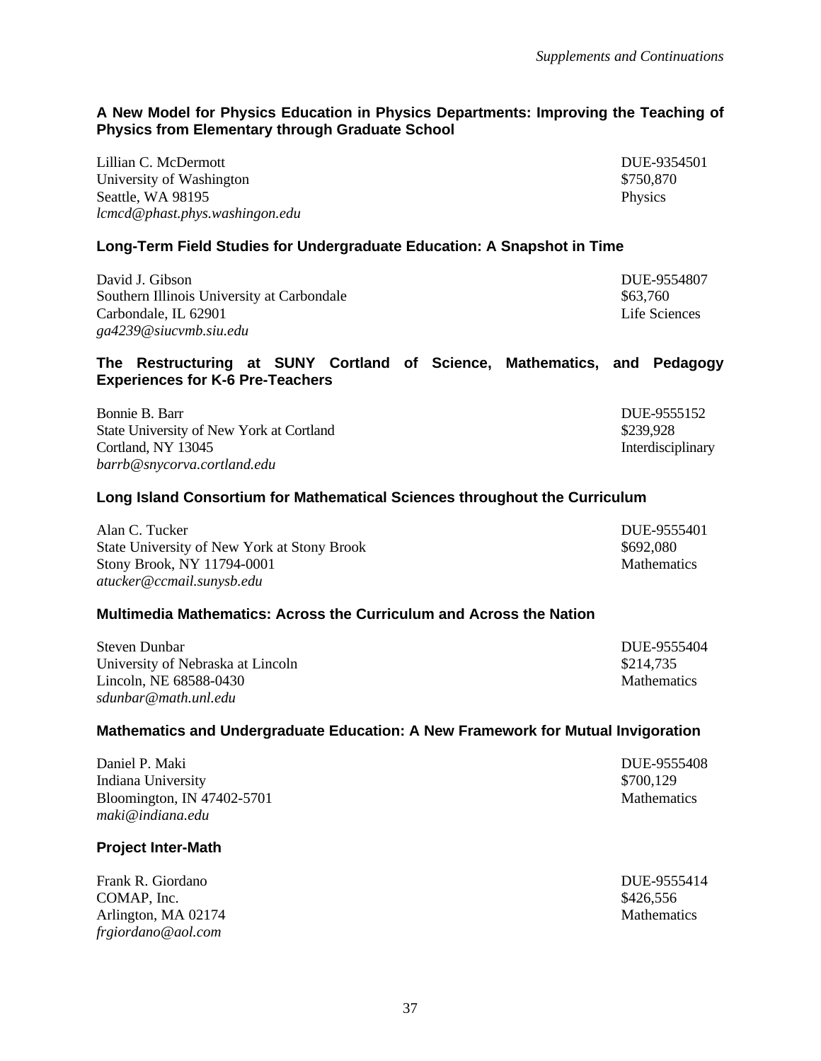### **A New Model for Physics Education in Physics Departments: Improving the Teaching of Physics from Elementary through Graduate School**

Lillian C. McDermott DUE-9354501 University of Washington  $$750,870$ Seattle, WA 98195 Physics *lcmcd@phast.phys.washingon.edu*

**Long-Term Field Studies for Undergraduate Education: A Snapshot in Time**

David J. Gibson DUE-9554807 Southern Illinois University at Carbondale  $$63,760$ Carbondale, IL 62901 Life Sciences *ga4239@siucvmb.siu.edu*

### **The Restructuring at SUNY Cortland of Science, Mathematics, and Pedagogy Experiences for K-6 Pre-Teachers**

| Bonnie B. Barr                           | DUE-9555152       |
|------------------------------------------|-------------------|
| State University of New York at Cortland | \$239.928         |
| Cortland. NY 13045                       | Interdisciplinary |
| barrb@snycorva.cortland.edu              |                   |

### **Long Island Consortium for Mathematical Sciences throughout the Curriculum**

| Alan C. Tucker                              | DUE-9555401        |
|---------------------------------------------|--------------------|
| State University of New York at Stony Brook | \$692,080          |
| Stony Brook, NY 11794-0001                  | <b>Mathematics</b> |
| atucker@ccmail.sunysb.edu                   |                    |

#### **Multimedia Mathematics: Across the Curriculum and Across the Nation**

| Steven Dunbar                     | DUE-9555404        |
|-----------------------------------|--------------------|
| University of Nebraska at Lincoln | \$214.735          |
| Lincoln, NE 68588-0430            | <b>Mathematics</b> |
| sdunbar@math.unl.edu              |                    |

#### **Mathematics and Undergraduate Education: A New Framework for Mutual Invigoration**

| Daniel P. Maki             | DUE-9555408        |
|----------------------------|--------------------|
| Indiana University         | \$700,129          |
| Bloomington, IN 47402-5701 | <b>Mathematics</b> |
| maki@indiana.edu           |                    |

#### **Project Inter-Math**

Frank R. Giordano DUE-9555414  $COMAP$ , Inc.  $$426,556$ Arlington, MA 02174 Mathematics *frgiordano@aol.com*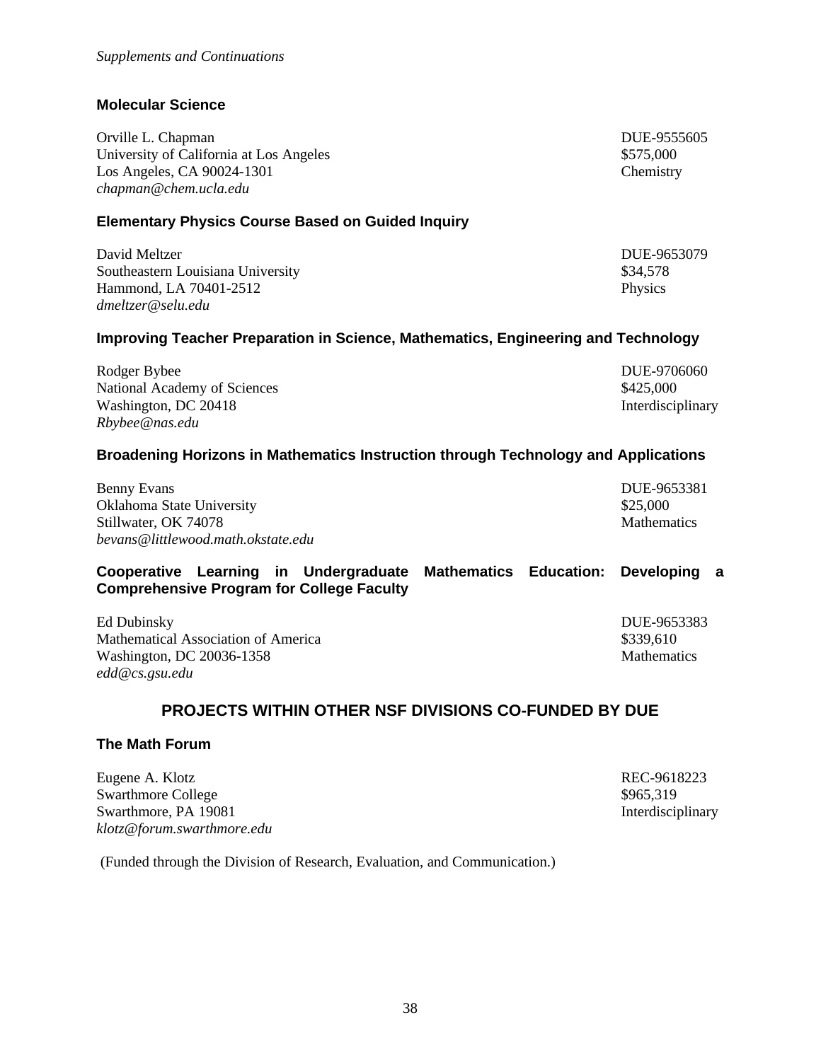(Funded through the Division of Research, Evaluation, and Communication.)

### **Molecular Science**

Orville L. Chapman DUE-9555605 University of California at Los Angeles  $$575,000$ Los Angeles, CA 90024-1301 Chemistry *chapman@chem.ucla.edu*

### **Elementary Physics Course Based on Guided Inquiry**

David Meltzer DUE-9653079 Southeastern Louisiana University **\$34,578** \$34,578 Hammond, LA 70401-2512 Physics *dmeltzer@selu.edu*

### **Improving Teacher Preparation in Science, Mathematics, Engineering and Technology**

Rodger Bybee DUE-9706060 National Academy of Sciences  $$425,000$ Washington, DC 20418 Interdisciplinary *Rbybee@nas.edu*

### **Broadening Horizons in Mathematics Instruction through Technology and Applications**

Benny Evans DUE-9653381 Oklahoma State University \$25,000 Stillwater, OK 74078 Mathematics *bevans@littlewood.math.okstate.edu*

### **Cooperative Learning in Undergraduate Mathematics Education: Developing a Comprehensive Program for College Faculty**

Ed Dubinsky DUE-9653383 Mathematical Association of America  $$339,610$ Washington, DC 20036-1358 Mathematics *edd@cs.gsu.edu*

### **PROJECTS WITHIN OTHER NSF DIVISIONS CO-FUNDED BY DUE**

#### **The Math Forum**

Eugene A. Klotz REC-9618223 Swarthmore College  $\frac{1}{965,319}$ Swarthmore, PA 19081 Interdisciplinary *klotz@forum.swarthmore.edu*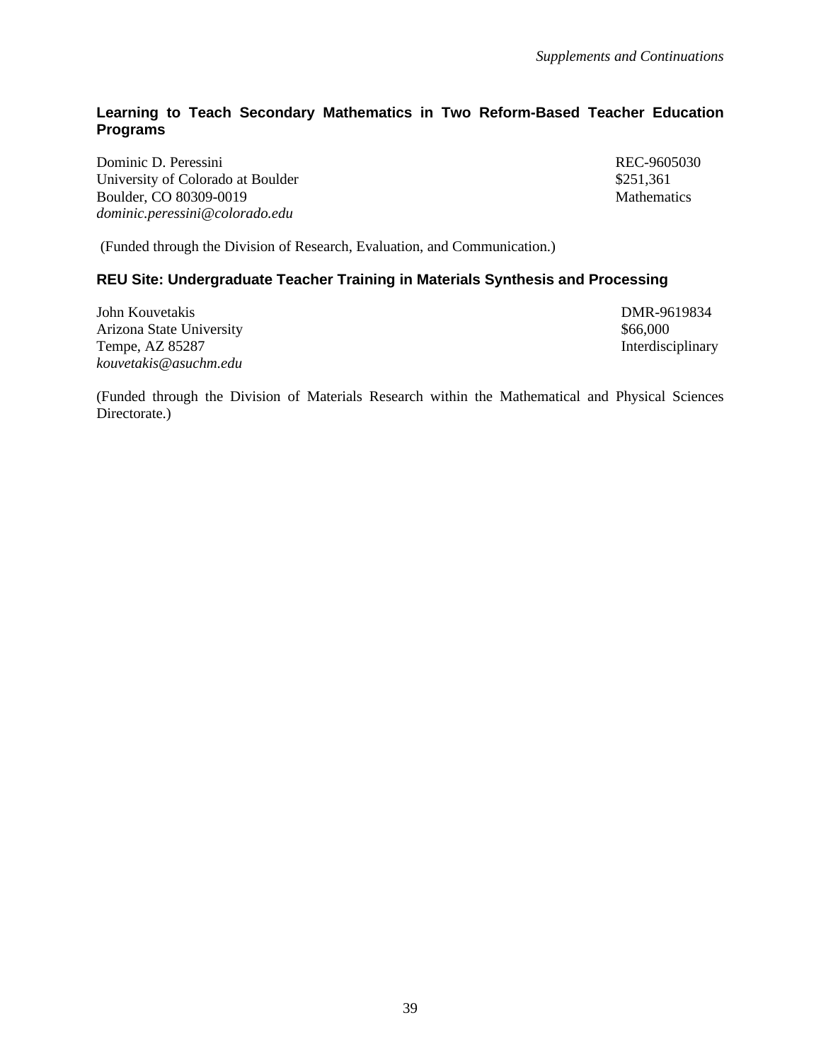### **Learning to Teach Secondary Mathematics in Two Reform-Based Teacher Education Programs**

Dominic D. Peressini REC-9605030 University of Colorado at Boulder  $$251,361$ Boulder, CO 80309-0019 Mathematics *dominic.peressini@colorado.edu*

(Funded through the Division of Research, Evaluation, and Communication.)

### **REU Site: Undergraduate Teacher Training in Materials Synthesis and Processing**

John Kouvetakis DMR-9619834 Arizona State University **\$66,000 \$66,000 \$66,000** Tempe, AZ 85287 Interdisciplinary *kouvetakis@asuchm.edu*

(Funded through the Division of Materials Research within the Mathematical and Physical Sciences Directorate.)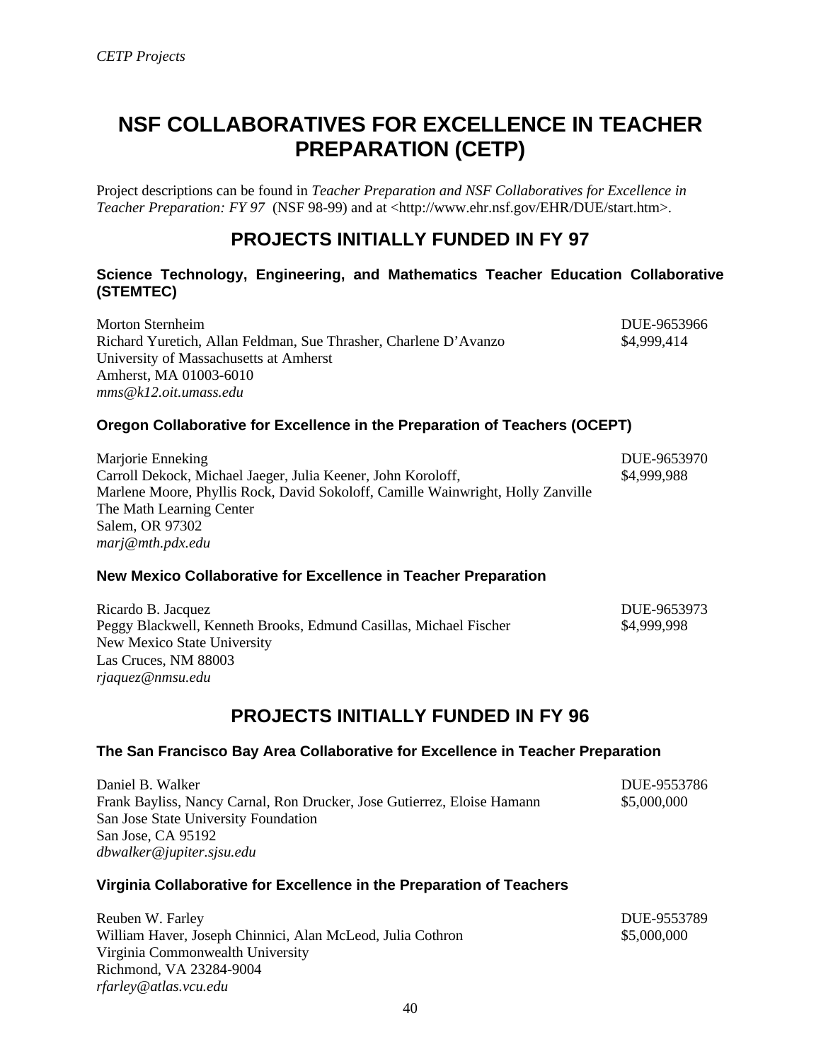# **NSF COLLABORATIVES FOR EXCELLENCE IN TEACHER PREPARATION (CETP)**

Project descriptions can be found in *Teacher Preparation and NSF Collaboratives for Excellence in Teacher Preparation: FY 97* (NSF 98-99) and at <http://www.ehr.nsf.gov/EHR/DUE/start.htm>.

### **PROJECTS INITIALLY FUNDED IN FY 97**

### **Science Technology, Engineering, and Mathematics Teacher Education Collaborative (STEMTEC)**

Morton Sternheim DUE-9653966 Richard Yuretich, Allan Feldman, Sue Thrasher, Charlene D'Avanzo \$4,999,414 University of Massachusetts at Amherst Amherst, MA 01003-6010 *mms@k12.oit.umass.edu*

### **Oregon Collaborative for Excellence in the Preparation of Teachers (OCEPT)**

Marjorie Enneking DUE-9653970 Carroll Dekock, Michael Jaeger, Julia Keener, John Koroloff, \$4,999,988 Marlene Moore, Phyllis Rock, David Sokoloff, Camille Wainwright, Holly Zanville The Math Learning Center Salem, OR 97302 *marj@mth.pdx.edu*

### **New Mexico Collaborative for Excellence in Teacher Preparation**

| Ricardo B. Jacquez                                                | DUE-9653973 |
|-------------------------------------------------------------------|-------------|
| Peggy Blackwell, Kenneth Brooks, Edmund Casillas, Michael Fischer | \$4,999,998 |
| New Mexico State University                                       |             |
| Las Cruces, NM 88003                                              |             |
| rjaquez@nmsu.edu                                                  |             |

### **PROJECTS INITIALLY FUNDED IN FY 96**

### **The San Francisco Bay Area Collaborative for Excellence in Teacher Preparation**

Daniel B. Walker DUE-9553786 Frank Bayliss, Nancy Carnal, Ron Drucker, Jose Gutierrez, Eloise Hamann \$5,000,000 San Jose State University Foundation San Jose, CA 95192 *dbwalker@jupiter.sjsu.edu*

### **Virginia Collaborative for Excellence in the Preparation of Teachers**

Reuben W. Farley **DUE-9553789** William Haver, Joseph Chinnici, Alan McLeod, Julia Cothron \$5,000,000 Virginia Commonwealth University Richmond, VA 23284-9004 *rfarley@atlas.vcu.edu*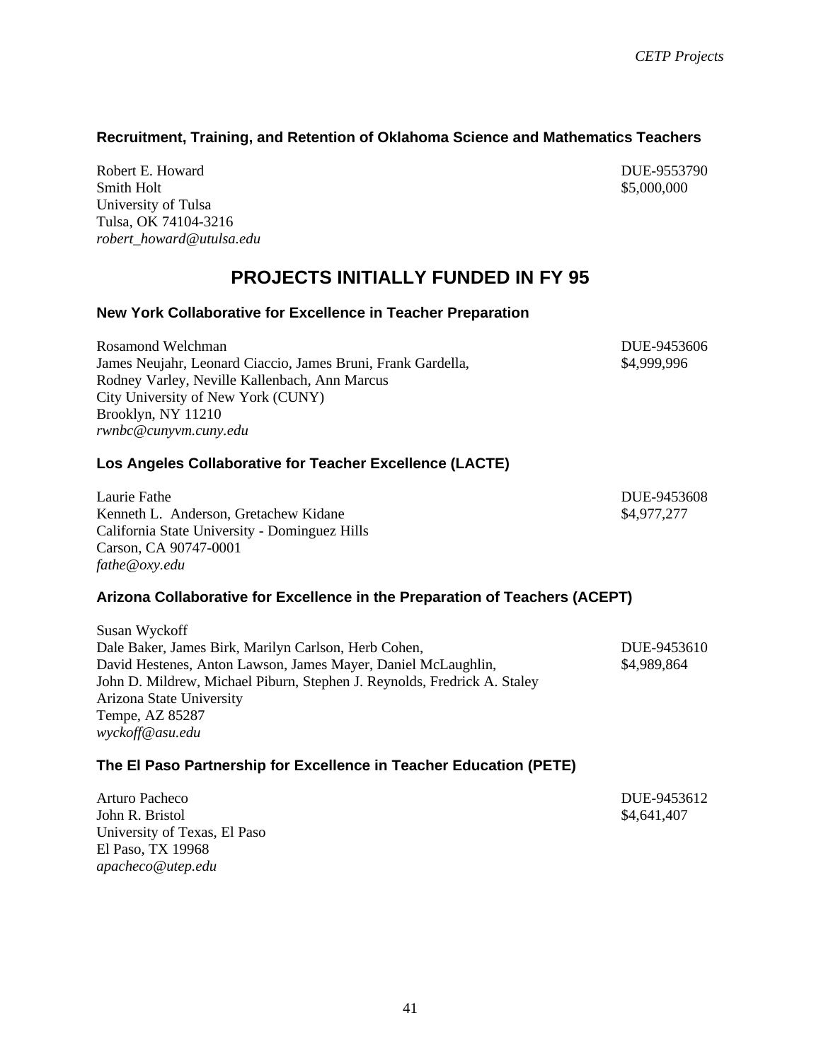### **Recruitment, Training, and Retention of Oklahoma Science and Mathematics Teachers**

Robert E. Howard DUE-9553790 Smith Holt  $$5,000,000$ University of Tulsa Tulsa, OK 74104-3216 *robert\_howard@utulsa.edu*

### **PROJECTS INITIALLY FUNDED IN FY 95**

#### **New York Collaborative for Excellence in Teacher Preparation**

Rosamond Welchman **DUE-9453606** James Neujahr, Leonard Ciaccio, James Bruni, Frank Gardella, \$4,999,996 Rodney Varley, Neville Kallenbach, Ann Marcus City University of New York (CUNY) Brooklyn, NY 11210 *rwnbc@cunyvm.cuny.edu*

#### **Los Angeles Collaborative for Teacher Excellence (LACTE)**

Laurie Fathe DUE-9453608 Kenneth L. Anderson, Gretachew Kidane **\$4,977,277** \$4,977,277 California State University - Dominguez Hills Carson, CA 90747-0001 *fathe@oxy.edu*

#### **Arizona Collaborative for Excellence in the Preparation of Teachers (ACEPT)**

Susan Wyckoff Dale Baker, James Birk, Marilyn Carlson, Herb Cohen, DUE-9453610 David Hestenes, Anton Lawson, James Mayer, Daniel McLaughlin, \$4,989,864 John D. Mildrew, Michael Piburn, Stephen J. Reynolds, Fredrick A. Staley Arizona State University Tempe, AZ 85287 *wyckoff@asu.edu*

#### **The El Paso Partnership for Excellence in Teacher Education (PETE)**

| Arturo Pacheco               | DUE-9453612 |
|------------------------------|-------------|
| John R. Bristol              | \$4,641,407 |
| University of Texas, El Paso |             |
| El Paso, TX 19968            |             |
| apacheco@utep.edu            |             |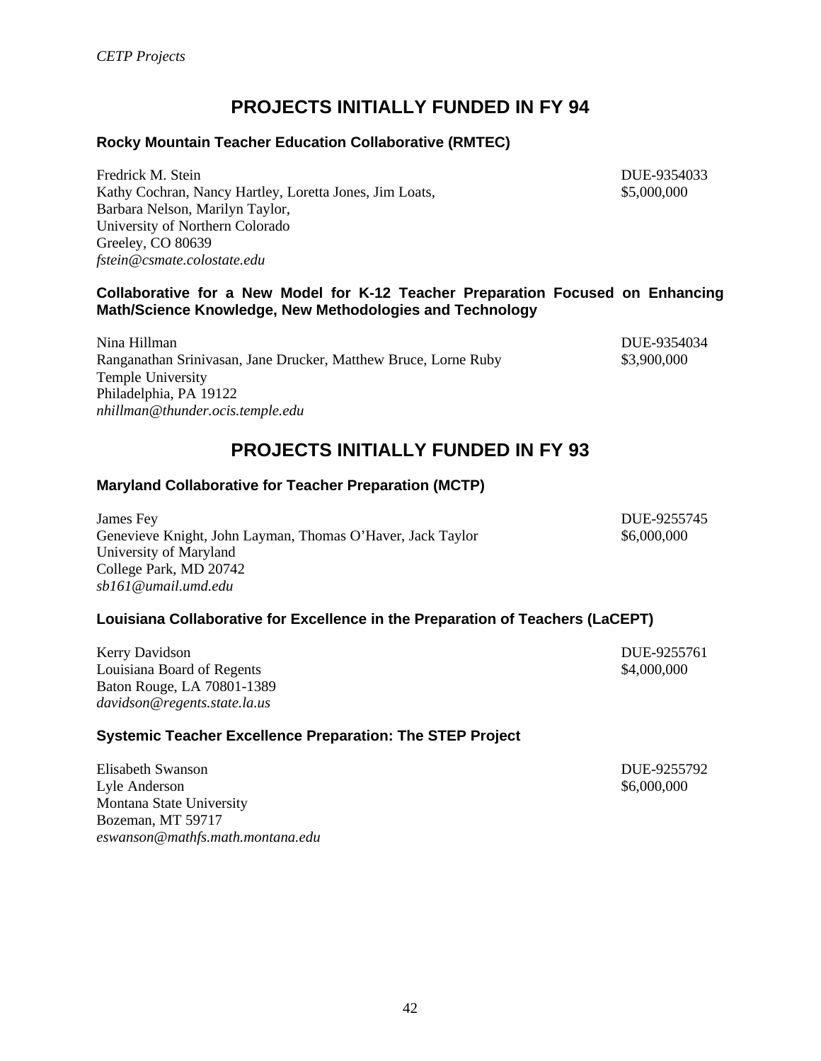### **PROJECTS INITIALLY FUNDED IN FY 94**

### **Rocky Mountain Teacher Education Collaborative (RMTEC)**

Fredrick M. Stein DUE-9354033 Kathy Cochran, Nancy Hartley, Loretta Jones, Jim Loats,  $$5,000,000$ Barbara Nelson, Marilyn Taylor, University of Northern Colorado Greeley, CO 80639 *fstein@csmate.colostate.edu*

#### **Collaborative for a New Model for K-12 Teacher Preparation Focused on Enhancing Math/Science Knowledge, New Methodologies and Technology**

Nina Hillman DUE-9354034 Ranganathan Srinivasan, Jane Drucker, Matthew Bruce, Lorne Ruby \$3,900,000 Temple University Philadelphia, PA 19122

### **PROJECTS INITIALLY FUNDED IN FY 93**

### **Maryland Collaborative for Teacher Preparation (MCTP)**

James Fey DUE-9255745 Genevieve Knight, John Layman, Thomas O'Haver, Jack Taylor \$6,000,000 \$6,000,000 University of Maryland College Park, MD 20742 *sb161@umail.umd.edu*

### **Louisiana Collaborative for Excellence in the Preparation of Teachers (LaCEPT)**

Kerry Davidson DUE-9255761 Louisiana Board of Regents  $\text{\$4,000,000}$ Baton Rouge, LA 70801-1389 *davidson@regents.state.la.us*

*nhillman@thunder.ocis.temple.edu*

### **Systemic Teacher Excellence Preparation: The STEP Project**

Elisabeth Swanson DUE-9255792 Lyle Anderson  $\$6,000,000$ Montana State University Bozeman, MT 59717 *eswanson@mathfs.math.montana.edu*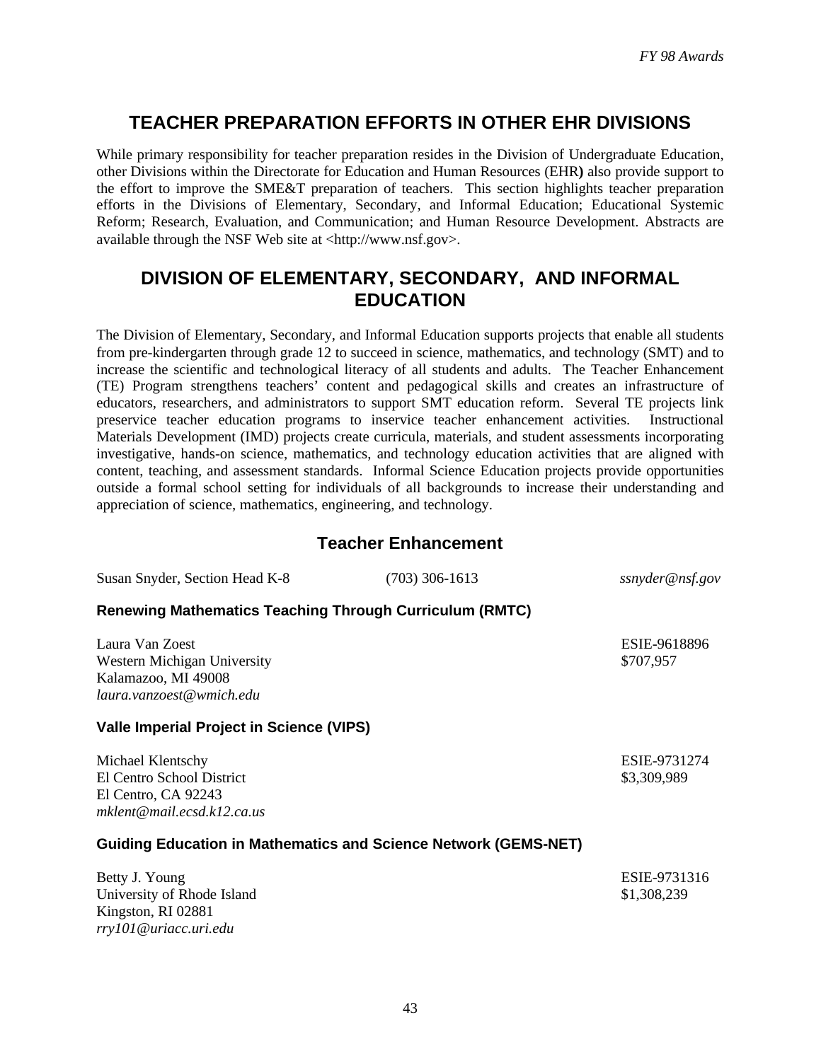### **TEACHER PREPARATION EFFORTS IN OTHER EHR DIVISIONS**

While primary responsibility for teacher preparation resides in the Division of Undergraduate Education, other Divisions within the Directorate for Education and Human Resources (EHR**)** also provide support to the effort to improve the SME&T preparation of teachers. This section highlights teacher preparation efforts in the Divisions of Elementary, Secondary, and Informal Education; Educational Systemic Reform; Research, Evaluation, and Communication; and Human Resource Development. Abstracts are available through the NSF Web site at <http://www.nsf.gov>.

### **DIVISION OF ELEMENTARY, SECONDARY, AND INFORMAL EDUCATION**

The Division of Elementary, Secondary, and Informal Education supports projects that enable all students from pre-kindergarten through grade 12 to succeed in science, mathematics, and technology (SMT) and to increase the scientific and technological literacy of all students and adults. The Teacher Enhancement (TE) Program strengthens teachers' content and pedagogical skills and creates an infrastructure of educators, researchers, and administrators to support SMT education reform. Several TE projects link preservice teacher education programs to inservice teacher enhancement activities. Instructional Materials Development (IMD) projects create curricula, materials, and student assessments incorporating investigative, hands-on science, mathematics, and technology education activities that are aligned with content, teaching, and assessment standards. Informal Science Education projects provide opportunities outside a formal school setting for individuals of all backgrounds to increase their understanding and appreciation of science, mathematics, engineering, and technology.

### **Teacher Enhancement**

Susan Snyder, Section Head K-8 (703) 306-1613 *ssnyder@nsf.gov*

### **Renewing Mathematics Teaching Through Curriculum (RMTC)**

Laura Van Zoest ESIE-9618896 Western Michigan University **\$707,957** \$707,957 Kalamazoo, MI 49008 *laura.vanzoest@wmich.edu*

### **Valle Imperial Project in Science (VIPS)**

Michael Klentschy ESIE-9731274 El Centro School District  $\frac{1}{2}$  S3,309,989 El Centro, CA 92243 *mklent@mail.ecsd.k12.ca.us*

### **Guiding Education in Mathematics and Science Network (GEMS-NET)**

| Betty J. Young             | ESIE-9731316 |
|----------------------------|--------------|
| University of Rhode Island | \$1,308,239  |
| Kingston, RI 02881         |              |
| rry101@uriacc.uri.edu      |              |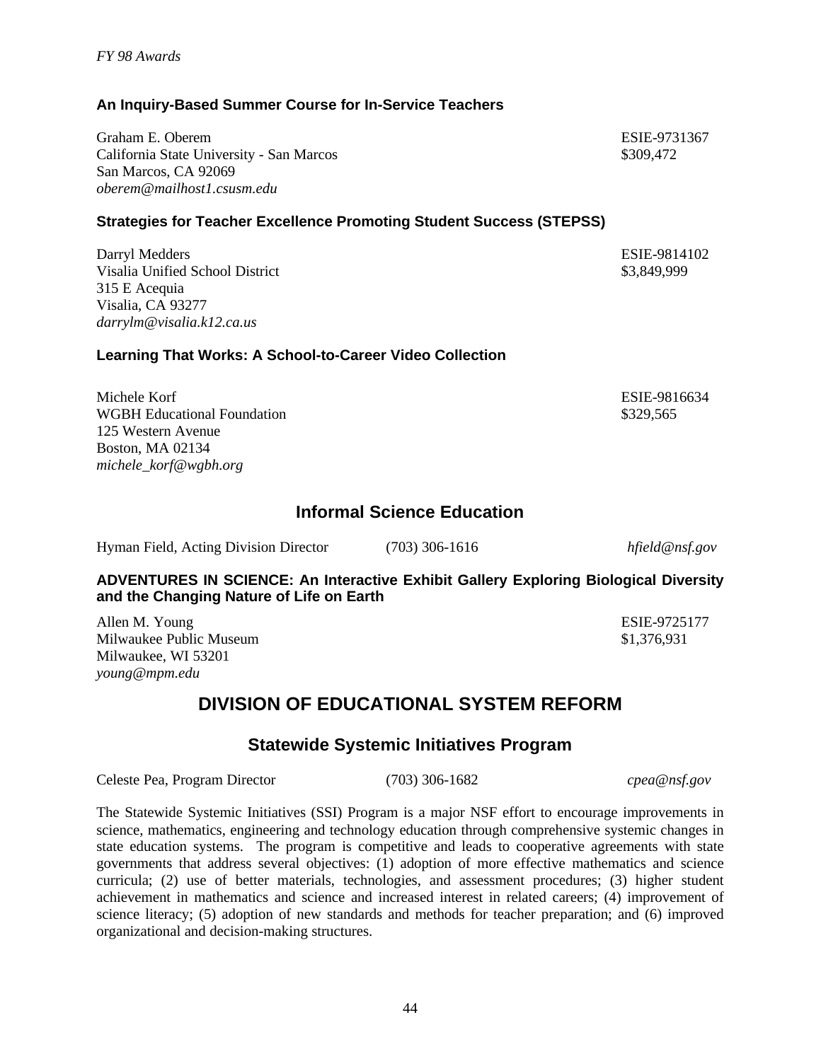44

### **An Inquiry-Based Summer Course for In-Service Teachers**

Graham E. Oberem ESIE-9731367 California State University - San Marcos \$309,472 San Marcos, CA 92069 *oberem@mailhost1.csusm.edu*

### **Strategies for Teacher Excellence Promoting Student Success (STEPSS)**

Darryl Medders ESIE-9814102 Visalia Unified School District \$3,849,999 315 E Acequia Visalia, CA 93277 *darrylm@visalia.k12.ca.us*

### **Learning That Works: A School-to-Career Video Collection**

Michele Korf **ESIE-9816634** WGBH Educational Foundation  $$329.565$ 125 Western Avenue Boston, MA 02134 *michele\_korf@wgbh.org*

### **Informal Science Education**

| Hyman Field, Acting Division Director | $(703)$ 306-1616 | hfield@nsf.gov |
|---------------------------------------|------------------|----------------|
|                                       |                  |                |

**ADVENTURES IN SCIENCE: An Interactive Exhibit Gallery Exploring Biological Diversity and the Changing Nature of Life on Earth**

Allen M. Young ESIE-9725177 Milwaukee Public Museum  $$1,376,931$ Milwaukee, WI 53201 *young@mpm.edu*

# **DIVISION OF EDUCATIONAL SYSTEM REFORM**

### **Statewide Systemic Initiatives Program**

Celeste Pea, Program Director (703) 306-1682 *cpea@nsf.gov*

The Statewide Systemic Initiatives (SSI) Program is a major NSF effort to encourage improvements in science, mathematics, engineering and technology education through comprehensive systemic changes in state education systems. The program is competitive and leads to cooperative agreements with state governments that address several objectives: (1) adoption of more effective mathematics and science curricula; (2) use of better materials, technologies, and assessment procedures; (3) higher student achievement in mathematics and science and increased interest in related careers; (4) improvement of science literacy; (5) adoption of new standards and methods for teacher preparation; and (6) improved organizational and decision-making structures.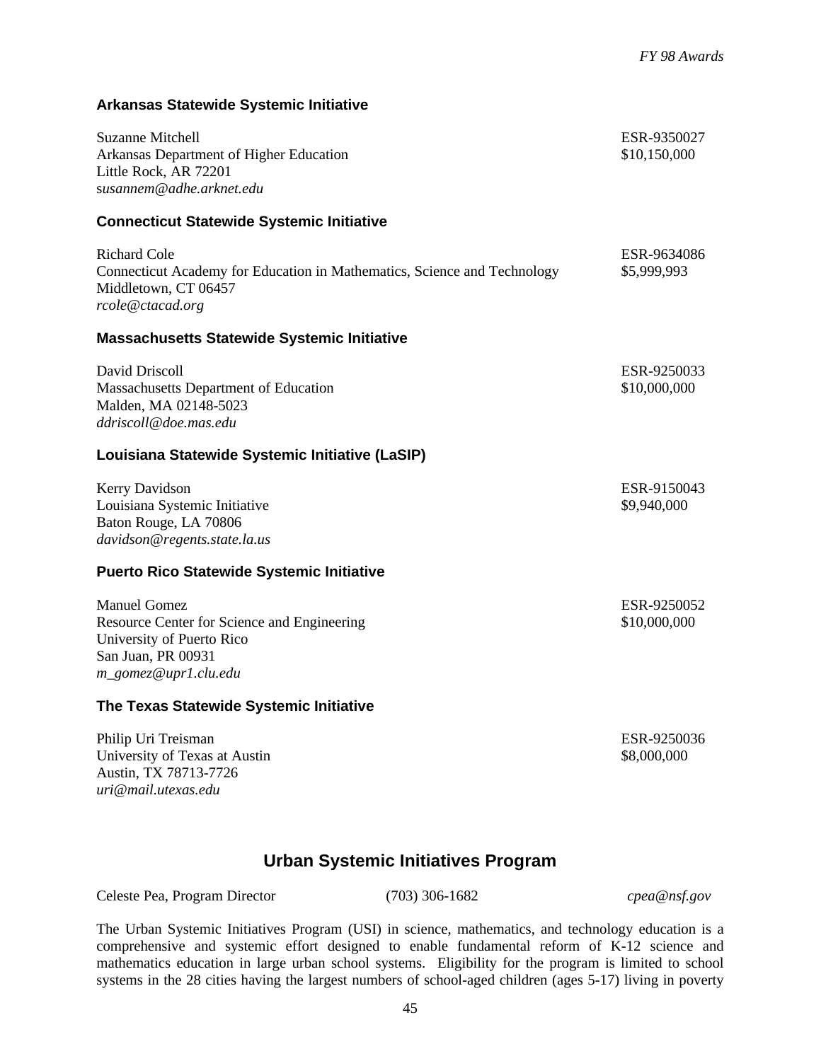# University of Texas at Austin  $$8,000,000$ **Urban Systemic Initiatives Program** Celeste Pea, Program Director (703) 306-1682 *cpea@nsf.gov* The Urban Systemic Initiatives Program (USI) in science, mathematics, and technology education is a comprehensive and systemic effort designed to enable fundamental reform of K-12 science and mathematics education in large urban school systems. Eligibility for the program is limited to school systems in the 28 cities having the largest numbers of school-aged children (ages 5-17) living in poverty

### 45

| <b>Richard Cole</b><br>Connecticut Academy for Education in Mathematics, Science and Technology<br>Middletown, CT 06457<br>rcole@ctacad.org   | ESR-9634086<br>\$5,999,993  |
|-----------------------------------------------------------------------------------------------------------------------------------------------|-----------------------------|
| <b>Massachusetts Statewide Systemic Initiative</b>                                                                                            |                             |
| David Driscoll<br><b>Massachusetts Department of Education</b><br>Malden, MA 02148-5023<br>ddriscoll@doe.mas.edu                              | ESR-9250033<br>\$10,000,000 |
| Louisiana Statewide Systemic Initiative (LaSIP)                                                                                               |                             |
| Kerry Davidson<br>Louisiana Systemic Initiative<br>Baton Rouge, LA 70806<br>davidson@regents.state.la.us                                      | ESR-9150043<br>\$9,940,000  |
| <b>Puerto Rico Statewide Systemic Initiative</b>                                                                                              |                             |
| <b>Manuel Gomez</b><br>Resource Center for Science and Engineering<br>University of Puerto Rico<br>San Juan, PR 00931<br>m_gomez@upr1.clu.edu | ESR-9250052<br>\$10,000,000 |

Suzanne Mitchell **ESR-9350027** Arkansas Department of Higher Education  $$10,150,000$ 

### **The Texas Statewide Systemic Initiative**

**Arkansas Statewide Systemic Initiative**

**Connecticut Statewide Systemic Initiative**

Little Rock, AR 72201 s*usannem@adhe.arknet.edu*

Philip Uri Treisman **ESR-9250036** Austin, TX 78713-7726 *uri@mail.utexas.edu*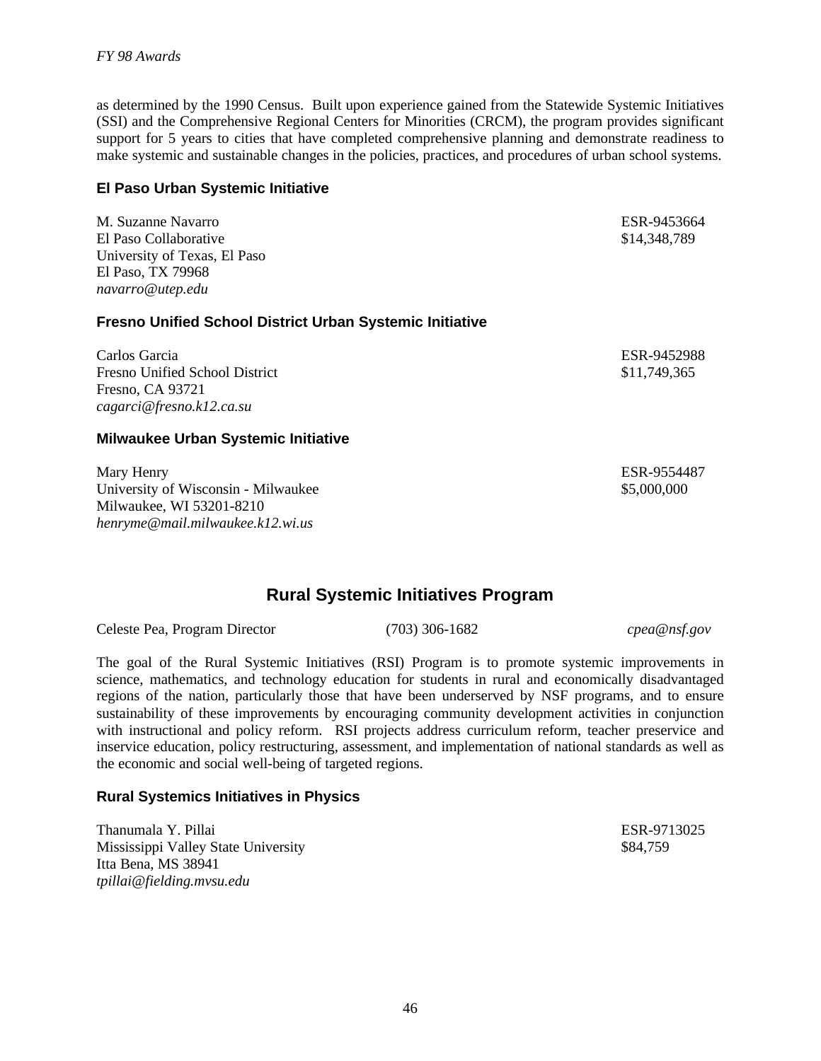as determined by the 1990 Census. Built upon experience gained from the Statewide Systemic Initiatives (SSI) and the Comprehensive Regional Centers for Minorities (CRCM), the program provides significant support for 5 years to cities that have completed comprehensive planning and demonstrate readiness to make systemic and sustainable changes in the policies, practices, and procedures of urban school systems.

### **El Paso Urban Systemic Initiative**

M. Suzanne Navarro ESR-9453664 El Paso Collaborative  $$14,348,789$ University of Texas, El Paso El Paso, TX 79968 *navarro@utep.edu*

**Fresno Unified School District Urban Systemic Initiative**

Carlos Garcia ESR-9452988 Fresno Unified School District  $$11,749,365$ Fresno, CA 93721 *cagarci@fresno.k12.ca.su*

#### **Milwaukee Urban Systemic Initiative**

Mary Henry **ESR-9554487** University of Wisconsin - Milwaukee  $$5,000,000$ Milwaukee, WI 53201-8210 *henryme@mail.milwaukee.k12.wi.us*

### **Rural Systemic Initiatives Program**

Celeste Pea, Program Director (703) 306-1682 *cpea@nsf.gov*

The goal of the Rural Systemic Initiatives (RSI) Program is to promote systemic improvements in science, mathematics, and technology education for students in rural and economically disadvantaged regions of the nation, particularly those that have been underserved by NSF programs, and to ensure sustainability of these improvements by encouraging community development activities in conjunction with instructional and policy reform. RSI projects address curriculum reform, teacher preservice and inservice education, policy restructuring, assessment, and implementation of national standards as well as the economic and social well-being of targeted regions.

#### **Rural Systemics Initiatives in Physics**

Thanumala Y. Pillai ESR-9713025 Mississippi Valley State University  $$84,759$ Itta Bena, MS 38941 *tpillai@fielding.mvsu.edu*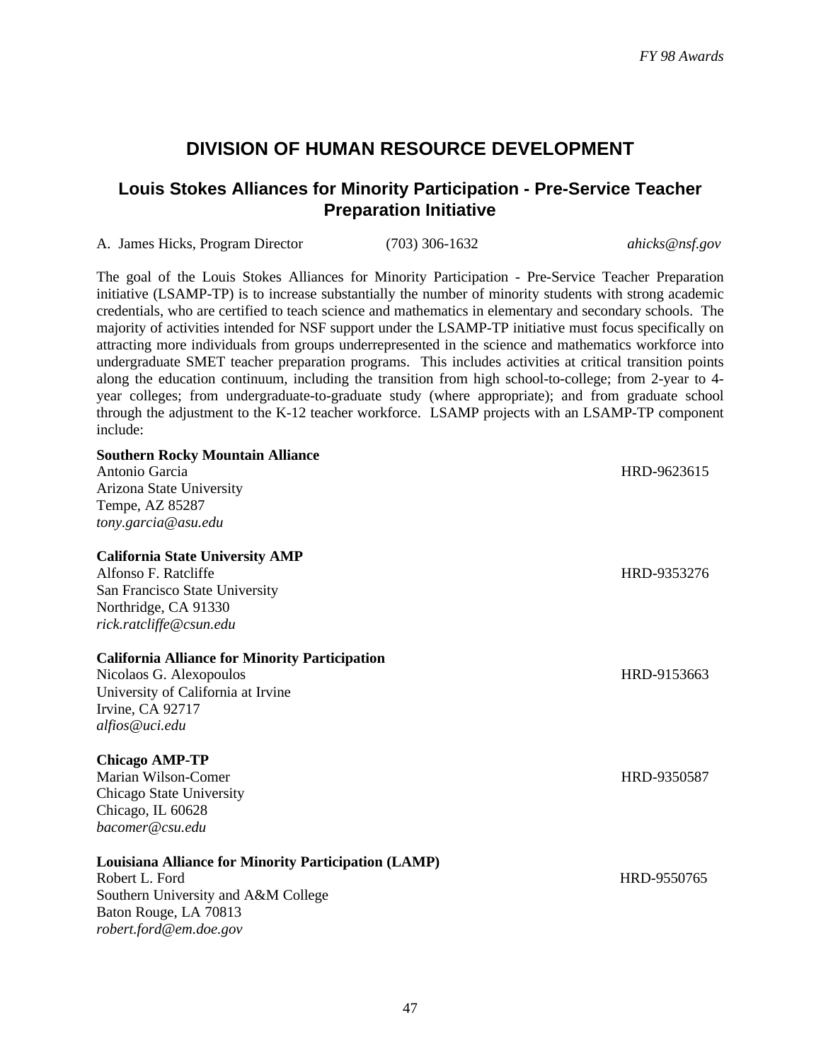### **DIVISION OF HUMAN RESOURCE DEVELOPMENT**

### **Louis Stokes Alliances for Minority Participation - Pre-Service Teacher Preparation Initiative**

| A. James Hicks, Program Director | $(703)$ 306-1632 | ahicks@nsf.gov |
|----------------------------------|------------------|----------------|
|                                  |                  |                |

The goal of the Louis Stokes Alliances for Minority Participation - Pre-Service Teacher Preparation initiative (LSAMP-TP) is to increase substantially the number of minority students with strong academic credentials, who are certified to teach science and mathematics in elementary and secondary schools. The majority of activities intended for NSF support under the LSAMP-TP initiative must focus specifically on attracting more individuals from groups underrepresented in the science and mathematics workforce into undergraduate SMET teacher preparation programs. This includes activities at critical transition points along the education continuum, including the transition from high school-to-college; from 2-year to 4 year colleges; from undergraduate-to-graduate study (where appropriate); and from graduate school through the adjustment to the K-12 teacher workforce. LSAMP projects with an LSAMP-TP component include:

| <b>Southern Rocky Mountain Alliance</b><br>Antonio Garcia<br>Arizona State University<br>Tempe, AZ 85287<br>tony.garcia@asu.edu                                         | HRD-9623615 |
|-------------------------------------------------------------------------------------------------------------------------------------------------------------------------|-------------|
| <b>California State University AMP</b><br>Alfonso F. Ratcliffe<br>San Francisco State University<br>Northridge, CA 91330<br>rick.ratcliffe@csun.edu                     | HRD-9353276 |
| <b>California Alliance for Minority Participation</b><br>Nicolaos G. Alexopoulos<br>University of California at Irvine<br>Irvine, CA 92717<br>alfios@uci.edu            | HRD-9153663 |
| <b>Chicago AMP-TP</b><br>Marian Wilson-Comer<br>Chicago State University<br>Chicago, IL 60628<br>bacomer@csu.edu                                                        | HRD-9350587 |
| <b>Louisiana Alliance for Minority Participation (LAMP)</b><br>Robert L. Ford<br>Southern University and A&M College<br>Baton Rouge, LA 70813<br>robert.ford@em.doe.gov | HRD-9550765 |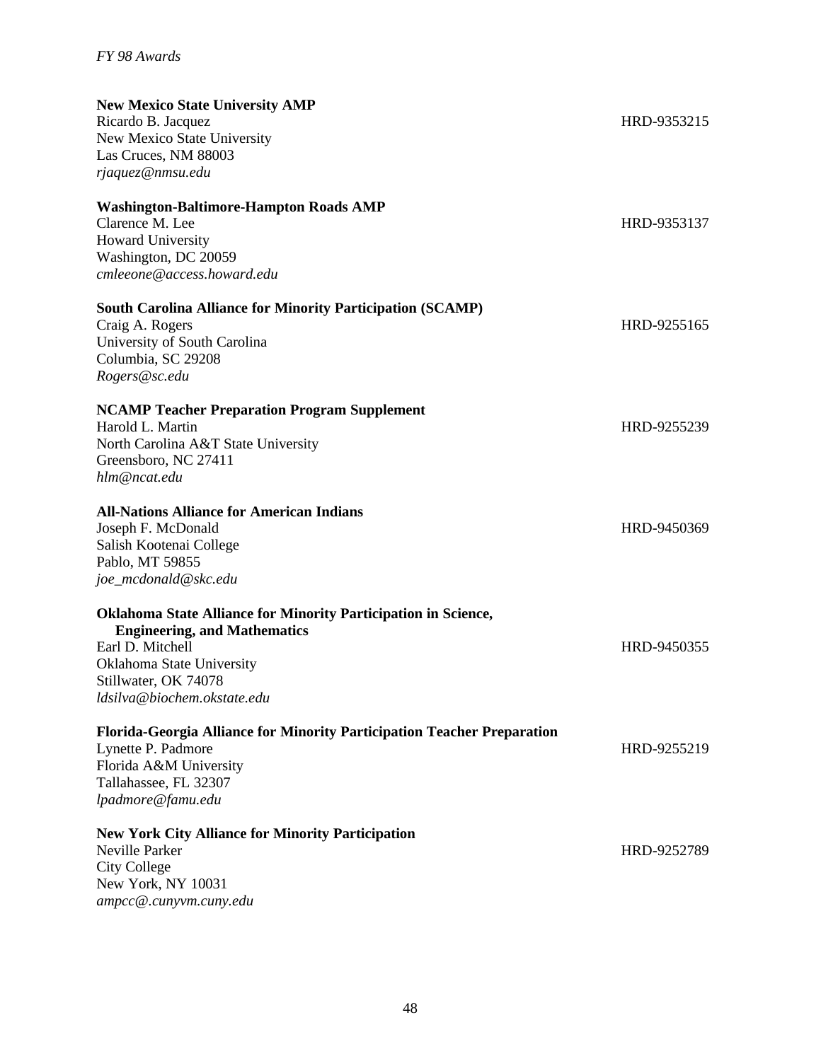| <b>New Mexico State University AMP</b>                                  |             |
|-------------------------------------------------------------------------|-------------|
| Ricardo B. Jacquez                                                      | HRD-9353215 |
| New Mexico State University                                             |             |
| Las Cruces, NM 88003                                                    |             |
| rjaquez@nmsu.edu                                                        |             |
| <b>Washington-Baltimore-Hampton Roads AMP</b>                           |             |
| Clarence M. Lee                                                         | HRD-9353137 |
| Howard University                                                       |             |
| Washington, DC 20059                                                    |             |
| cmleeone@access.howard.edu                                              |             |
| <b>South Carolina Alliance for Minority Participation (SCAMP)</b>       |             |
| Craig A. Rogers                                                         | HRD-9255165 |
| University of South Carolina                                            |             |
| Columbia, SC 29208                                                      |             |
| Rogers@sc.edu                                                           |             |
| <b>NCAMP Teacher Preparation Program Supplement</b>                     |             |
| Harold L. Martin                                                        | HRD-9255239 |
| North Carolina A&T State University                                     |             |
| Greensboro, NC 27411                                                    |             |
| hlm@ncat.edu                                                            |             |
| <b>All-Nations Alliance for American Indians</b>                        |             |
| Joseph F. McDonald                                                      | HRD-9450369 |
| Salish Kootenai College                                                 |             |
| Pablo, MT 59855                                                         |             |
| joe_mcdonald@skc.edu                                                    |             |
| <b>Oklahoma State Alliance for Minority Participation in Science,</b>   |             |
| <b>Engineering, and Mathematics</b>                                     |             |
| Earl D. Mitchell                                                        | HRD-9450355 |
| Oklahoma State University                                               |             |
| Stillwater, OK 74078                                                    |             |
| ldsilva@biochem.okstate.edu                                             |             |
| Florida-Georgia Alliance for Minority Participation Teacher Preparation |             |
| Lynette P. Padmore                                                      | HRD-9255219 |
| Florida A&M University                                                  |             |
| Tallahassee, FL 32307                                                   |             |
| lpadmore@famu.edu                                                       |             |
| <b>New York City Alliance for Minority Participation</b>                |             |
| Neville Parker                                                          | HRD-9252789 |
| <b>City College</b>                                                     |             |
| New York, NY 10031                                                      |             |
| ampcc@.cunyvm.cuny.edu                                                  |             |
|                                                                         |             |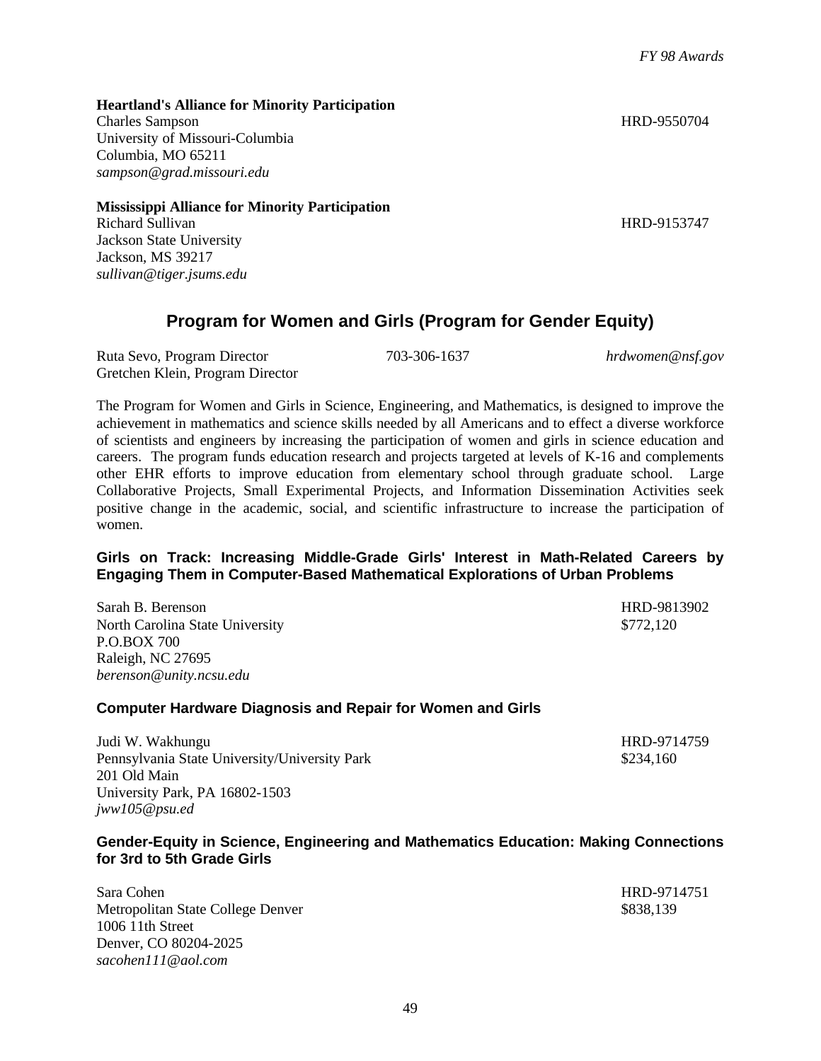49

**Heartland's Alliance for Minority Participation**

Charles Sampson HRD-9550704 University of Missouri-Columbia Columbia, MO 65211 *sampson@grad.missouri.edu*

**Mississippi Alliance for Minority Participation**

Richard Sullivan HRD-9153747 Jackson State University Jackson, MS 39217 *sullivan@tiger.jsums.edu*

### **Program for Women and Girls (Program for Gender Equity)**

Ruta Sevo, Program Director 703-306-1637 *hrdwomen@nsf.gov* Gretchen Klein, Program Director

The Program for Women and Girls in Science, Engineering, and Mathematics, is designed to improve the achievement in mathematics and science skills needed by all Americans and to effect a diverse workforce of scientists and engineers by increasing the participation of women and girls in science education and careers. The program funds education research and projects targeted at levels of K-16 and complements other EHR efforts to improve education from elementary school through graduate school. Large Collaborative Projects, Small Experimental Projects, and Information Dissemination Activities seek positive change in the academic, social, and scientific infrastructure to increase the participation of women.

### **Girls on Track: Increasing Middle-Grade Girls' Interest in Math-Related Careers by Engaging Them in Computer-Based Mathematical Explorations of Urban Problems**

Sarah B. Berenson HRD-9813902 North Carolina State University \$772,120 P.O.BOX 700 Raleigh, NC 27695 *berenson@unity.ncsu.edu*

### **Computer Hardware Diagnosis and Repair for Women and Girls**

Judi W. Wakhungu HRD-9714759 Pennsylvania State University/University Park \$234,160 201 Old Main University Park, PA 16802-1503 *jww105@psu.ed*

### **Gender-Equity in Science, Engineering and Mathematics Education: Making Connections for 3rd to 5th Grade Girls**

Sara Cohen HRD-9714751 Metropolitan State College Denver \$838,139 1006 11th Street Denver, CO 80204-2025 *sacohen111@aol.com*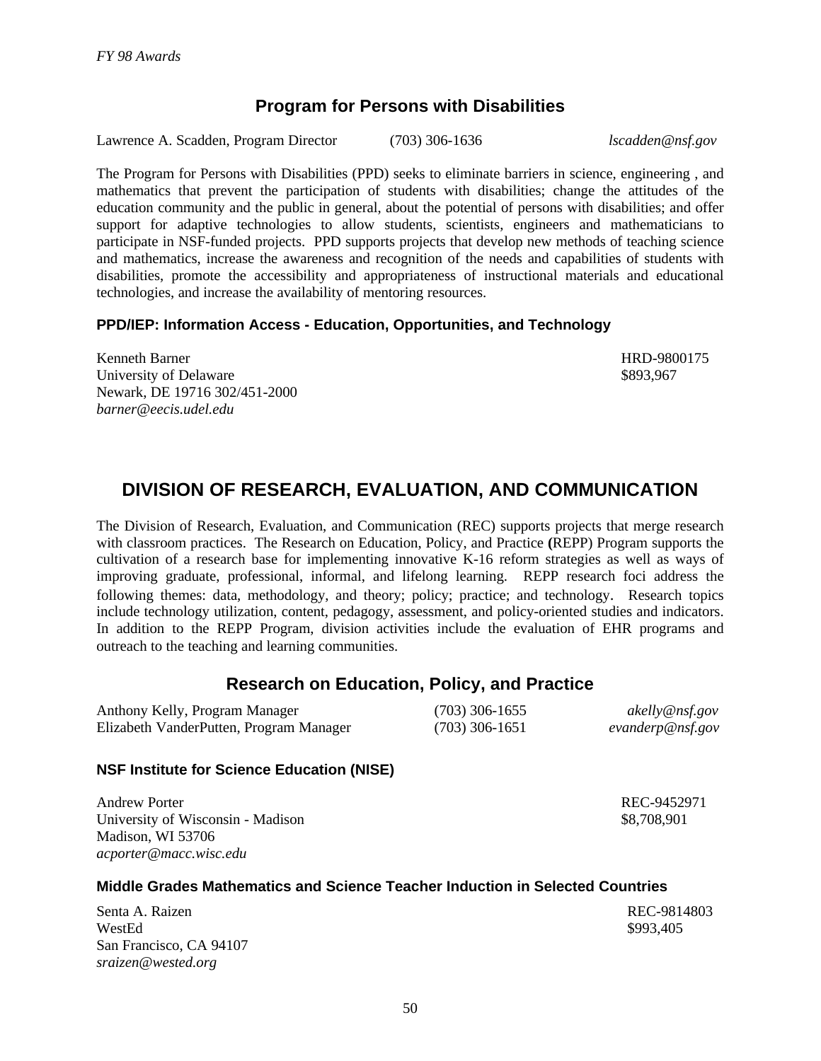### **Program for Persons with Disabilities**

Lawrence A. Scadden, Program Director (703) 306-1636 *lscadden@nsf.gov*

The Program for Persons with Disabilities (PPD) seeks to eliminate barriers in science, engineering , and mathematics that prevent the participation of students with disabilities; change the attitudes of the education community and the public in general, about the potential of persons with disabilities; and offer support for adaptive technologies to allow students, scientists, engineers and mathematicians to participate in NSF-funded projects. PPD supports projects that develop new methods of teaching science and mathematics, increase the awareness and recognition of the needs and capabilities of students with disabilities, promote the accessibility and appropriateness of instructional materials and educational technologies, and increase the availability of mentoring resources.

### **PPD/IEP: Information Access - Education, Opportunities, and Technology**

Kenneth Barner HRD-9800175 University of Delaware  $$893.967$ Newark, DE 19716 302/451-2000 *barner@eecis.udel.edu*

### **DIVISION OF RESEARCH, EVALUATION, AND COMMUNICATION**

The Division of Research, Evaluation, and Communication (REC) supports projects that merge research with classroom practices. The Research on Education, Policy, and Practice **(**REPP) Program supports the cultivation of a research base for implementing innovative K-16 reform strategies as well as ways of improving graduate, professional, informal, and lifelong learning. REPP research foci address the following themes: data, methodology, and theory; policy; practice; and technology. Research topics include technology utilization, content, pedagogy, assessment, and policy-oriented studies and indicators. In addition to the REPP Program, division activities include the evaluation of EHR programs and outreach to the teaching and learning communities.

### **Research on Education, Policy, and Practice**

| Anthony Kelly, Program Manager          | $(703)$ 306-1655 | akelly@nsf.gov   |
|-----------------------------------------|------------------|------------------|
| Elizabeth VanderPutten, Program Manager | $(703)$ 306-1651 | evanderp@nsf.gov |

### **NSF Institute for Science Education (NISE)**

Andrew Porter REC-9452971 University of Wisconsin - Madison  $$8,708,901$ Madison, WI 53706 *acporter@macc.wisc.edu*

### **Middle Grades Mathematics and Science Teacher Induction in Selected Countries**

Senta A. Raizen REC-9814803  $WestEd \$   $$993,405$ San Francisco, CA 94107 *sraizen@wested.org*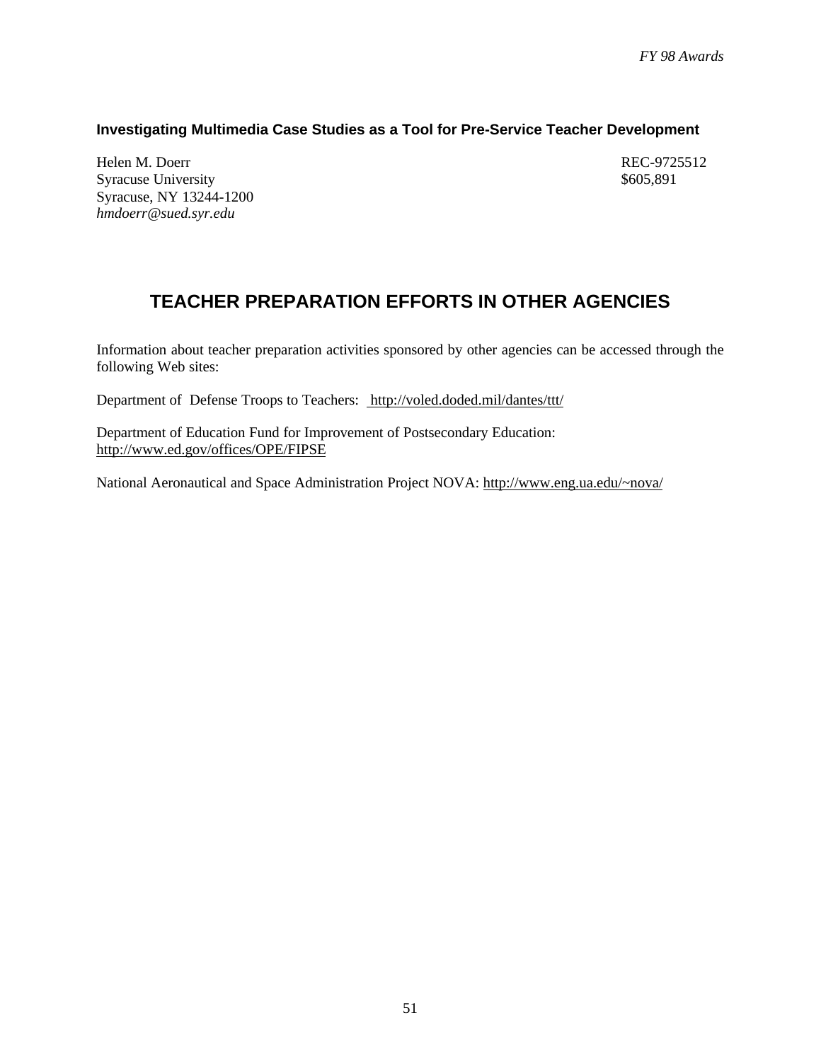### **Investigating Multimedia Case Studies as a Tool for Pre-Service Teacher Development**

Helen M. Doerr REC-9725512 Syracuse University  $$605,891$ Syracuse, NY 13244-1200 *hmdoerr@sued.syr.edu*

# **TEACHER PREPARATION EFFORTS IN OTHER AGENCIES**

Information about teacher preparation activities sponsored by other agencies can be accessed through the following Web sites:

Department of Defense Troops to Teachers: http://voled.doded.mil/dantes/ttt/

Department of Education Fund for Improvement of Postsecondary Education: http://www.ed.gov/offices/OPE/FIPSE

National Aeronautical and Space Administration Project NOVA: http://www.eng.ua.edu/~nova/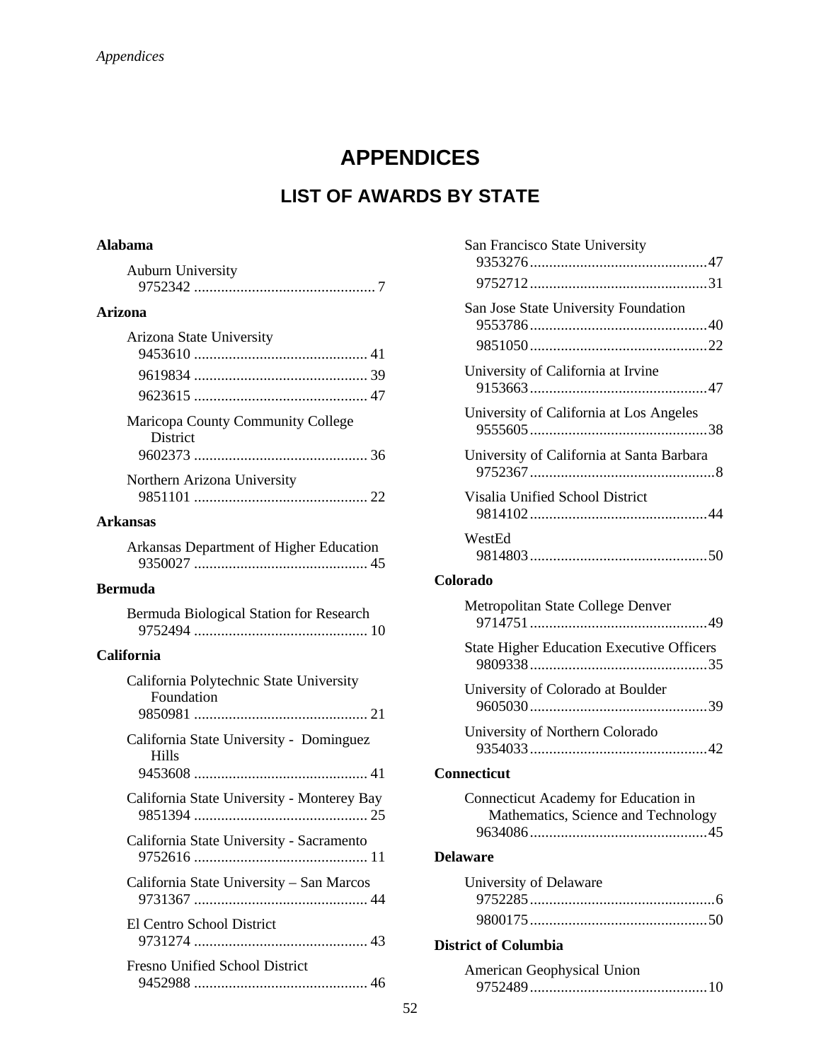# **APPENDICES**

# **LIST OF AWARDS BY STATE**

### **Alabama**

| <b>Auburn University</b> |  |
|--------------------------|--|
|                          |  |

### **Arizona**

| <b>Arizona State University</b>                      |  |
|------------------------------------------------------|--|
|                                                      |  |
|                                                      |  |
|                                                      |  |
| Maricopa County Community College<br><b>District</b> |  |
|                                                      |  |
| Northern Arizona University                          |  |
|                                                      |  |

#### **Arkansas**

|  | Arkansas Department of Higher Education |  |
|--|-----------------------------------------|--|
|  |                                         |  |

#### **Bermuda**

| Bermuda Biological Station for Research |  |
|-----------------------------------------|--|
|                                         |  |

### **California**

| California State University - Dominguez<br>Hills<br>California State University - Monterey Bay<br>California State University - Sacramento<br>California State University - San Marcos<br>El Centro School District | California Polytechnic State University<br>Foundation |
|---------------------------------------------------------------------------------------------------------------------------------------------------------------------------------------------------------------------|-------------------------------------------------------|
|                                                                                                                                                                                                                     |                                                       |
|                                                                                                                                                                                                                     |                                                       |
|                                                                                                                                                                                                                     |                                                       |
|                                                                                                                                                                                                                     |                                                       |
|                                                                                                                                                                                                                     |                                                       |
|                                                                                                                                                                                                                     | <b>Fresno Unified School District</b>                 |

| San Francisco State University                   |
|--------------------------------------------------|
|                                                  |
|                                                  |
| San Jose State University Foundation             |
|                                                  |
|                                                  |
| University of California at Irvine               |
| University of California at Los Angeles          |
| University of California at Santa Barbara        |
| Visalia Unified School District                  |
| WestEd                                           |
| Colorado                                         |
| Metropolitan State College Denver                |
|                                                  |
| <b>State Higher Education Executive Officers</b> |
| University of Colorado at Boulder                |
| University of Northern Colorado                  |
| <b>Connecticut</b>                               |
| Connecticut Academy for Education in             |
| Mathematics, Science and Technology              |
|                                                  |
| <b>Delaware</b>                                  |
| University of Delaware                           |
|                                                  |
| <b>District of Columbia</b>                      |
| American Geophysical Union                       |

9752489..............................................10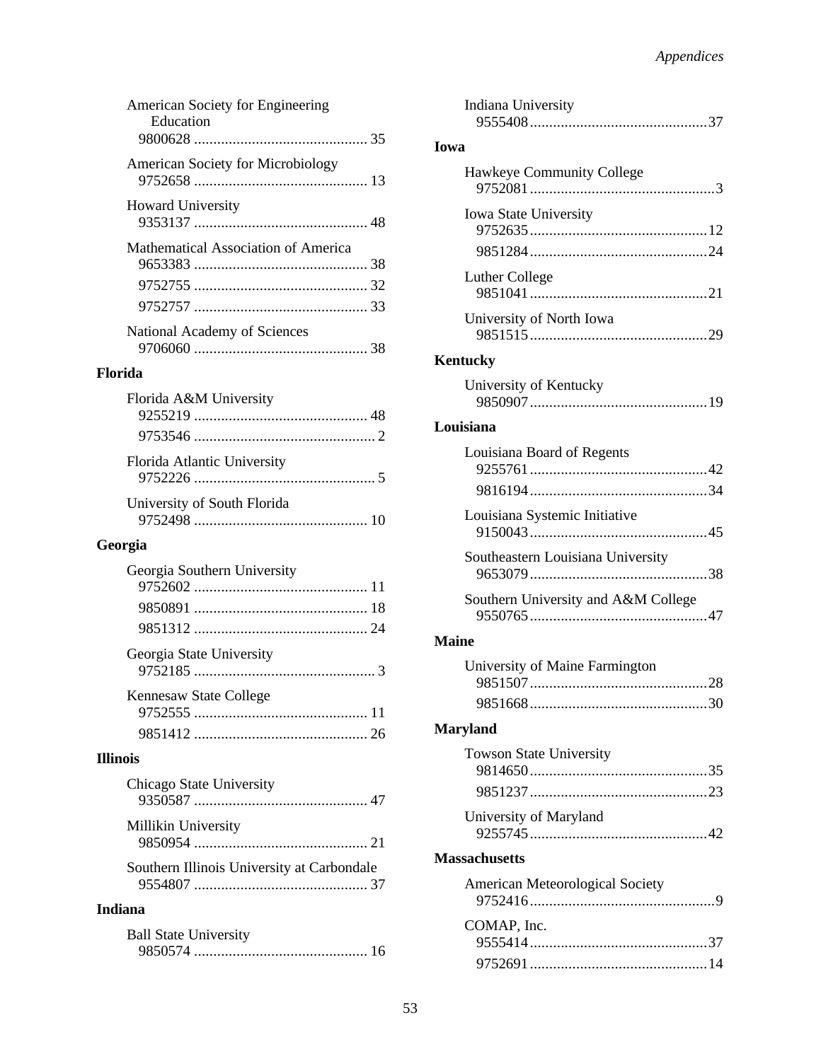| American Society for Engineering<br>Education |  |
|-----------------------------------------------|--|
| American Society for Microbiology             |  |
| <b>Howard University</b>                      |  |
| Mathematical Association of America           |  |
|                                               |  |
|                                               |  |
|                                               |  |
| National Academy of Sciences                  |  |

### **Florida**

| Florida A&M University      |  |
|-----------------------------|--|
|                             |  |
|                             |  |
| Florida Atlantic University |  |
| University of South Florida |  |
|                             |  |

### **Georgia**

| Georgia Southern University |  |
|-----------------------------|--|
|                             |  |
|                             |  |
|                             |  |
| Georgia State University    |  |
| Kennesaw State College      |  |
|                             |  |
|                             |  |

### **Illinois**

| Chicago State University                   |  |
|--------------------------------------------|--|
| Millikin University                        |  |
| Southern Illinois University at Carbondale |  |

### **Indiana**

| <b>Ball State University</b> |  |
|------------------------------|--|
|                              |  |

| Indiana University                  |
|-------------------------------------|
| Iowa                                |
| Hawkeye Community College           |
| Iowa State University               |
|                                     |
| Luther College                      |
| University of North Iowa            |
| <b>Kentucky</b>                     |
| University of Kentucky              |
| Louisiana                           |
| Louisiana Board of Regents          |
|                                     |
| Louisiana Systemic Initiative       |
| Southeastern Louisiana University   |
| Southern University and A&M College |
| <b>Maine</b>                        |
| University of Maine Farmington      |
|                                     |
| <b>Maryland</b>                     |
| <b>Towson State University</b>      |
|                                     |
| University of Maryland              |
| <b>Massachusetts</b>                |
| American Meteorological Society     |
| COMAP, Inc.                         |
|                                     |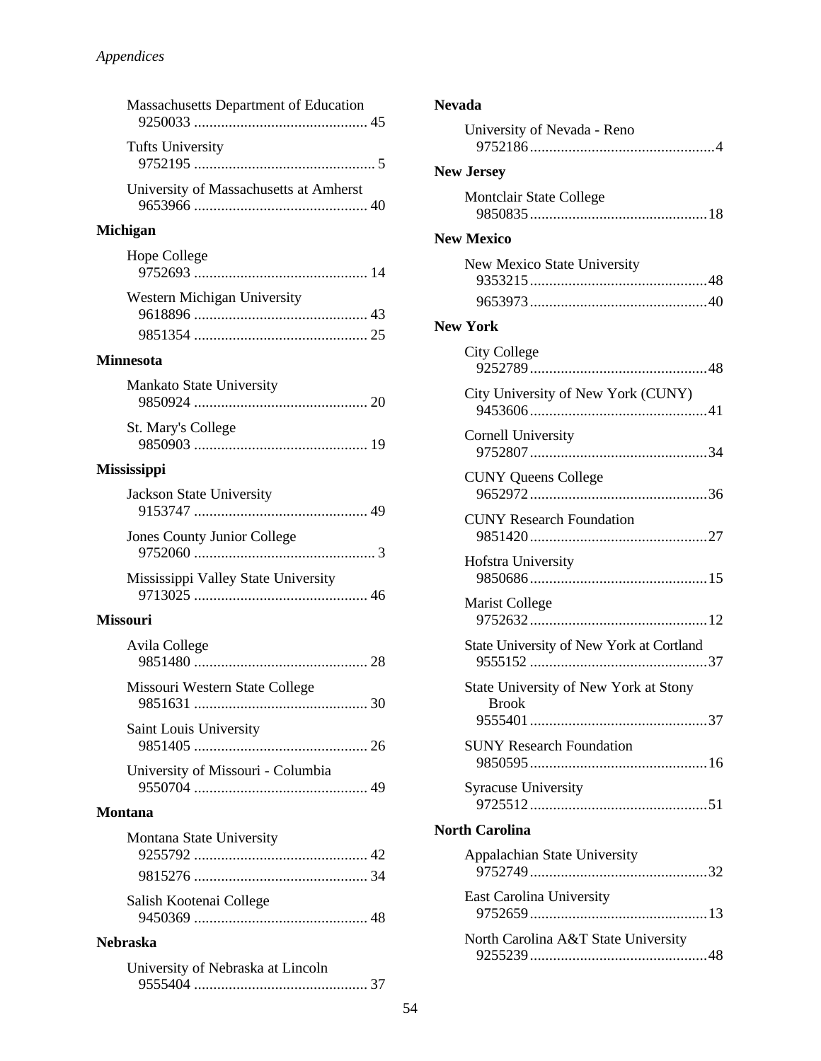| <b>Massachusetts Department of Education</b> |
|----------------------------------------------|
| <b>Tufts University</b>                      |
| University of Massachusetts at Amherst       |
| <b>Michigan</b>                              |
| Hope College                                 |
| Western Michigan University                  |
| <b>Minnesota</b>                             |
| Mankato State University                     |
| <b>St. Mary's College</b>                    |
| <b>Mississippi</b>                           |
| Jackson State University                     |
| Jones County Junior College                  |

| Mississippi Valley State University |  |
|-------------------------------------|--|
|                                     |  |

#### **Missouri**

| Avila College                     |  |
|-----------------------------------|--|
| Missouri Western State College    |  |
| <b>Saint Louis University</b>     |  |
| University of Missouri - Columbia |  |

#### **Montana**

| Montana State University |  |
|--------------------------|--|
|                          |  |
|                          |  |
| Salish Kootenai College  |  |
|                          |  |

### **Nebraska**

| University of Nebraska at Lincoln |  |
|-----------------------------------|--|
|                                   |  |

| <b>Nevada</b>                                         |  |  |
|-------------------------------------------------------|--|--|
| University of Nevada - Reno                           |  |  |
| <b>New Jersey</b>                                     |  |  |
| Montclair State College                               |  |  |
| <b>New Mexico</b>                                     |  |  |
| New Mexico State University                           |  |  |
| <b>New York</b>                                       |  |  |
| <b>City College</b>                                   |  |  |
| City University of New York (CUNY)                    |  |  |
| Cornell University                                    |  |  |
| <b>CUNY Queens College</b>                            |  |  |
| <b>CUNY Research Foundation</b>                       |  |  |
| Hofstra University                                    |  |  |
| <b>Marist College</b>                                 |  |  |
| State University of New York at Cortland              |  |  |
| State University of New York at Stony<br><b>Brook</b> |  |  |
| <b>SUNY Research Foundation</b>                       |  |  |
| <b>Syracuse University</b>                            |  |  |
| <b>North Carolina</b>                                 |  |  |
| Appalachian State University                          |  |  |
| <b>East Carolina University</b>                       |  |  |
| North Carolina A&T State University                   |  |  |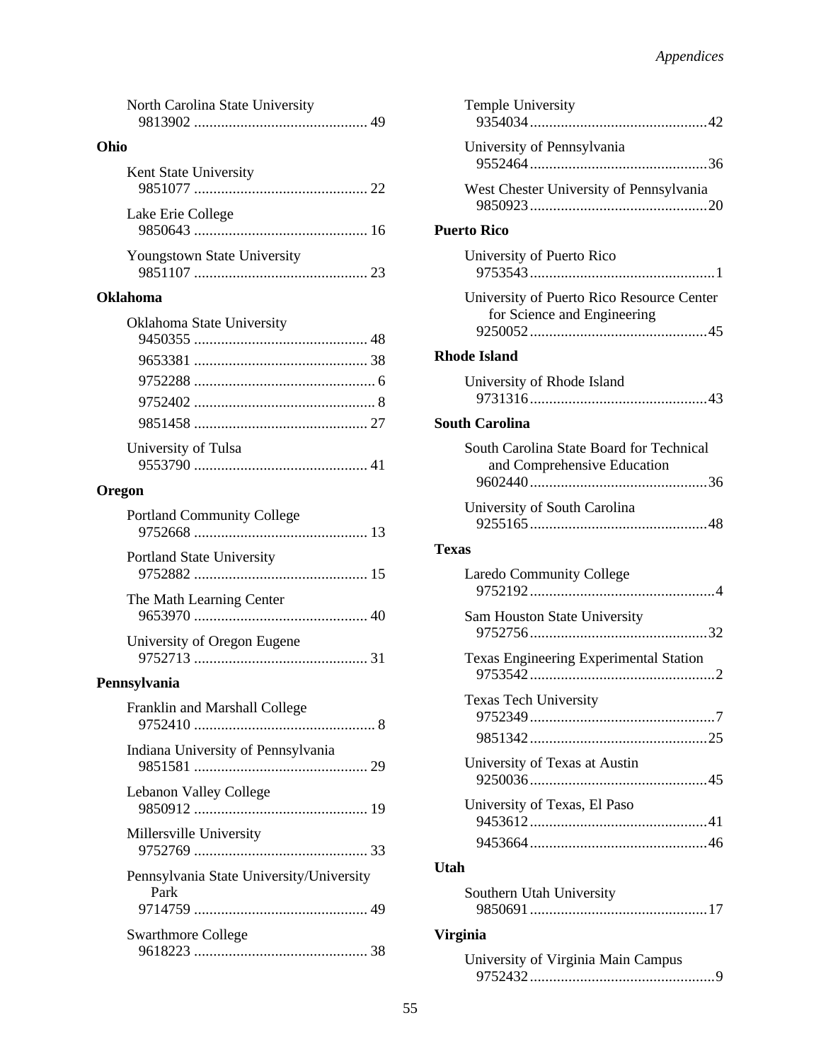| North Carolina State University                  |
|--------------------------------------------------|
| Ohio                                             |
| Kent State University                            |
| Lake Erie College                                |
| Youngstown State University                      |
| Oklahoma                                         |
| Oklahoma State University                        |
| University of Tulsa                              |
| Oregon                                           |
| <b>Portland Community College</b>                |
| <b>Portland State University</b>                 |
| The Math Learning Center                         |
| University of Oregon Eugene                      |
| Pennsylvania                                     |
| Franklin and Marshall College                    |
| Indiana University of Pennsylvania               |
| Lebanon Valley College                           |
| Millersville University                          |
| Pennsylvania State University/University<br>Park |
| <b>Swarthmore College</b>                        |

| University of Pennsylvania                                               |  |
|--------------------------------------------------------------------------|--|
|                                                                          |  |
| West Chester University of Pennsylvania                                  |  |
| <b>Puerto Rico</b>                                                       |  |
| University of Puerto Rico                                                |  |
| University of Puerto Rico Resource Center<br>for Science and Engineering |  |
| <b>Rhode Island</b>                                                      |  |
| University of Rhode Island                                               |  |
| <b>South Carolina</b>                                                    |  |
| South Carolina State Board for Technical<br>and Comprehensive Education  |  |
| University of South Carolina                                             |  |
| Texas                                                                    |  |
| <b>Laredo Community College</b>                                          |  |
| Sam Houston State University                                             |  |
| Texas Engineering Experimental Station                                   |  |
| Texas Tech University                                                    |  |
|                                                                          |  |
| University of Texas at Austin                                            |  |
| University of Texas, El Paso                                             |  |
|                                                                          |  |
| <b>Utah</b>                                                              |  |
| Southern Utah University                                                 |  |
| <b>Virginia</b>                                                          |  |

| University of Virginia Main Campus |  |
|------------------------------------|--|
|                                    |  |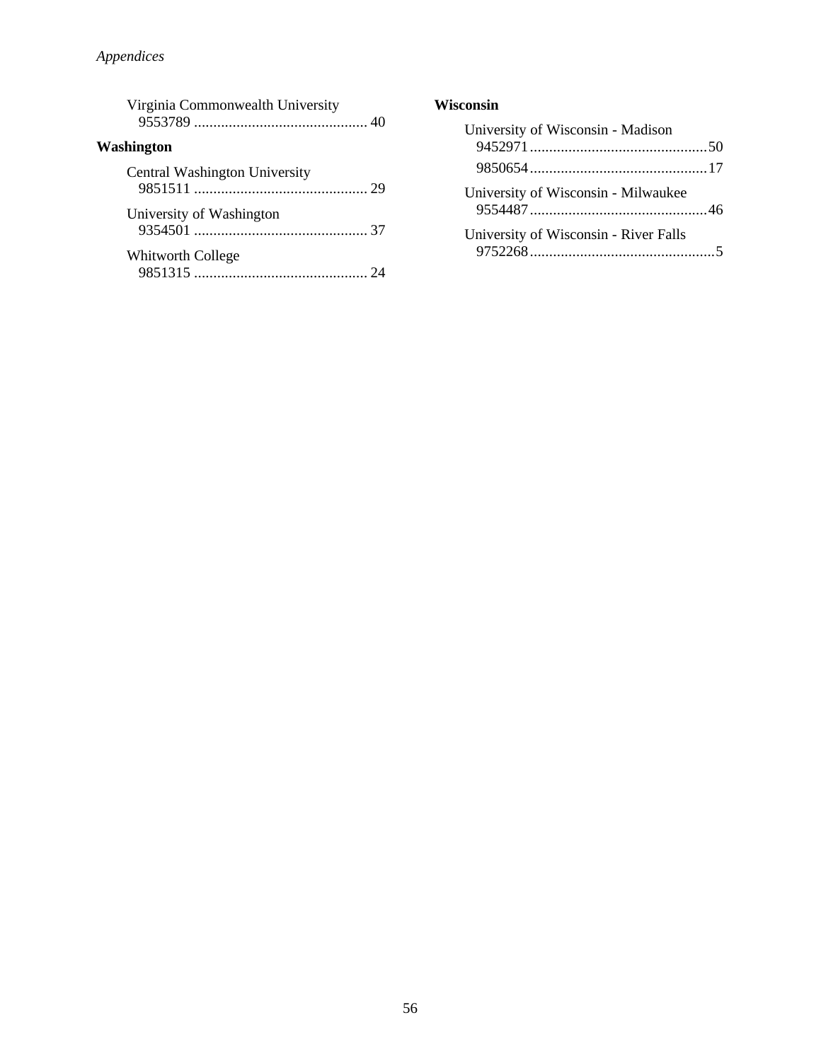| Virginia Commonwealth University |  |
|----------------------------------|--|
| <b>Washington</b>                |  |
| Central Washington University    |  |
| University of Washington         |  |
| <b>Whitworth College</b>         |  |

| University of Wisconsin - Madison     |  |
|---------------------------------------|--|
|                                       |  |
| University of Wisconsin - Milwaukee   |  |
| University of Wisconsin - River Falls |  |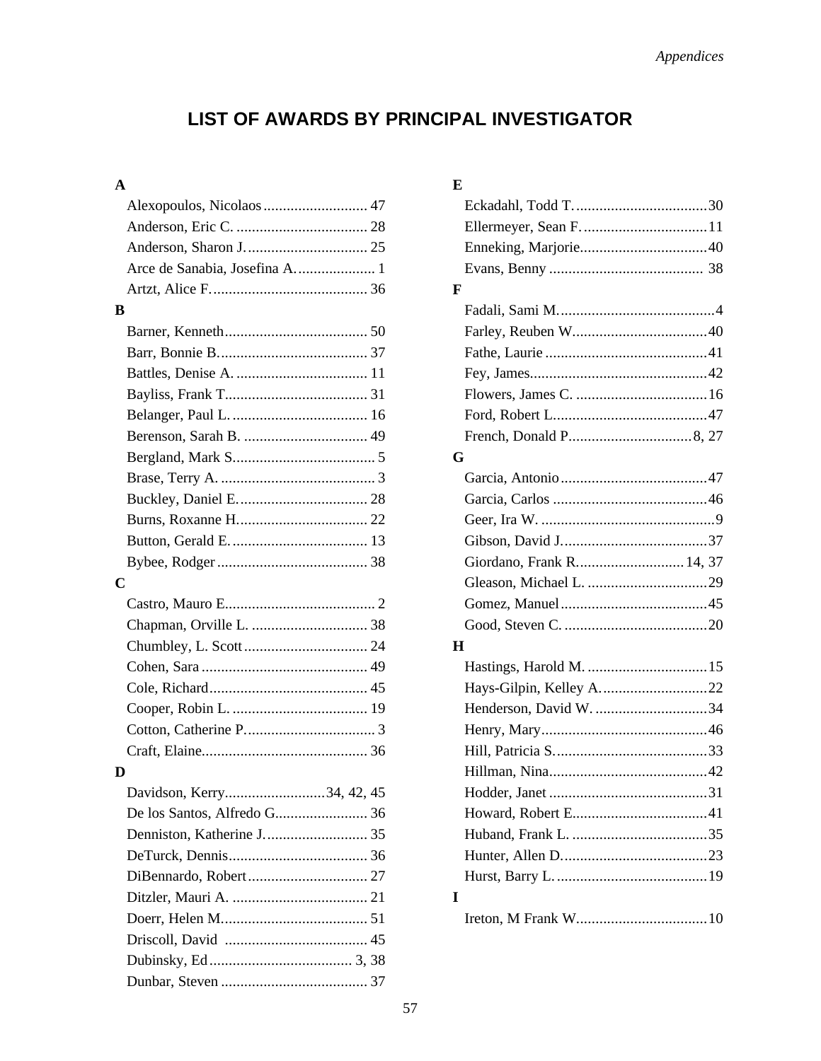# LIST OF AWARDS BY PRINCIPAL INVESTIGATOR

### $\mathbf{A}$

|                         | Alexopoulos, Nicolaos 47      |  |
|-------------------------|-------------------------------|--|
|                         |                               |  |
|                         |                               |  |
|                         |                               |  |
|                         |                               |  |
| В                       |                               |  |
|                         |                               |  |
|                         |                               |  |
|                         |                               |  |
|                         |                               |  |
|                         |                               |  |
|                         |                               |  |
|                         |                               |  |
|                         |                               |  |
|                         |                               |  |
|                         |                               |  |
|                         |                               |  |
|                         |                               |  |
| $\overline{\mathbf{C}}$ |                               |  |
|                         |                               |  |
|                         |                               |  |
|                         |                               |  |
|                         |                               |  |
|                         |                               |  |
|                         |                               |  |
|                         |                               |  |
|                         |                               |  |
|                         |                               |  |
|                         |                               |  |
|                         | Davidson, Kerry<br>34, 42, 45 |  |
| D                       |                               |  |
|                         |                               |  |
|                         |                               |  |
|                         |                               |  |
|                         |                               |  |
|                         |                               |  |
|                         |                               |  |
|                         |                               |  |

### $\mathbf E$

| F                         |  |
|---------------------------|--|
|                           |  |
|                           |  |
|                           |  |
|                           |  |
|                           |  |
|                           |  |
|                           |  |
| G                         |  |
|                           |  |
|                           |  |
|                           |  |
|                           |  |
| Giordano, Frank R 14, 37  |  |
|                           |  |
|                           |  |
|                           |  |
| H                         |  |
|                           |  |
| Hays-Gilpin, Kelley A. 22 |  |
| Henderson, David W. 34    |  |
|                           |  |
|                           |  |
|                           |  |
|                           |  |
|                           |  |
|                           |  |
|                           |  |
|                           |  |
| I                         |  |
|                           |  |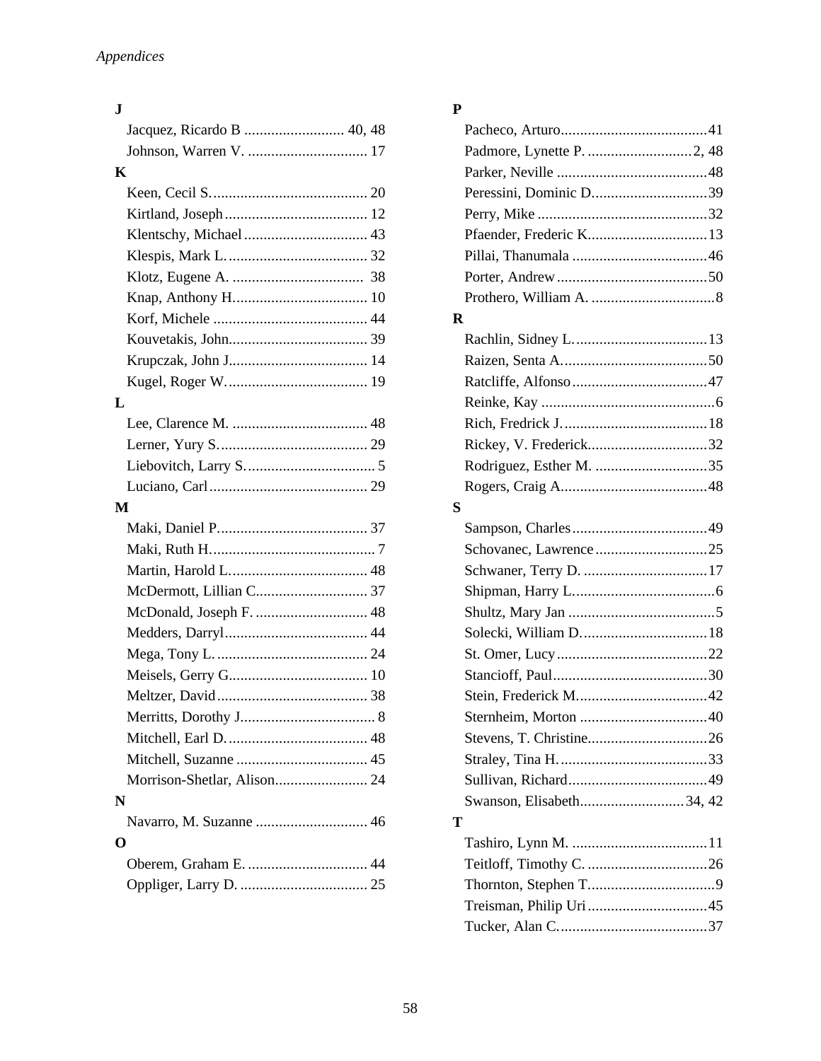### **J**

| K                           |  |
|-----------------------------|--|
|                             |  |
|                             |  |
| Klentschy, Michael  43      |  |
|                             |  |
|                             |  |
|                             |  |
|                             |  |
|                             |  |
|                             |  |
|                             |  |
| L                           |  |
|                             |  |
|                             |  |
|                             |  |
|                             |  |
| M                           |  |
|                             |  |
|                             |  |
|                             |  |
|                             |  |
| McDonald, Joseph F.  48     |  |
|                             |  |
|                             |  |
|                             |  |
|                             |  |
|                             |  |
|                             |  |
|                             |  |
| Morrison-Shetlar, Alison 24 |  |
|                             |  |
| N                           |  |
|                             |  |
| O                           |  |
|                             |  |
|                             |  |

### **P**

|   | Peressini, Dominic D39   |
|---|--------------------------|
|   |                          |
|   | Pfaender, Frederic K13   |
|   |                          |
|   |                          |
|   |                          |
| R |                          |
|   |                          |
|   |                          |
|   |                          |
|   |                          |
|   |                          |
|   | Rickey, V. Frederick32   |
|   | Rodriguez, Esther M. 35  |
|   |                          |
| S |                          |
|   |                          |
|   |                          |
|   |                          |
|   |                          |
|   |                          |
|   |                          |
|   |                          |
|   |                          |
|   |                          |
|   |                          |
|   |                          |
|   |                          |
|   |                          |
|   | Swanson, Elisabeth34, 42 |
| Т |                          |
|   |                          |
|   |                          |
|   |                          |
|   |                          |
|   |                          |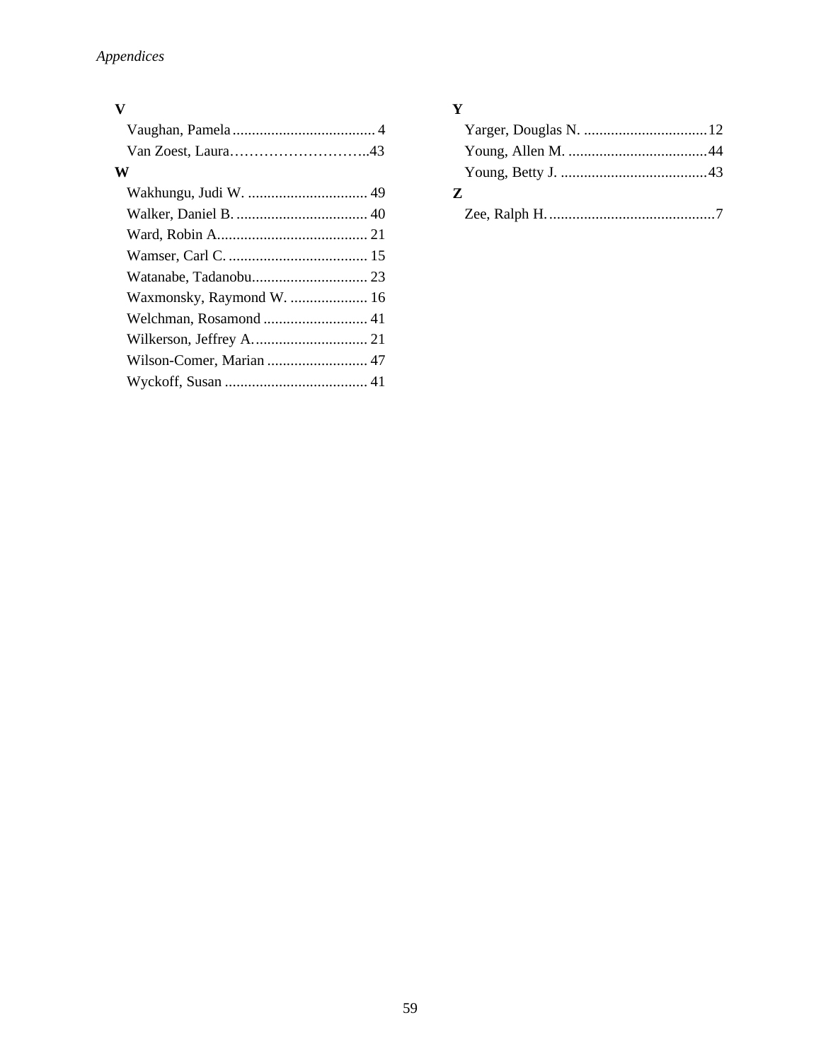### **V**

| W                         |  |
|---------------------------|--|
|                           |  |
|                           |  |
|                           |  |
|                           |  |
|                           |  |
| Waxmonsky, Raymond W.  16 |  |
|                           |  |
|                           |  |
| Wilson-Comer, Marian  47  |  |
|                           |  |
|                           |  |

### **Y**

| Z |  |
|---|--|
|   |  |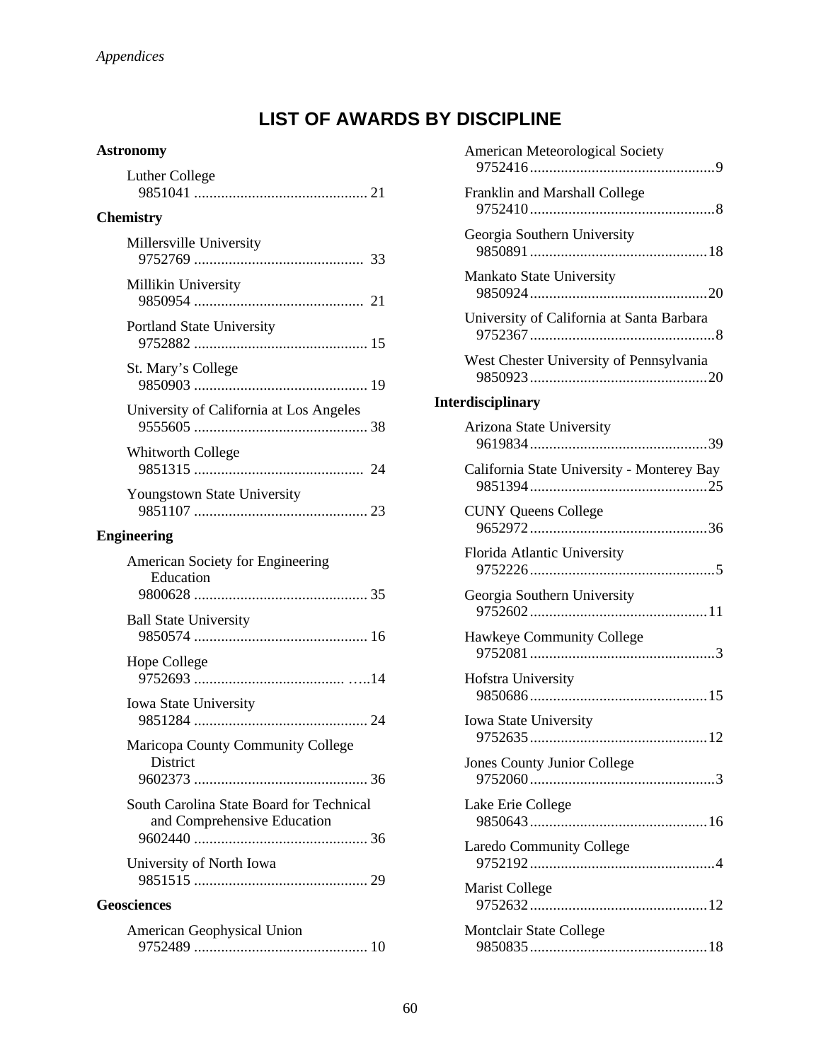# **LIST OF AWARDS BY DISCIPLINE**

### **Astronomy**

| <b>Luther College</b>                                                   |
|-------------------------------------------------------------------------|
| <b>Chemistry</b>                                                        |
| Millersville University                                                 |
| Millikin University                                                     |
| <b>Portland State University</b>                                        |
| St. Mary's College                                                      |
| University of California at Los Angeles                                 |
| <b>Whitworth College</b>                                                |
| Youngstown State University                                             |
| <b>Engineering</b>                                                      |
| American Society for Engineering<br>Education                           |
| <b>Ball State University</b>                                            |
| Hope College                                                            |
| <b>Iowa State University</b>                                            |
| Maricopa County Community College<br>District                           |
| South Carolina State Board for Technical<br>and Comprehensive Education |
| University of North Iowa                                                |
| <b>Geosciences</b>                                                      |
| <b>American Geophysical Union</b>                                       |

9752489 ............................................. 10

| American Meteorological Society                     |
|-----------------------------------------------------|
| Franklin and Marshall College                       |
| Georgia Southern University                         |
| Mankato State University                            |
| University of California at Santa Barbara           |
| West Chester University of Pennsylvania             |
| <b>Interdisciplinary</b>                            |
| Arizona State University                            |
| California State University - Monterey Bay          |
| <b>CUNY Queens College</b>                          |
| Florida Atlantic University                         |
| Georgia Southern University                         |
| Hawkeye Community College                           |
| Hofstra University                                  |
| <b>Iowa State University</b><br>9752635.<br>12<br>. |
| Jones County Junior College                         |
| Lake Erie College                                   |
| <b>Laredo Community College</b>                     |
| <b>Marist College</b>                               |
| Montclair State College                             |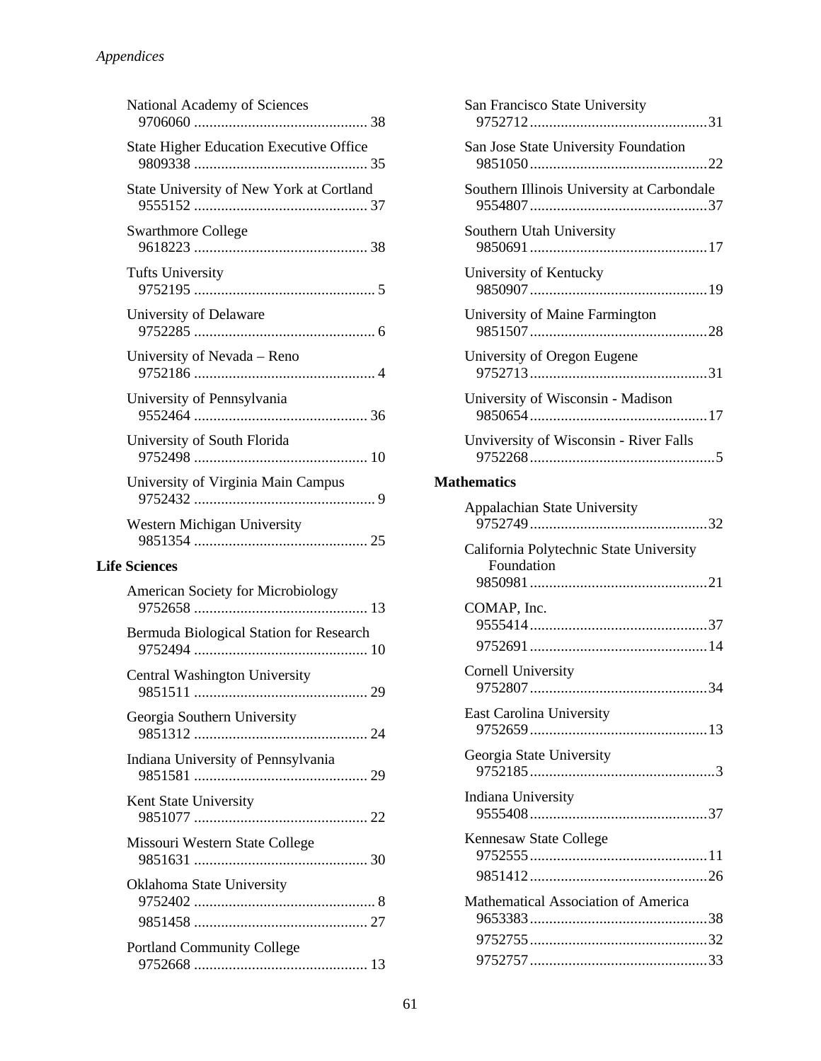| National Academy of Sciences                   |
|------------------------------------------------|
| <b>State Higher Education Executive Office</b> |
| State University of New York at Cortland       |
| <b>Swarthmore College</b>                      |
| <b>Tufts University</b>                        |
| University of Delaware                         |
| University of Nevada - Reno                    |
| University of Pennsylvania                     |
| University of South Florida                    |
| University of Virginia Main Campus             |
| Western Michigan University                    |
| <b>Life Sciences</b>                           |
| <b>American Society for Microbiology</b>       |
|                                                |
| Bermuda Biological Station for Research        |
| Central Washington University                  |
| Georgia Southern University                    |
| Indiana University of Pennsylvania             |
| Kent State University                          |
| Missouri Western State College                 |
| Oklahoma State University                      |
|                                                |

| San Francisco State University                        |
|-------------------------------------------------------|
| San Jose State University Foundation                  |
| Southern Illinois University at Carbondale            |
| Southern Utah University                              |
| University of Kentucky                                |
| University of Maine Farmington                        |
| University of Oregon Eugene                           |
| University of Wisconsin - Madison                     |
| Unviversity of Wisconsin - River Falls                |
| <b>Mathematics</b>                                    |
| <b>Appalachian State University</b>                   |
| California Polytechnic State University<br>Foundation |
| COMAP, Inc.                                           |
| Cornell University                                    |
| <b>East Carolina University</b>                       |
| Georgia State University                              |
| Indiana University                                    |
| Kennesaw State College                                |
| Mathematical Association of America                   |
|                                                       |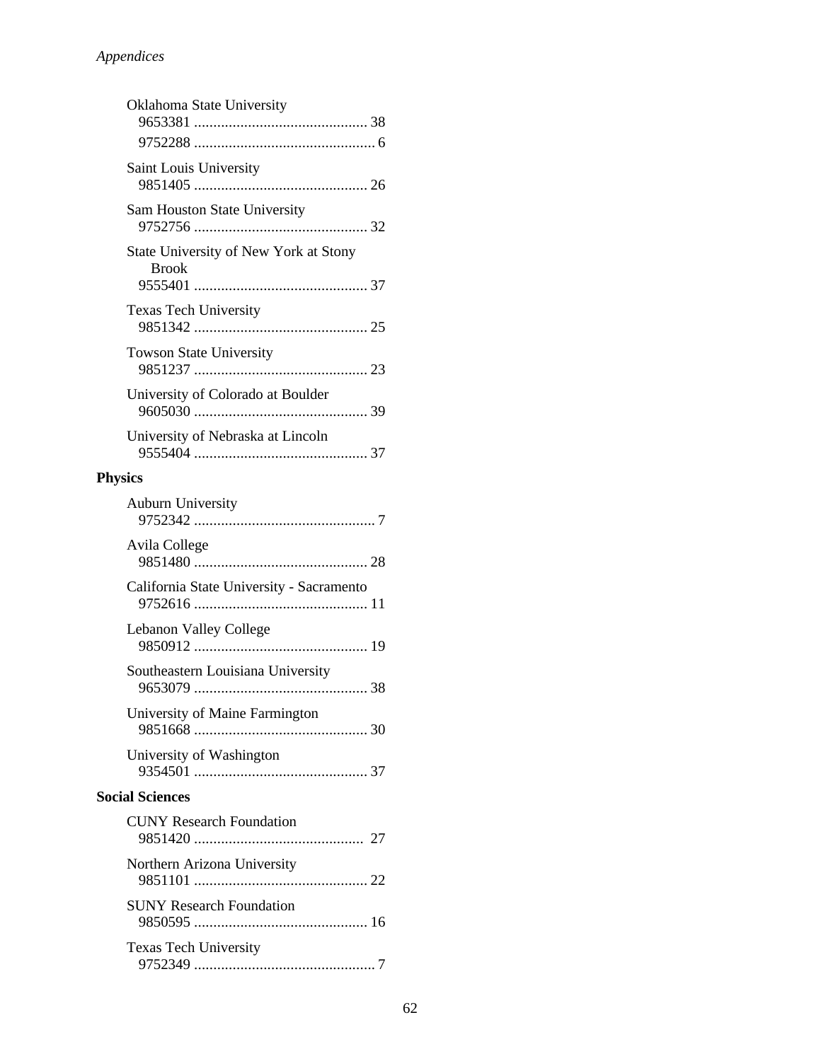| Oklahoma State University                             |
|-------------------------------------------------------|
|                                                       |
| Saint Louis University                                |
| Sam Houston State University                          |
| State University of New York at Stony<br><b>Brook</b> |
| <b>Texas Tech University</b>                          |
| Towson State University                               |
| University of Colorado at Boulder                     |
| University of Nebraska at Lincoln                     |
| <b>Physics</b>                                        |
| Auburn University                                     |
| Avila College                                         |
| California State University - Sacramento              |
| Lebanon Valley College                                |
| Southeastern Louisiana University                     |
| University of Maine Farmington                        |
| University of Washington                              |
| <b>Social Sciences</b>                                |
| <b>CUNY Research Foundation</b>                       |
| Northern Arizona University                           |
| <b>SUNY Research Foundation</b>                       |
| <b>Texas Tech University</b>                          |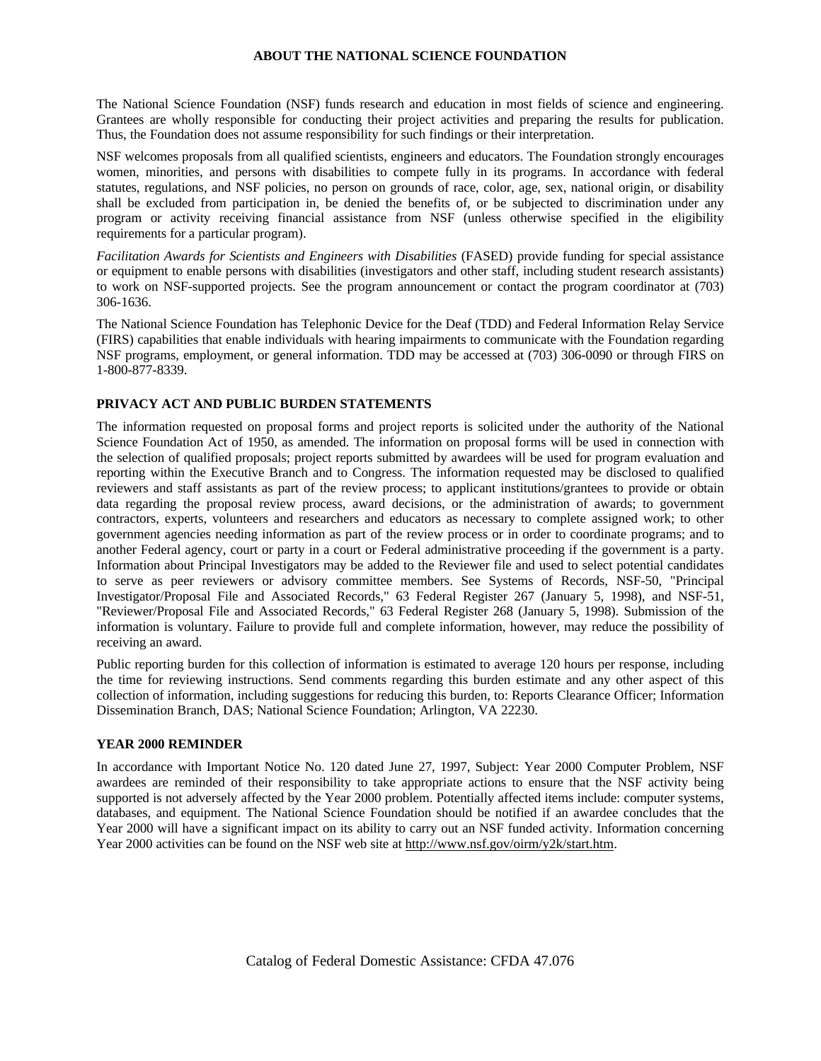# **ABOUT THE NATIONAL SCIENCE FOUNDATION**

The National Science Foundation (NSF) funds research and education in most fields of science and engineering. Grantees are wholly responsible for conducting their project activities and preparing the results for publication. Thus, the Foundation does not assume responsibility for such findings or their interpretation.

NSF welcomes proposals from all qualified scientists, engineers and educators. The Foundation strongly encourages women, minorities, and persons with disabilities to compete fully in its programs. In accordance with federal statutes, regulations, and NSF policies, no person on grounds of race, color, age, sex, national origin, or disability shall be excluded from participation in, be denied the benefits of, or be subjected to discrimination under any program or activity receiving financial assistance from NSF (unless otherwise specified in the eligibility requirements for a particular program).

*Facilitation Awards for Scientists and Engineers with Disabilities* (FASED) provide funding for special assistance or equipment to enable persons with disabilities (investigators and other staff, including student research assistants) to work on NSF-supported projects. See the program announcement or contact the program coordinator at (703) 306-1636.

The National Science Foundation has Telephonic Device for the Deaf (TDD) and Federal Information Relay Service (FIRS) capabilities that enable individuals with hearing impairments to communicate with the Foundation regarding NSF programs, employment, or general information. TDD may be accessed at (703) 306-0090 or through FIRS on 1-800-877-8339.

# **PRIVACY ACT AND PUBLIC BURDEN STATEMENTS**

The information requested on proposal forms and project reports is solicited under the authority of the National Science Foundation Act of 1950, as amended. The information on proposal forms will be used in connection with the selection of qualified proposals; project reports submitted by awardees will be used for program evaluation and reporting within the Executive Branch and to Congress. The information requested may be disclosed to qualified reviewers and staff assistants as part of the review process; to applicant institutions/grantees to provide or obtain data regarding the proposal review process, award decisions, or the administration of awards; to government contractors, experts, volunteers and researchers and educators as necessary to complete assigned work; to other government agencies needing information as part of the review process or in order to coordinate programs; and to another Federal agency, court or party in a court or Federal administrative proceeding if the government is a party. Information about Principal Investigators may be added to the Reviewer file and used to select potential candidates to serve as peer reviewers or advisory committee members. See Systems of Records, NSF-50, "Principal Investigator/Proposal File and Associated Records," 63 Federal Register 267 (January 5, 1998), and NSF-51, "Reviewer/Proposal File and Associated Records," 63 Federal Register 268 (January 5, 1998). Submission of the information is voluntary. Failure to provide full and complete information, however, may reduce the possibility of receiving an award.

Public reporting burden for this collection of information is estimated to average 120 hours per response, including the time for reviewing instructions. Send comments regarding this burden estimate and any other aspect of this collection of information, including suggestions for reducing this burden, to: Reports Clearance Officer; Information Dissemination Branch, DAS; National Science Foundation; Arlington, VA 22230.

## **YEAR 2000 REMINDER**

In accordance with Important Notice No. 120 dated June 27, 1997, Subject: Year 2000 Computer Problem, NSF awardees are reminded of their responsibility to take appropriate actions to ensure that the NSF activity being supported is not adversely affected by the Year 2000 problem. Potentially affected items include: computer systems, databases, and equipment. The National Science Foundation should be notified if an awardee concludes that the Year 2000 will have a significant impact on its ability to carry out an NSF funded activity. Information concerning Year 2000 activities can be found on the NSF web site at http://www.nsf.gov/oirm/y2k/start.htm.